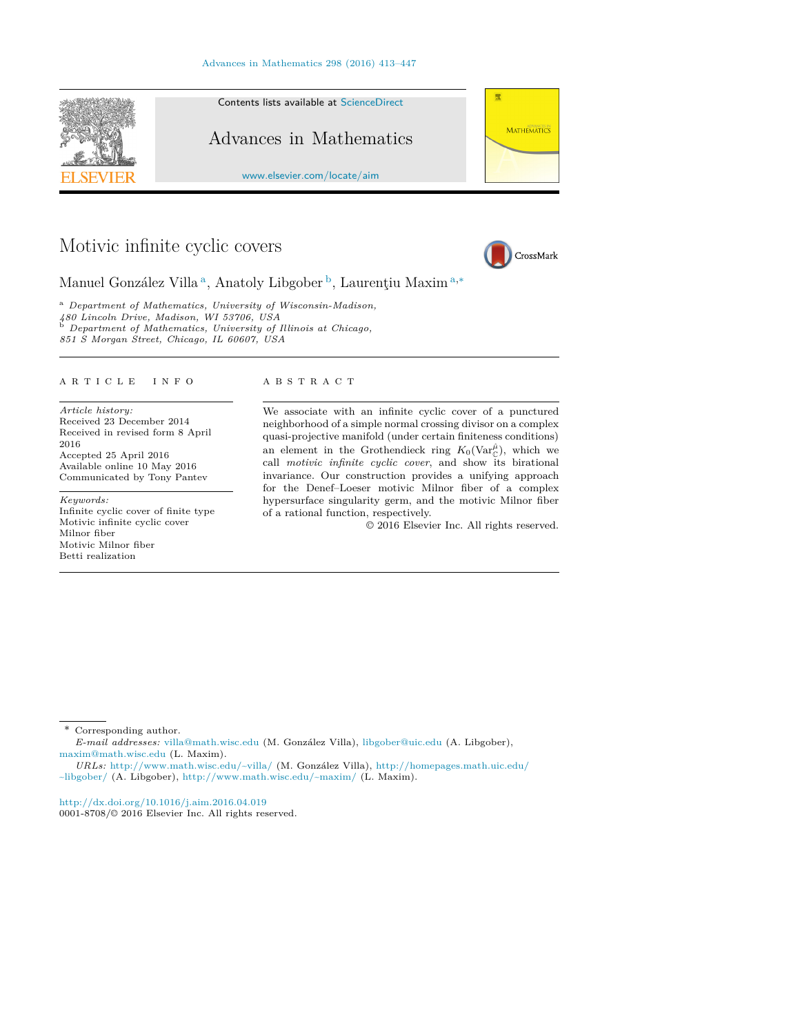#### Advances in Mathematics 298 (2016) 413–447



# Motivic infinite cyclic covers



Manuel González Villa<sup>a</sup>, Anatoly Libgober<sup>b</sup>, Laurentiu Maxim<sup>a,\*</sup>

<sup>a</sup> *Department of Mathematics, University of Wisconsin-Madison, 480 Lincoln Drive, Madison, WI 53706, USA* <sup>b</sup> *Department of Mathematics, University of Il linois at Chicago, 851 S Morgan Street, Chicago, IL 60607, USA*

#### A R T I C L E I N F O A B S T R A C T

*Article history:* Received 23 December 2014 Received in revised form 8 April 2016 Accepted 25 April 2016 Available online 10 May 2016 Communicated by Tony Pantev

*Keywords:* Infinite cyclic cover of finite type Motivic infinite cyclic cover Milnor fiber Motivic Milnor fiber Betti realization

We associate with an infinite cyclic cover of a punctured neighborhood of a simple normal crossing divisor on a complex quasi-projective manifold (under certain finiteness conditions) an element in the Grothendieck ring  $K_0(\text{Var}_{\mathbb{C}}^{\hat{\mu}})$ , which we call *motivic infinite cyclic cover*, and show its birational invariance. Our construction provides a unifying approach for the Denef–Loeser motivic Milnor fiber of a complex hypersurface singularity germ, and the motivic Milnor fiber of a rational function, respectively.

© 2016 Elsevier Inc. All rights reserved.

Corresponding author.

*E-mail addresses:* villa@math.wisc.edu (M. González Villa), libgober@uic.edu (A. Libgober), maxim@math.wisc.edu (L. Maxim).

http://dx.doi.org/10.1016/j.aim.2016.04.019

0001-8708/© 2016 Elsevier Inc. All rights reserved.

*URLs:* http://www.math.wisc.edu/~villa/ (M. González Villa), http://homepages.math.uic.edu/ ~libgober/ (A. Libgober), http://www.math.wisc.edu/~maxim/ (L. Maxim).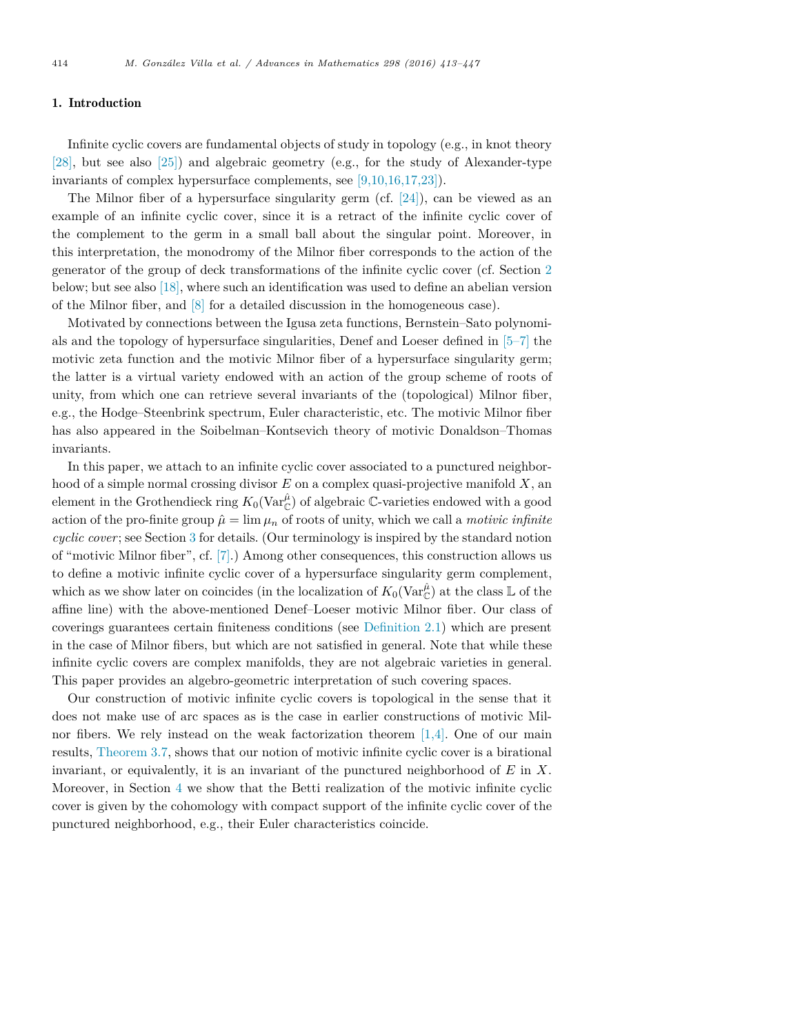#### 1. Introduction

Infinite cyclic covers are fundamental objects of study in topology (e.g., in knot theory [28], but see also [25]) and algebraic geometry (e.g., for the study of Alexander-type invariants of complex hypersurface complements, see [9,10,16,17,23]).

The Milnor fiber of a hypersurface singularity germ (cf. [24]), can be viewed as an example of an infinite cyclic cover, since it is a retract of the infinite cyclic cover of the complement to the germ in a small ball about the singular point. Moreover, in this interpretation, the monodromy of the Milnor fiber corresponds to the action of the generator of the group of deck transformations of the infinite cyclic cover (cf. Section 2 below; but see also [18], where such an identification was used to define an abelian version of the Milnor fiber, and [8] for a detailed discussion in the homogeneous case).

Motivated by connections between the Igusa zeta functions, Bernstein–Sato polynomials and the topology of hypersurface singularities, Denef and Loeser defined in [5–7] the motivic zeta function and the motivic Milnor fiber of a hypersurface singularity germ; the latter is a virtual variety endowed with an action of the group scheme of roots of unity, from which one can retrieve several invariants of the (topological) Milnor fiber, e.g., the Hodge–Steenbrink spectrum, Euler characteristic, etc. The motivic Milnor fiber has also appeared in the Soibelman–Kontsevich theory of motivic Donaldson–Thomas invariants.

In this paper, we attach to an infinite cyclic cover associated to a punctured neighborhood of a simple normal crossing divisor *E* on a complex quasi-projective manifold *X*, an element in the Grothendieck ring  $K_0(\text{Var}_{\mathbb{C}}^{\hat{\mu}})$  of algebraic  $\mathbb{C}$ -varieties endowed with a good action of the pro-finite group  $\hat{\mu} = \lim \mu_n$  of roots of unity, which we call a *motivic infinite cyclic cover*; see Section 3 for details. (Our terminology is inspired by the standard notion of "motivic Milnor fiber", cf. [7].) Among other consequences, this construction allows us to define a motivic infinite cyclic cover of a hypersurface singularity germ complement, which as we show later on coincides (in the localization of  $K_0(\mathrm{Var}^{\hat{\mu}}_\mathbb{C})$  at the class  $\mathbb L$  of the affine line) with the above-mentioned Denef–Loeser motivic Milnor fiber. Our class of coverings guarantees certain finiteness conditions (see Definition 2.1) which are present in the case of Milnor fibers, but which are not satisfied in general. Note that while these infinite cyclic covers are complex manifolds, they are not algebraic varieties in general. This paper provides an algebro-geometric interpretation of such covering spaces.

Our construction of motivic infinite cyclic covers is topological in the sense that it does not make use of arc spaces as is the case in earlier constructions of motivic Milnor fibers. We rely instead on the weak factorization theorem  $[1,4]$ . One of our main results, Theorem 3.7, shows that our notion of motivic infinite cyclic cover is a birational invariant, or equivalently, it is an invariant of the punctured neighborhood of *E* in *X*. Moreover, in Section 4 we show that the Betti realization of the motivic infinite cyclic cover is given by the cohomology with compact support of the infinite cyclic cover of the punctured neighborhood, e.g., their Euler characteristics coincide.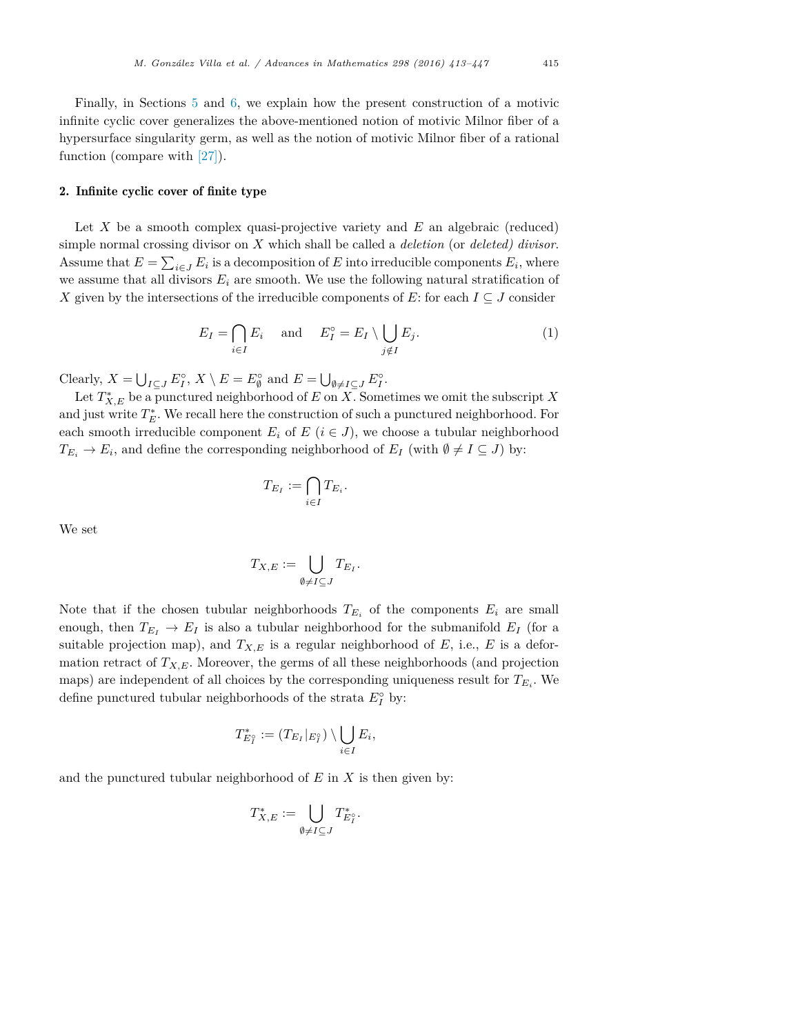Finally, in Sections 5 and 6, we explain how the present construction of a motivic infinite cyclic cover generalizes the above-mentioned notion of motivic Milnor fiber of a hypersurface singularity germ, as well as the notion of motivic Milnor fiber of a rational function (compare with [27]).

#### 2. Infinite cyclic cover of finite type

Let *X* be a smooth complex quasi-projective variety and *E* an algebraic (reduced) simple normal crossing divisor on *X* which shall be called a *deletion* (or *deleted) divisor*. Assume that  $E = \sum_{i \in J} E_i$  is a decomposition of *E* into irreducible components  $E_i$ , where we assume that all divisors  $E_i$  are smooth. We use the following natural stratification of *X* given by the intersections of the irreducible components of *E*: for each  $I \subseteq J$  consider

$$
E_I = \bigcap_{i \in I} E_i \quad \text{and} \quad E_I^\circ = E_I \setminus \bigcup_{j \notin I} E_j. \tag{1}
$$

Clearly,  $X = \bigcup_{I \subseteq J} E_I^{\circ}, X \setminus E = E_{\emptyset}^{\circ}$  and  $E = \bigcup_{\emptyset \neq I \subseteq J} E_I^{\circ}$ .

Let  $T^*_{X,E}$  be a punctured neighborhood of  $E$  on  $X$ . Sometimes we omit the subscript  $X$ and just write  $T_E^*$ . We recall here the construction of such a punctured neighborhood. For each smooth irreducible component  $E_i$  of  $E$  ( $i \in J$ ), we choose a tubular neighborhood  $T_{E_i} \to E_i$ , and define the corresponding neighborhood of  $E_I$  (with  $\emptyset \neq I \subseteq J$ ) by:

$$
T_{E_I} := \bigcap_{i \in I} T_{E_i}.
$$

We set

$$
T_{X,E} := \bigcup_{\emptyset \neq I \subseteq J} T_{E_I}.
$$

Note that if the chosen tubular neighborhoods  $T_{E_i}$  of the components  $E_i$  are small enough, then  $T_{E_I} \rightarrow E_I$  is also a tubular neighborhood for the submanifold  $E_I$  (for a suitable projection map), and  $T_{X,E}$  is a regular neighborhood of  $E$ , i.e.,  $E$  is a deformation retract of  $T_{X,E}$ . Moreover, the germs of all these neighborhoods (and projection maps) are independent of all choices by the corresponding uniqueness result for  $T_{E_i}$ . We define punctured tubular neighborhoods of the strata  $E_I^{\circ}$  by:

$$
T_{E_I^\circ}^* := (T_{E_I}|_{E_I^\circ}) \setminus \bigcup_{i \in I} E_i,
$$

and the punctured tubular neighborhood of *E* in *X* is then given by:

$$
T^*_{X,E}:=\bigcup_{\emptyset\neq I\subseteq J}T^*_{E_I^\circ}.
$$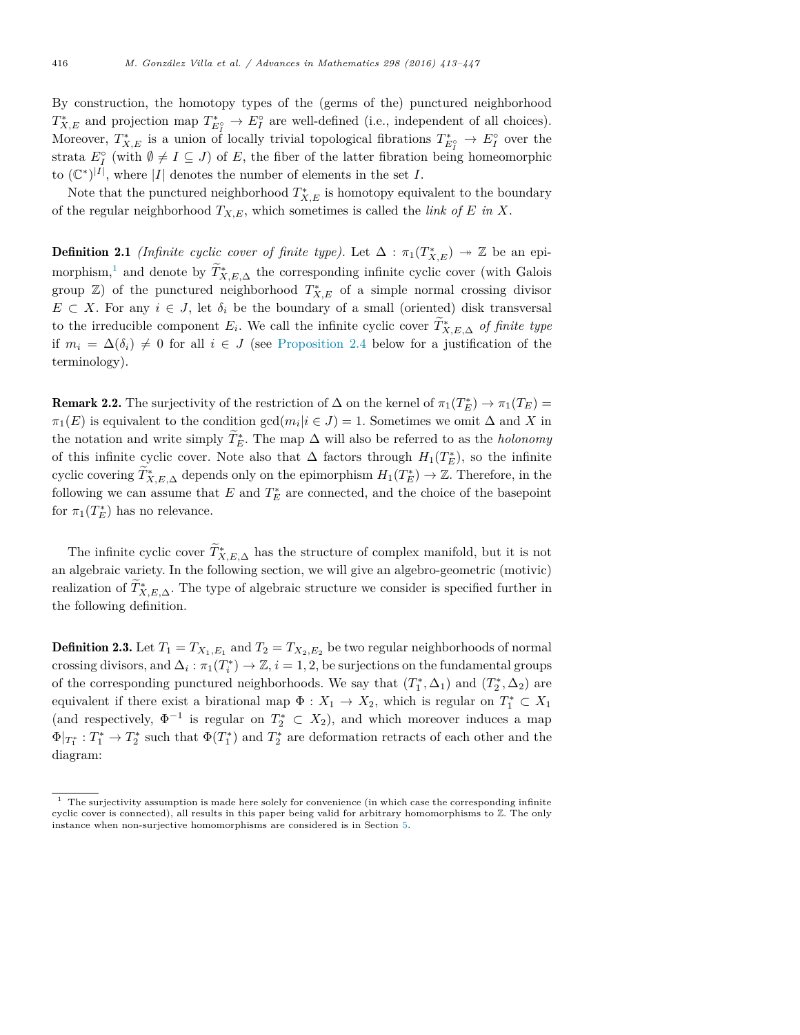By construction, the homotopy types of the (germs of the) punctured neighborhood  $T_{X,E}^*$  and projection map  $T_{E_I^*}^* \to E_I^{\circ}$  are well-defined (i.e., independent of all choices). Moreover,  $T_{X,E}^*$  is a union of locally trivial topological fibrations  $T_{E_I^*}^* \to E_I^{\circ}$  over the strata  $E_I^{\circ}$  (with  $\emptyset \neq I \subseteq J$ ) of *E*, the fiber of the latter fibration being homeomorphic to  $(\mathbb{C}^*)^{|I|}$ , where  $|I|$  denotes the number of elements in the set *I*.

Note that the punctured neighborhood  $T_{X,E}^*$  is homotopy equivalent to the boundary of the regular neighborhood  $T_{X,E}$ , which sometimes is called the *link* of *E* in *X*.

**Definition 2.1** *(Infinite cyclic cover of finite type)*. Let  $\Delta : \pi_1(T^*_{X,E}) \to \mathbb{Z}$  be an epimorphism,<sup>1</sup> and denote by  $\widetilde{T}_{X,E,\Delta}^*$  the corresponding infinite cyclic cover (with Galois group  $\mathbb{Z}$ ) of the punctured neighborhood  $T^*_{X,E}$  of a simple normal crossing divisor  $E \subset X$ . For any  $i \in J$ , let  $\delta_i$  be the boundary of a small (oriented) disk transversal to the irreducible component  $E_i$ . We call the infinite cyclic cover  $T^*_{X,E,\Delta}$  *of finite type* if  $m_i = \Delta(\delta_i) \neq 0$  for all  $i \in J$  (see Proposition 2.4 below for a justification of the terminology).

**Remark 2.2.** The surjectivity of the restriction of  $\Delta$  on the kernel of  $\pi_1(T_E^*) \to \pi_1(T_E) =$  $\pi_1(E)$  is equivalent to the condition gcd $(m_i|i \in J) = 1$ . Sometimes we omit  $\Delta$  and X in the notation and write simply  $T_E^*$ . The map  $\Delta$  will also be referred to as the *holonomy* of this infinite cyclic cover. Note also that  $\Delta$  factors through  $H_1(T_E^*)$ , so the infinite cyclic covering  $T^*_{X,E,\Delta}$  depends only on the epimorphism  $H_1(T^*_E) \to \mathbb{Z}$ . Therefore, in the following we can assume that  $E$  and  $T_E^*$  are connected, and the choice of the basepoint for  $\pi_1(T_E^*)$  has no relevance.

The infinite cyclic cover  $T^*_{X,E,\Delta}$  has the structure of complex manifold, but it is not an algebraic variety. In the following section, we will give an algebro-geometric (motivic) realization of  $T^*_{X,E,\Delta}$ . The type of algebraic structure we consider is specified further in the following definition.

**Definition 2.3.** Let  $T_1 = T_{X_1,E_1}$  and  $T_2 = T_{X_2,E_2}$  be two regular neighborhoods of normal crossing divisors, and  $\Delta_i : \pi_1(T_i^*) \to \mathbb{Z}, i = 1, 2$ , be surjections on the fundamental groups of the corresponding punctured neighborhoods. We say that  $(T_1^*, \Delta_1)$  and  $(T_2^*, \Delta_2)$  are equivalent if there exist a birational map  $\Phi: X_1 \to X_2$ , which is regular on  $T_1^* \subset X_1$ (and respectively,  $\Phi^{-1}$  is regular on  $T_2^* \subset X_2$ ), and which moreover induces a map  $\Phi|_{T_1^*}: T_1^* \to T_2^*$  such that  $\Phi(T_1^*)$  and  $T_2^*$  are deformation retracts of each other and the diagram:

 $1$  The surjectivity assumption is made here solely for convenience (in which case the corresponding infinite cyclic cover is connected), all results in this paper being valid for arbitrary homomorphisms to Z. The only instance when non-surjective homomorphisms are considered is in Section 5 .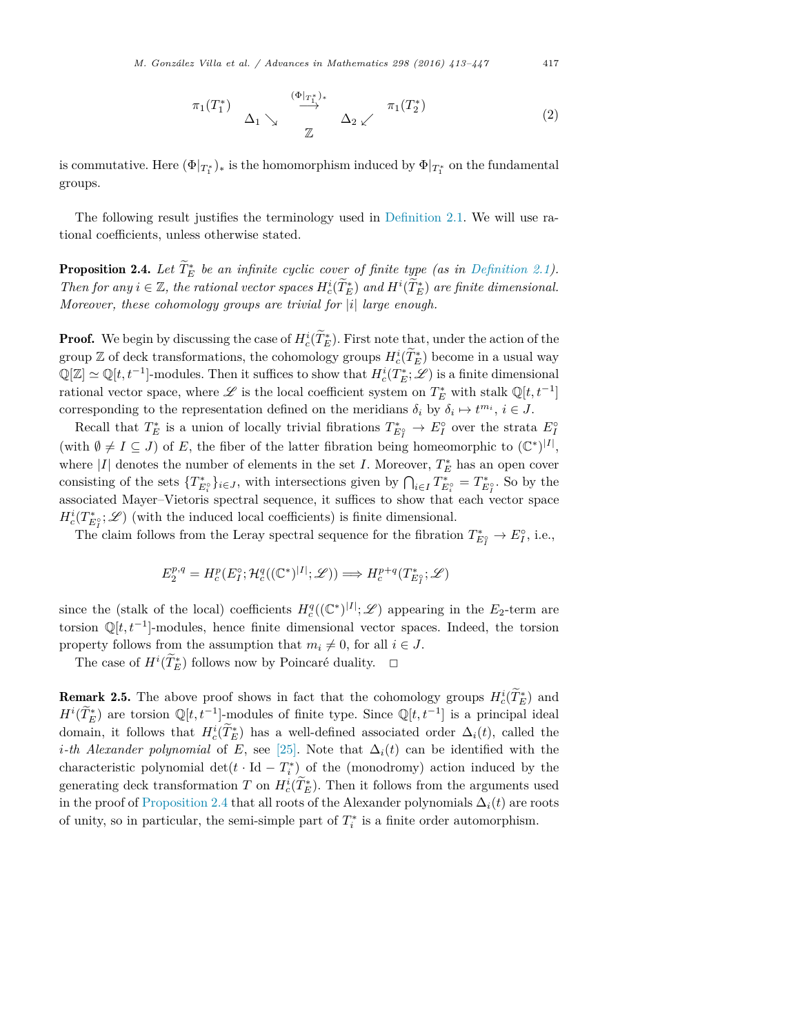$$
\pi_1(T_1^*) \quad \Delta_1 \searrow \quad \xrightarrow{\begin{array}{c} (\Phi|_{T_1^*)_*} \\ \longrightarrow \\ \mathbb{Z} \end{array}} \quad \Delta_2 \swarrow \quad \pi_1(T_2^*) \tag{2}
$$

is commutative. Here  $(\Phi|_{T_1^*})_*$  is the homomorphism induced by  $\Phi|_{T_1^*}$  on the fundamental groups.

The following result justifies the terminology used in Definition 2.1. We will use rational coefficients, unless otherwise stated.

Proposition 2.4. *Let T*%<sup>∗</sup> *<sup>E</sup> be an infinite cyclic cover of finite type (as in Definition 2.1).* Then for any  $i \in \mathbb{Z}$ , the rational vector spaces  $H_c^i(\tilde{T}_E^*)$  and  $H^i(\tilde{T}_E^*)$  are finite dimensional. *Moreover, these cohomology groups are trivial for |i| large enough.*

**Proof.** We begin by discussing the case of  $H_c^i(T_E^*)$ . First note that, under the action of the group  $\mathbb{Z}$  of deck transformations, the cohomology groups  $H_c^i(T_E^*)$  become in a usual way  $\mathbb{Q}[Z] \simeq \mathbb{Q}[t, t^{-1}]$ -modules. Then it suffices to show that  $H_c^i(T_E^*; \mathscr{L})$  is a finite dimensional rational vector space, where  $\mathscr L$  is the local coefficient system on  $T^*_E$  with stalk  $\mathbb Q[t, t^{-1}]$ corresponding to the representation defined on the meridians  $\delta_i$  by  $\delta_i \mapsto t^{m_i}$ ,  $i \in J$ .

Recall that  $T_E^*$  is a union of locally trivial fibrations  $T_{E_I^*}^* \to E_I^{\circ}$  over the strata  $E_I^{\circ}$ (with  $\emptyset \neq I \subseteq J$ ) of *E*, the fiber of the latter fibration being homeomorphic to  $(\mathbb{C}^*)^{|I|}$ , where  $|I|$  denotes the number of elements in the set *I*. Moreover,  $T_E^*$  has an open cover consisting of the sets  $\{T_{E_i^{\circ}}^*\}_{i\in J}$ , with intersections given by  $\bigcap_{i\in I} T_{E_i^{\circ}}^* = T_{E_I^{\circ}}^*$ . So by the associated Mayer–Vietoris spectral sequence, it suffices to show that each vector space  $H_c^i(T^*_{E_I^o}; \mathscr{L})$  (with the induced local coefficients) is finite dimensional.

The claim follows from the Leray spectral sequence for the fibration  $T_{E_I^*}^* \to E_I^{\circ}$ , i.e.,

$$
E_2^{p,q} = H_c^p(E_I^{\circ}; \mathcal{H}_c^q((\mathbb{C}^*)^{|I|}; \mathscr{L})) \Longrightarrow H_c^{p+q}(T^*_{E_I^{\circ}}; \mathscr{L})
$$

since the (stalk of the local) coefficients  $H_c^q((\mathbb{C}^*)^{|I|}; \mathscr{L})$  appearing in the  $E_2$ -term are torsion  $\mathbb{Q}[t, t^{-1}]$ -modules, hence finite dimensional vector spaces. Indeed, the torsion property follows from the assumption that  $m_i \neq 0$ , for all  $i \in J$ .

The case of  $H^i(\tilde{T}_E^*)$  follows now by Poincaré duality.  $\Box$ 

**Remark 2.5.** The above proof shows in fact that the cohomology groups  $H_c^i(T_E^*)$  and  $H^{i}(\tilde{T}_{E}^{*})$  are torsion  $\mathbb{Q}[t,t^{-1}]$ -modules of finite type. Since  $\mathbb{Q}[t,t^{-1}]$  is a principal ideal domain, it follows that  $H_c^i(T_E^*)$  has a well-defined associated order  $\Delta_i(t)$ , called the *i*<sup>*-th*</sup> *Alexander polynomial* of *E*, see [25]. Note that  $\Delta_i(t)$  can be identified with the characteristic polynomial det( $t \cdot \text{Id} - T_i^*$ ) of the (monodromy) action induced by the generating deck transformation *T* on  $H_c^i(\overline{T_E^*})$ . Then it follows from the arguments used in the proof of Proposition 2.4 that all roots of the Alexander polynomials  $\Delta_i(t)$  are roots of unity, so in particular, the semi-simple part of  $T_i^*$  is a finite order automorphism.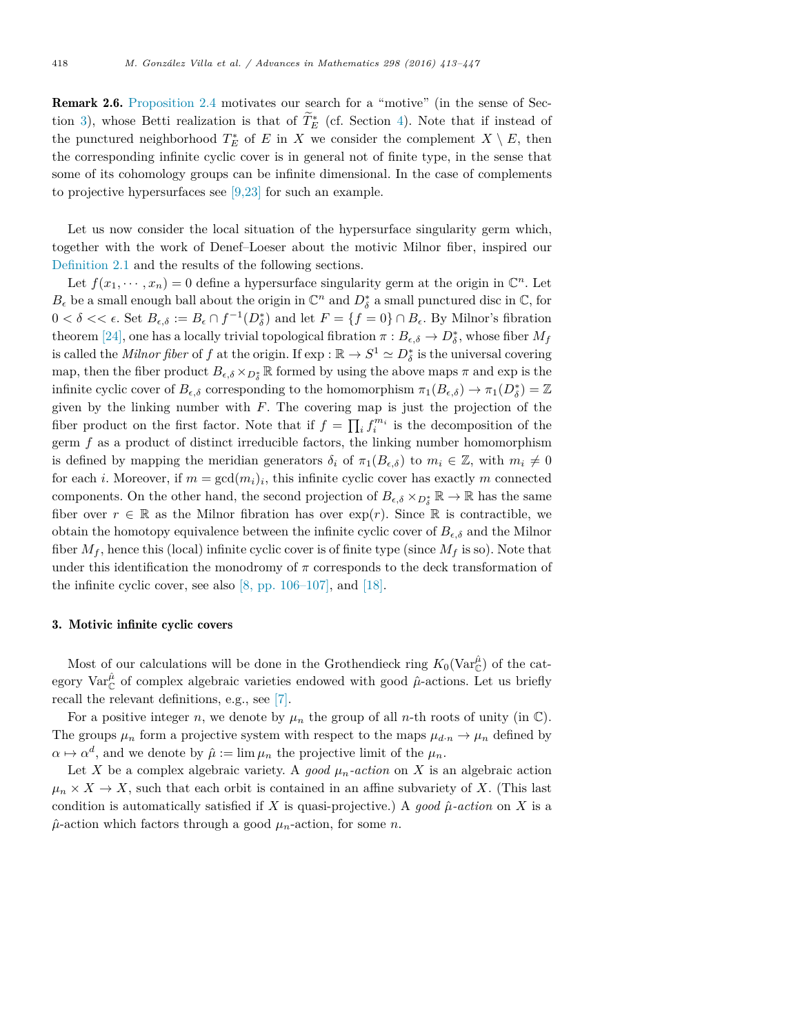Remark 2.6. Proposition 2.4 motivates our search for a "motive" (in the sense of Section 3), whose Betti realization is that of  $T_E^*$  (cf. Section 4). Note that if instead of the punctured neighborhood  $T_E^*$  of *E* in *X* we consider the complement  $X \setminus E$ , then the corresponding infinite cyclic cover is in general not of finite type, in the sense that some of its cohomology groups can be infinite dimensional. In the case of complements to projective hypersurfaces see [9,23] for such an example.

Let us now consider the local situation of the hypersurface singularity germ which, together with the work of Denef–Loeser about the motivic Milnor fiber, inspired our Definition 2.1 and the results of the following sections.

Let  $f(x_1, \dots, x_n) = 0$  define a hypersurface singularity germ at the origin in  $\mathbb{C}^n$ . Let  $B_{\epsilon}$  be a small enough ball about the origin in  $\mathbb{C}^n$  and  $D_{\delta}^*$  a small punctured disc in  $\mathbb{C}$ , for  $0 < \delta < \epsilon$ . Set  $B_{\epsilon,\delta} := B_{\epsilon} \cap f^{-1}(D_{\delta}^{*})$  and let  $F = \{f = 0\} \cap B_{\epsilon}$ . By Milnor's fibration theorem [24], one has a locally trivial topological fibration  $\pi : B_{\epsilon,\delta} \to D_{\delta}^*$ , whose fiber  $M_f$ is called the *Milnor fiber* of *f* at the origin. If  $\exp : \mathbb{R} \to S^1 \simeq D^*_{\delta}$  is the universal covering map, then the fiber product  $B_{\epsilon,\delta} \times_{D^*_\delta} \mathbb{R}$  formed by using the above maps  $\pi$  and exp is the infinite cyclic cover of  $B_{\epsilon,\delta}$  corresponding to the homomorphism  $\pi_1(B_{\epsilon,\delta}) \to \pi_1(D^*_{\delta}) = \mathbb{Z}$ given by the linking number with *F*. The covering map is just the projection of the fiber product on the first factor. Note that if  $f = \prod_i f_i^{m_i}$  is the decomposition of the germ *f* as a product of distinct irreducible factors, the linking number homomorphism is defined by mapping the meridian generators  $\delta_i$  of  $\pi_1(B_{\epsilon,\delta})$  to  $m_i \in \mathbb{Z}$ , with  $m_i \neq 0$ for each *i*. Moreover, if  $m = \gcd(m_i)_i$ , this infinite cyclic cover has exactly m connected components. On the other hand, the second projection of  $B_{\epsilon,\delta} \times_{D_{\delta}^*} \mathbb{R} \to \mathbb{R}$  has the same fiber over  $r \in \mathbb{R}$  as the Milnor fibration has over  $\exp(r)$ . Since  $\mathbb R$  is contractible, we obtain the homotopy equivalence between the infinite cyclic cover of  $B_{\epsilon,\delta}$  and the Milnor fiber  $M_f$ , hence this (local) infinite cyclic cover is of finite type (since  $M_f$  is so). Note that under this identification the monodromy of  $\pi$  corresponds to the deck transformation of the infinite cyclic cover, see also  $[8, pp. 106-107]$ , and  $[18]$ .

#### 3. Motivic infinite cyclic covers

Most of our calculations will be done in the Grothendieck ring  $K_0(\text{Var}_{\mathbb{C}}^{\hat{\mu}})$  of the category Var $^{\hat{\mu}}$  of complex algebraic varieties endowed with good  $\hat{\mu}$ <sup>-</sup>actions. Let us briefly recall the relevant definitions, e.g., see [7].

For a positive integer *n*, we denote by  $\mu_n$  the group of all *n*-th roots of unity (in  $\mathbb{C}$ ). The groups  $\mu_n$  form a projective system with respect to the maps  $\mu_{d,n} \to \mu_n$  defined by  $\alpha \mapsto \alpha^d$ , and we denote by  $\hat{\mu} := \lim \mu_n$  the projective limit of the  $\mu_n$ .

Let *X* be a complex algebraic variety. A *good*  $\mu_n$ -action on *X* is an algebraic action  $\mu_n \times X \to X$ , such that each orbit is contained in an affine subvariety of X. (This last condition is automatically satisfied if *X* is quasi-projective.) A good  $\hat{\mu}$ -action on *X* is a  $\hat{\mu}$ -action which factors through a good  $\mu_n$ -action, for some *n*.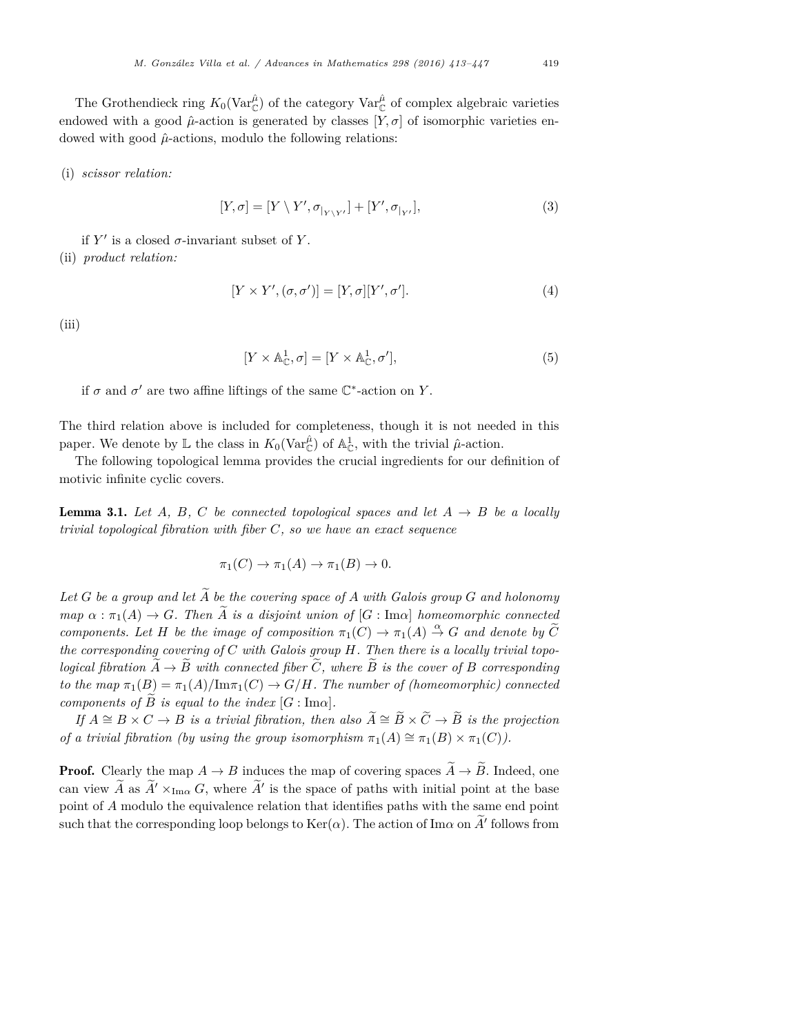The Grothendieck ring  $K_0(\text{Var}_{\mathbb{C}}^{\hat{\mu}})$  of the category  $\text{Var}_{\mathbb{C}}^{\hat{\mu}}$  of complex algebraic varieties endowed with a good  $\hat{\mu}$ -action is generated by classes [*Y*,  $\sigma$ ] of isomorphic varieties endowed with good  $\hat{\mu}$ -actions, modulo the following relations:

#### (i) *scissor relation:*

$$
[Y,\sigma] = [Y \setminus Y', \sigma_{|_{Y \setminus Y'}}] + [Y', \sigma_{|_{Y'}}],
$$
\n(3)

if  $Y'$  is a closed  $\sigma$ -invariant subset of Y.

(ii) *product relation:*

$$
[Y \times Y', (\sigma, \sigma')] = [Y, \sigma][Y', \sigma']. \tag{4}
$$

(iii)

$$
[Y \times \mathbb{A}_{\mathbb{C}}^1, \sigma] = [Y \times \mathbb{A}_{\mathbb{C}}^1, \sigma'], \tag{5}
$$

if  $\sigma$  and  $\sigma'$  are two affine liftings of the same  $\mathbb{C}^*$ -action on *Y*.

The third relation above is included for completeness, though it is not needed in this paper. We denote by  $\mathbb L$  the class in  $K_0(\text{Var}_{\mathbb C}^{\hat{\mu}})$  of  $\mathbb A^1_{\mathbb C}$ , with the trivial  $\hat{\mu}$ -action.

The following topological lemma provides the crucial ingredients for our definition of motivic infinite cyclic covers.

**Lemma 3.1.** Let  $A$ ,  $B$ ,  $C$  be connected topological spaces and let  $A \rightarrow B$  be a locally *trivial topological fibration with fiber C, so we have an exact sequence*

$$
\pi_1(C) \to \pi_1(A) \to \pi_1(B) \to 0.
$$

Let G be a group and let  $\widetilde{A}$  be the covering space of A with Galois group G and holonomy  $map \ \alpha : \pi_1(A) \to G$ *. Then*  $\tilde{A}$  *is* a *disjoint union* of  $[G : \text{Im} \alpha]$  *homeomorphic connected components.* Let *H* be the *image* of *composition*  $\pi_1(C) \to \pi_1(A) \stackrel{\alpha}{\to} G$  *and denote by*  $\widetilde{C}$ *the corresponding covering of C with Galois group H. Then there is a locally trivial topological fibration*  $\tilde{A} \rightarrow \tilde{B}$  *with* connected *fiber*  $\tilde{C}$ , *where*  $\tilde{B}$  *is the cover* of *B corresponding to the*  $map \pi_1(B) = \pi_1(A)/\text{Im}\pi_1(C) \rightarrow G/H$ *. The number of (homeomorphic) connected components of*  $\widetilde{B}$  *is equal to the index*  $[G : \text{Im}\alpha]$ *.* 

 $If A \cong B \times C \to B$  *is a trivial fibration, then also*  $A \cong B \times C \to B$  *is the projection of a trivial fibration (by using the group isomorphism*  $\pi_1(A) \cong \pi_1(B) \times \pi_1(C)$ *).* 

**Proof.** Clearly the map  $A \rightarrow B$  induces the map of covering spaces  $\widetilde{A} \rightarrow \widetilde{B}$ . Indeed, one can view *A* as  $A' \times_{Im\alpha} G$ , where  $A'$  is the space of paths with initial point at the base point of *A* modulo the equivalence relation that identifies paths with the same end point such that the corresponding loop belongs to  $\text{Ker}(\alpha)$ . The action of Im $\alpha$  on  $\overline{A}$ ' follows from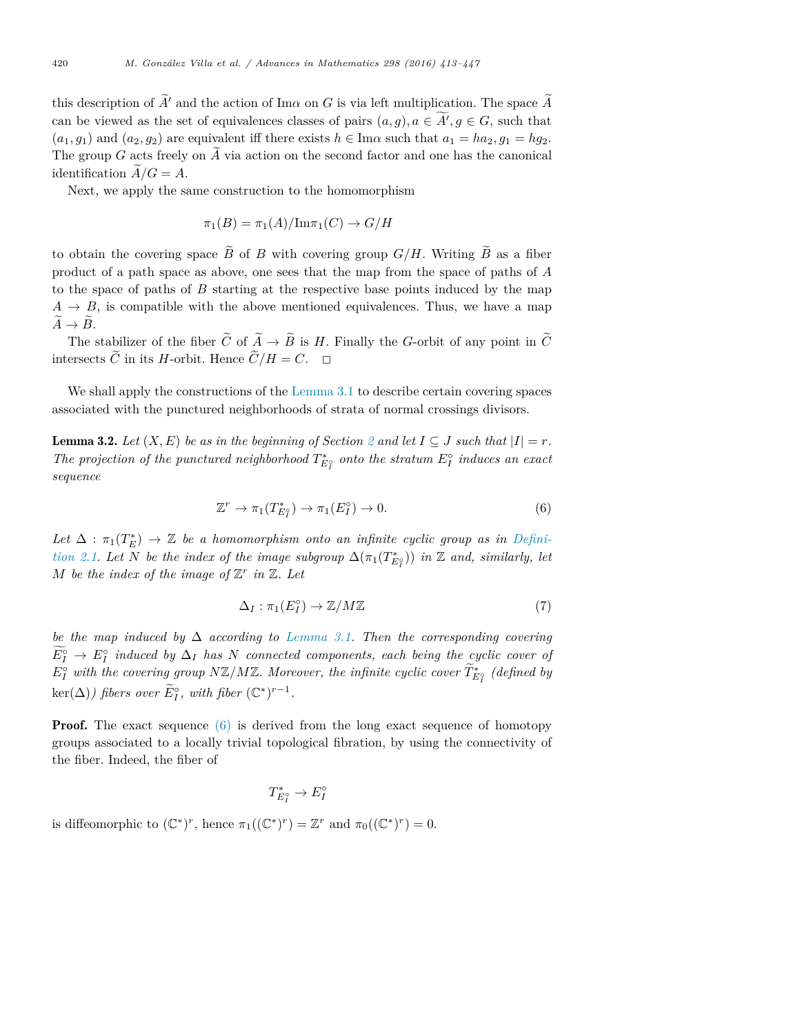this description of  $\widetilde{A}'$  and the action of Im<sub>a</sub> on G is via left multiplication. The space  $\widetilde{A}$ can be viewed as the set of equivalences classes of pairs  $(a, g), a \in A', g \in G$ , such that  $(a_1, g_1)$  and  $(a_2, g_2)$  are equivalent iff there exists  $h \in \text{Im}\alpha$  such that  $a_1 = ha_2, g_1 = hg_2$ . The group *G* acts freely on  $\tilde{A}$  via action on the second factor and one has the canonical identification  $\ddot{A}/G = A$ .

Next, we apply the same construction to the homomorphism

$$
\pi_1(B) = \pi_1(A)/\mathrm{Im}\pi_1(C) \to G/H
$$

to obtain the covering space  $\widetilde{B}$  of *B* with covering group  $G/H$ . Writing  $\widetilde{B}$  as a fiber product of a path space as above, one sees that the map from the space of paths of *A* to the space of paths of *B* starting at the respective base points induced by the map  $A \rightarrow B$ , is compatible with the above mentioned equivalences. Thus, we have a map  $\widetilde{A} \to \widetilde{B}$ .

The stabilizer of the fiber  $\tilde{C}$  of  $\tilde{A} \to \tilde{B}$  is *H*. Finally the *G*-orbit of any point in  $\tilde{C}$ intersects  $\tilde{C}$  in its *H*-orbit. Hence  $\tilde{C}/H = C$ .  $\Box$ 

We shall apply the constructions of the Lemma 3.1 to describe certain covering spaces associated with the punctured neighborhoods of strata of normal crossings divisors.

**Lemma 3.2.** Let  $(X, E)$  be as in the beginning of Section 2 and let  $I \subseteq J$  such that  $|I| = r$ . *The projection of the punctured neighborhood*  $T_{E_I}^*$  *onto the stratum*  $E_I^{\circ}$  *induces an exact sequence*

$$
\mathbb{Z}^r \to \pi_1(T^*_{E_I^o}) \to \pi_1(E_I^o) \to 0. \tag{6}
$$

 $Let \Delta : \pi_1(T_E^*) \to \mathbb{Z}$  be a homomorphism onto an infinite cyclic group as in Defini*tion 2.1. Let N be the index of the image subgroup*  $\Delta(\pi_1(T_{E_l^2}^*))$  *in* Z *and, similarly, let M* be the index of the image of  $\mathbb{Z}^r$  in  $\mathbb{Z}$ *. Let* 

$$
\Delta_I: \pi_1(E_I^{\circ}) \to \mathbb{Z}/M\mathbb{Z} \tag{7}
$$

*be the map induced by* ∆ *according to Lemma 3.1. Then the corresponding covering*  $E_I^{\circ} \to E_I^{\circ}$  *induced by*  $\Delta_I$  *has N connected components, each being the cyclic cover of*  $E_I^{\circ}$  with the covering group NZ/MZ. Moreover, the infinite cyclic cover  $T_{E_I^{\circ}}^*$  (defined by  $\ker(\Delta)$ *) fibers over*  $\widetilde{E}_I^{\circ}$ *, with fiber*  $(\mathbb{C}^*)^{r-1}$ *.* 

**Proof.** The exact sequence  $(6)$  is derived from the long exact sequence of homotopy groups associated to a locally trivial topological fibration, by using the connectivity of the fiber. Indeed, the fiber of

$$
T_{E_I^{\circ}}^* \to E_I^{\circ}
$$

is diffeomorphic to  $(\mathbb{C}^*)^r$ , hence  $\pi_1((\mathbb{C}^*)^r) = \mathbb{Z}^r$  and  $\pi_0((\mathbb{C}^*)^r) = 0$ .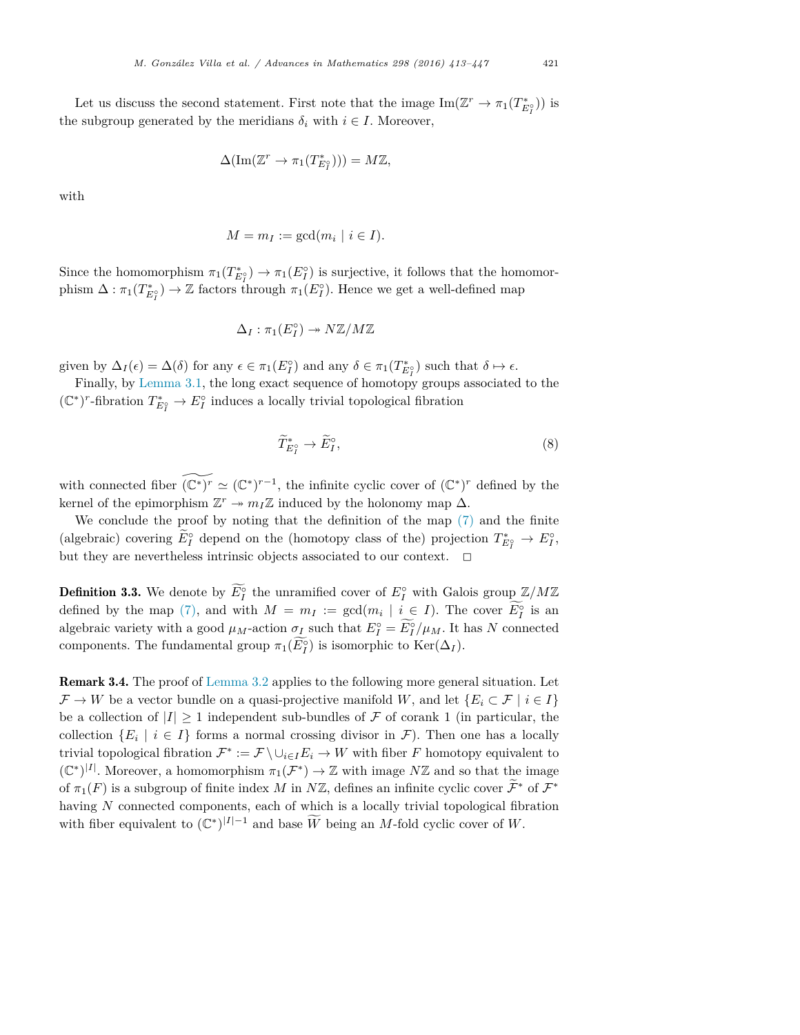Let us discuss the second statement. First note that the image  $\text{Im}(\mathbb{Z}^r \to \pi_1(T_{E_I^s}^*))$  is the subgroup generated by the meridians  $\delta_i$  with  $i \in I$ . Moreover,

$$
\Delta(\mathrm{Im}(\mathbb{Z}^r \to \pi_1(T^*_{E_I^{\circ}}))) = M\mathbb{Z},
$$

with

$$
M = m_I := \gcd(m_i \mid i \in I).
$$

Since the homomorphism  $\pi_1(T_{E_I}^*) \to \pi_1(E_I)$  is surjective, it follows that the homomorphism  $\Delta: \pi_1(T^*_{E_I^{\circ}}) \to \mathbb{Z}$  factors through  $\pi_1(E_I^{\circ})$ . Hence we get a well-defined map

$$
\Delta_I : \pi_1(E_I^{\circ}) \to N\mathbb{Z}/M\mathbb{Z}
$$

given by  $\Delta_I(\epsilon) = \Delta(\delta)$  for any  $\epsilon \in \pi_1(E_I^{\circ})$  and any  $\delta \in \pi_1(T_{E_I^{\circ}}^*)$  such that  $\delta \mapsto \epsilon$ .

Finally, by Lemma 3.1, the long exact sequence of homotopy groups associated to the  $(\mathbb{C}^*)^r$ -fibration  $T^*_{E^{\circ}_I}$  →  $E^{\circ}_I$  induces a locally trivial topological fibration

$$
\widetilde{T}^*_{E_I^{\circ}} \to \widetilde{E}_I^{\circ},\tag{8}
$$

with connected fiber  $(\mathbb{C}^*)^r \simeq (\mathbb{C}^*)^{r-1}$ , the infinite cyclic cover of  $(\mathbb{C}^*)^r$  defined by the kernel of the epimorphism  $\mathbb{Z}^r \to m_I \mathbb{Z}$  induced by the holonomy map  $\Delta$ .

We conclude the proof by noting that the definition of the map (7) and the finite (algebraic) covering  $E_I^{\circ}$  depend on the (homotopy class of the) projection  $T_{E_I^{\circ}}^* \to E_I^{\circ}$ , but they are nevertheless intrinsic objects associated to our context.  $\Box$ 

**Definition 3.3.** We denote by  $E_I^{\circ}$  the unramified cover of  $E_I^{\circ}$  with Galois group  $\mathbb{Z}/M\mathbb{Z}$ defined by the map (7), and with  $M = m_I := \gcd(m_i \mid i \in I)$ . The cover  $E_I^{\circ}$  is an algebraic variety with a good  $\mu_M$ -action  $\sigma_L$  such that  $E_I^{\circ} = E_I^{\circ}/\mu_M$ . It has  $N$  connected components. The fundamental group  $\pi_1(E_I^{\circ})$  is isomorphic to  $\text{Ker}(\Delta_I)$ .

Remark 3.4. The proof of Lemma 3.2 applies to the following more general situation. Let  $\mathcal{F} \to W$  be a vector bundle on a quasi-projective manifold *W*, and let  $\{E_i \subset \mathcal{F} \mid i \in I\}$ be a collection of  $|I| \geq 1$  independent sub-bundles of  $\mathcal F$  of corank 1 (in particular, the collection  ${E_i \mid i \in I}$  forms a normal crossing divisor in *F*). Then one has a locally trivial topological fibration  $\mathcal{F}^* := \mathcal{F} \setminus \cup_{i \in I} E_i \to W$  with fiber *F* homotopy equivalent to  $(\mathbb{C}^*)^{|I|}$ . Moreover, a homomorphism  $\pi_1(\mathcal{F}^*) \to \mathbb{Z}$  with image  $N\mathbb{Z}$  and so that the image of  $\pi_1(F)$  is a subgroup of finite index *M* in *N*Z, defines an infinite cyclic cover  $\mathcal{F}^*$  of  $\mathcal{F}^*$ having *N* connected components, each of which is a locally trivial topological fibration with fiber equivalent to  $(\mathbb{C}^*)^{|I|-1}$  and base  $\widetilde{W}$  being an *M*-fold cyclic cover of  $W$ .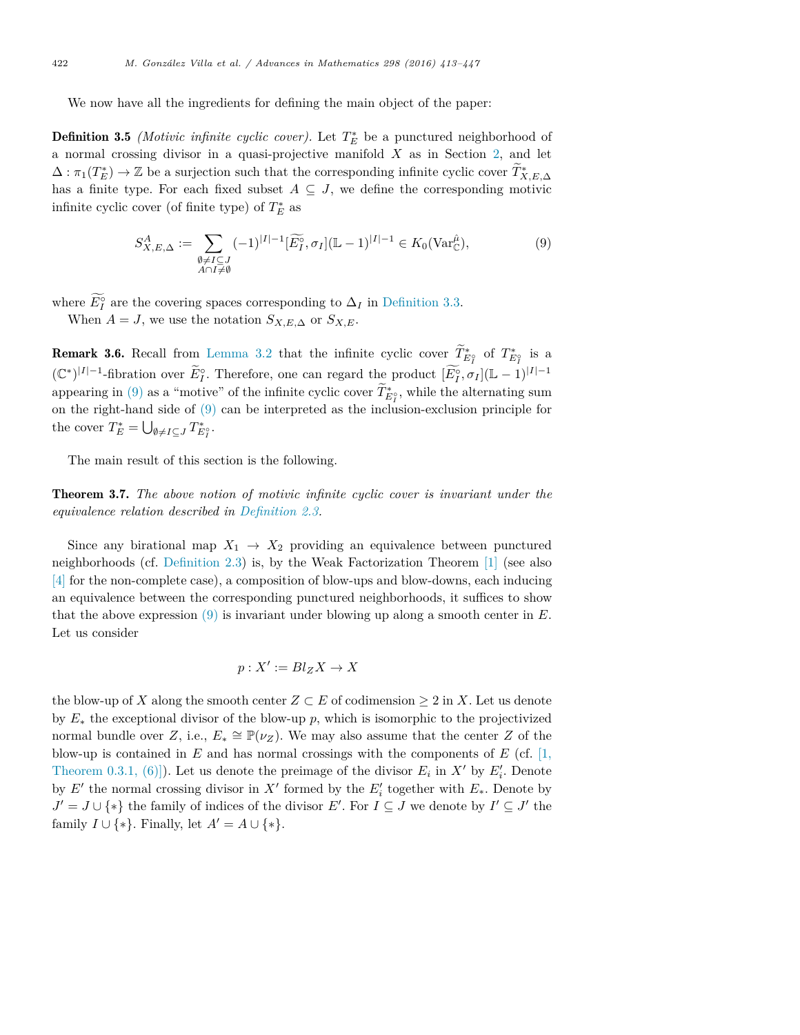We now have all the ingredients for defining the main object of the paper:

**Definition 3.5** *(Motivic infinite cyclic cover)*. Let  $T_E^*$  be a punctured neighborhood of a normal crossing divisor in a quasi-projective manifold *X* as in Section 2, and let  $\Delta: \pi_1(T_E^*) \to \mathbb{Z}$  be a surjection such that the corresponding infinite cyclic cover  $T_{X,E,\Delta}^*$ has a finite type. For each fixed subset  $A \subseteq J$ , we define the corresponding motivic infinite cyclic cover (of finite type) of  $T_E^*$  as

$$
S_{X,E,\Delta}^A := \sum_{\substack{\emptyset \neq I \subseteq J \\ A \cap I \neq \emptyset}} (-1)^{|I|-1} [\widetilde{E_I^{\circ}}, \sigma_I](\mathbb{L} - 1)^{|I|-1} \in K_0(\text{Var}_{\mathbb{C}}^{\hat{\mu}}),\tag{9}
$$

where  $E_I^{\circ}$  are the covering spaces corresponding to  $\Delta_I$  in Definition 3.3. When  $A = J$ , we use the notation  $S_{X,E,\Delta}$  or  $S_{X,E}$ .

**Remark 3.6.** Recall from Lemma 3.2 that the infinite cyclic cover  $T_{E_I^*}^*$  of  $T_{E_I^*}^*$  is a  $(\mathbb{C}^*)^{|I|-1}$ -fibration over  $\widetilde{E}^{\circ}_I$ . Therefore, one can regard the product  $[\widetilde{E}^{\circ}_I, \sigma_I](\mathbb{L} - 1)^{|I|-1}$ appearing in  $(9)$  as a "motive" of the infinite cyclic cover  $T_{E_I^o}^*$ , while the alternating sum on the right-hand side of (9) can be interpreted as the inclusion-exclusion principle for the cover  $T_E^* = \bigcup_{\emptyset \neq I \subseteq J} T_{E_I^{\circ}}^*$ .

The main result of this section is the following.

Theorem 3.7. *The above notion of motivic infinite cyclic cover is invariant under the equivalence relation described in Definition 2.3.*

Since any birational map  $X_1 \rightarrow X_2$  providing an equivalence between punctured neighborhoods (cf. Definition 2.3) is, by the Weak Factorization Theorem [1] (see also [4] for the non-complete case), a composition of blow-ups and blow-downs, each inducing an equivalence between the corresponding punctured neighborhoods, it suffices to show that the above expression (9) is invariant under blowing up along a smooth center in *E*. Let us consider

$$
p: X' := Bl_Z X \to X
$$

the blow-up of *X* along the smooth center  $Z \subset E$  of codimension  $\geq 2$  in *X*. Let us denote by *E*<sup>∗</sup> the exceptional divisor of the blow-up *p*, which is isomorphic to the projectivized normal bundle over *Z*, i.e.,  $E_* \cong \mathbb{P}(\nu_Z)$ . We may also assume that the center *Z* of the blow-up is contained in  $E$  and has normal crossings with the components of  $E$  (cf. [1, Theorem 0.3.1, (6)]). Let us denote the preimage of the divisor  $E_i$  in  $X'$  by  $E'_i$ . Denote by  $E'$  the normal crossing divisor in  $X'$  formed by the  $E'_{i}$  together with  $E_{*}$ . Denote by *J*′ = *J* ∪  $\{*\}$  the family of indices of the divisor *E*'. For *I* ⊆ *J* we denote by *I*' ⊆ *J*' the family  $I \cup \{*\}$ . Finally, let  $A' = A \cup \{*\}.$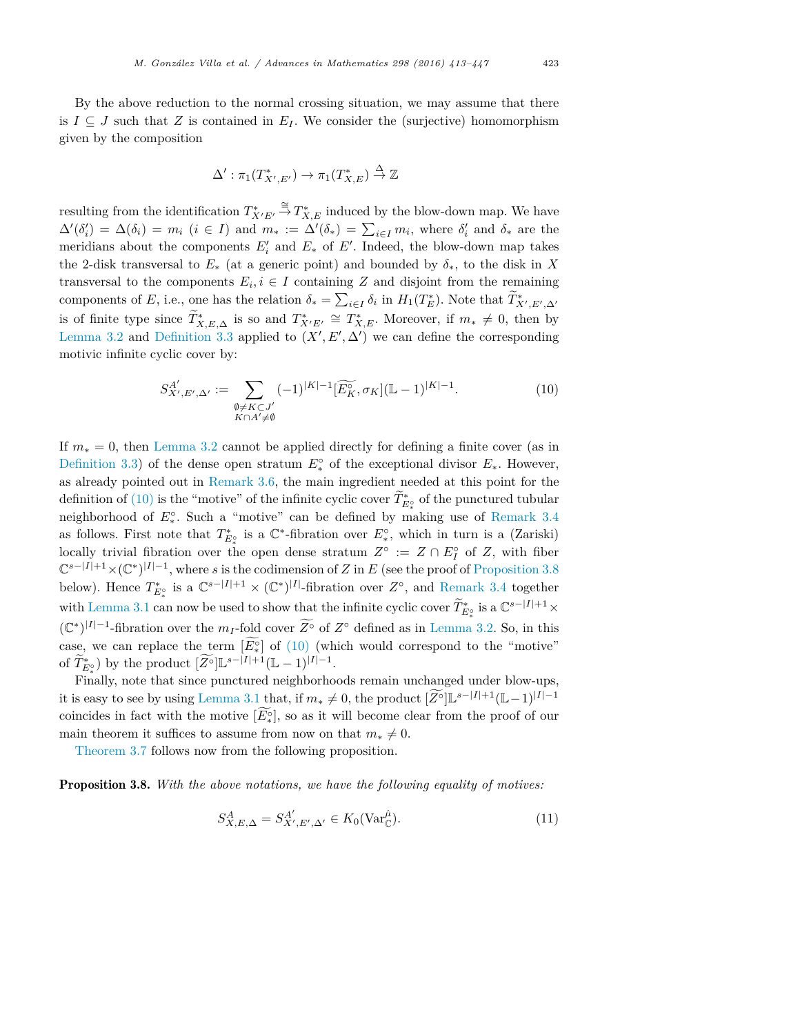By the above reduction to the normal crossing situation, we may assume that there is  $I \subseteq J$  such that *Z* is contained in  $E_I$ . We consider the (surjective) homomorphism given by the composition

$$
\Delta': \pi_1(T^*_{X',E'}) \to \pi_1(T^*_{X,E}) \stackrel{\Delta}{\to} \mathbb{Z}
$$

resulting from the identification  $T^*_{X'E'}$  $\xrightarrow{\cong} T_{X,E}^*$  induced by the blow-down map. We have  $\Delta'(\delta_i') = \Delta(\delta_i) = m_i$  (*i* ∈ *I*) and  $m_* := \Delta'(\delta_*) = \sum_{i \in I} m_i$ , where  $\delta_i'$  and  $\delta_*$  are the meridians about the components  $E'_{i}$  and  $E_{*}$  of  $E'$ . Indeed, the blow-down map takes the 2-disk transversal to  $E_*$  (at a generic point) and bounded by  $\delta_*$ , to the disk in X transversal to the components  $E_i, i \in I$  containing *Z* and disjoint from the remaining components of *E*, i.e., one has the relation  $\delta_* = \sum_{i \in I} \delta_i$  in  $H_1(T_E^*)$ . Note that  $\widetilde{T}_{X',E',\Delta'}^*$ is of finite type since  $T^*_{X,E,\Delta}$  is so and  $T^*_{X'E'} \cong T^*_{X,E}$ . Moreover, if  $m_* \neq 0$ , then by Lemma 3.2 and Definition 3.3 applied to  $(X', E', \Delta')$  we can define the corresponding motivic infinite cyclic cover by:

$$
S_{X',E',\Delta'}^{A'} := \sum_{\substack{\emptyset \neq K \subset J'\\K \cap A' \neq \emptyset}} (-1)^{|K|-1} [\widetilde{E_K^{\circ}}, \sigma_K] (\mathbb{L} - 1)^{|K|-1}.
$$
 (10)

If *m*<sup>∗</sup> = 0, then Lemma 3.2 cannot be applied directly for defining a finite cover (as in Definition 3.3) of the dense open stratum  $E^{\circ}_*$  of the exceptional divisor  $E_*$ . However, as already pointed out in Remark 3.6, the main ingredient needed at this point for the definition of (10) is the "motive" of the infinite cyclic cover  $T_{E_{\varphi}}^*$  of the punctured tubular neighborhood of  $E^{\circ}_*$ . Such a "motive" can be defined by making use of Remark 3.4 as follows. First note that  $T_{E_*^{\diamond}}^*$  is a  $\mathbb{C}^*$ -fibration over  $E_*^{\diamond}$ , which in turn is a (Zariski) locally trivial fibration over the open dense stratum  $Z^{\circ} := Z \cap E_I^{\circ}$  of  $Z$ , with fiber  $\mathbb{C}^{s-|I|+1} \times (\mathbb{C}^*)^{|I|-1}$ , where *s* is the codimension of *Z* in *E* (see the proof of Proposition 3.8) below). Hence  $T_{E_*^{\diamond}}^*$  is a  $\mathbb{C}^{s-|I|+1} \times (\mathbb{C}^*)^{|I|}$ -fibration over  $Z^{\circ}$ , and Remark 3.4 together with Lemma 3.1 can now be used to show that the infinite cyclic cover  $\widetilde{T}^*_{E^*_*}$  is a  $\mathbb{C}^{s-|I|+1} \times$  $(\mathbb{C}^*)^{|I|-1}$ -fibration over the *m<sub>I</sub>*-fold cover  $\widetilde{Z}^\circ$  of  $Z^\circ$  defined as in Lemma 3.2. So, in this case, we can replace the term  $[E_{\circ}^{\circ}]$  of (10) (which would correspond to the "motive" of  $\widetilde{T}_{k}^{*}$ ) by the product  $[Z^{\circ}] \mathbb{L}^{s-|I|+1} (\mathbb{L} - 1)^{|I|-1}$ .

Finally, note that since punctured neighborhoods remain unchanged under blow-ups, it is easy to see by using Lemma 3.1 that, if  $m_* \neq 0$ , the product  $[Z^{\circ}] \mathbb{L}^{s-|I|+1} (\mathbb{L} - 1)^{|I|-1}$ coincides in fact with the motive  $[E^{\circ}_{*}]$ , so as it will become clear from the proof of our main theorem it suffices to assume from now on that  $m_* \neq 0$ .

Theorem 3.7 follows now from the following proposition.

Proposition 3.8. *With the above notations, we have the following equality of motives:*

$$
S_{X,E,\Delta}^A = S_{X',E',\Delta'}^{A'} \in K_0(\text{Var}_{\mathbb{C}}^{\hat{\mu}}).
$$
 (11)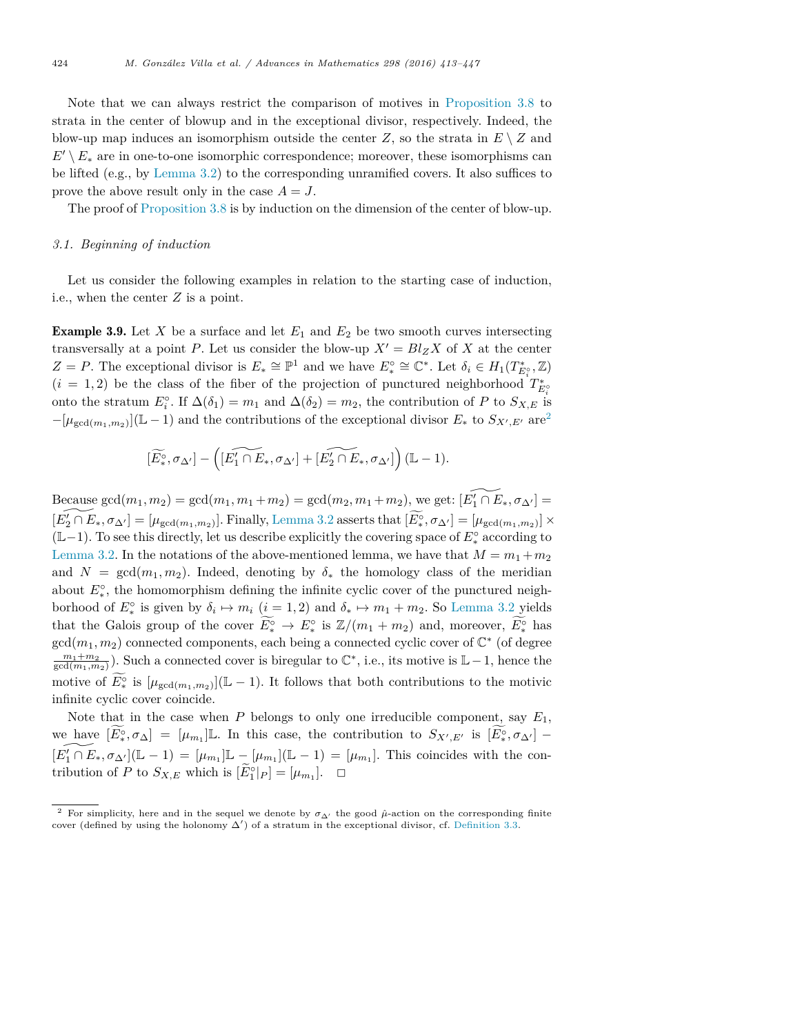Note that we can always restrict the comparison of motives in Proposition 3.8 to strata in the center of blowup and in the exceptional divisor, respectively. Indeed, the blow-up map induces an isomorphism outside the center  $Z$ , so the strata in  $E \setminus Z$  and  $E' \setminus E_*$  are in one-to-one isomorphic correspondence; moreover, these isomorphisms can be lifted (e.g., by Lemma 3.2) to the corresponding unramified covers. It also suffices to prove the above result only in the case  $A = J$ .

The proof of Proposition 3.8 is by induction on the dimension of the center of blow-up.

#### *3.1. Beginning of induction*

Let us consider the following examples in relation to the starting case of induction, i.e., when the center *Z* is a point.

**Example 3.9.** Let X be a surface and let  $E_1$  and  $E_2$  be two smooth curves intersecting transversally at a point *P*. Let us consider the blow-up  $X' = Bl_Z X$  of X at the center  $Z = P$ . The exceptional divisor is  $E_* \cong \mathbb{P}^1$  and we have  $E_*^{\circ} \cong \mathbb{C}^*$ . Let  $\delta_i \in H_1(T_{E_i^{\circ}}^*, \mathbb{Z})$  $(i = 1, 2)$  be the class of the fiber of the projection of punctured neighborhood  $T_{E_i^{\circ}}^*$ onto the stratum  $E_i^{\circ}$ . If  $\Delta(\delta_1) = m_1$  and  $\Delta(\delta_2) = m_2$ , the contribution of *P* to  $S_{X,E}$  is  $-[\mu_{\gcd(m_1,m_2)}](\mathbb{L}-1)$  and the contributions of the exceptional divisor  $E_*$  to  $S_{X',E'}$  are<sup>2</sup>

$$
[\widetilde{E^{\circ}_*},\sigma_{\Delta'}] - \left([\widetilde{E'_1 \cap E_*},\sigma_{\Delta'}] + [\widetilde{E'_2 \cap E_*},\sigma_{\Delta'}]\right)(\mathbb{L} - 1).
$$

Because gcd $(m_1, m_2) = \text{gcd}(m_1, m_1 + m_2) = \text{gcd}(m_2, m_1 + m_2)$ , we get:  $[E'_1 \cap E_*, \sigma_{\Delta'}] =$  $[E'_2 \cap E_*, \sigma_{\Delta'}] = [\mu_{\gcd(m_1,m_2)}].$  Finally, Lemma 3.2 asserts that  $[\widetilde{E}_*^{\circ}, \sigma_{\Delta'}] = [\mu_{\gcd(m_1,m_2)}] \times$ (L−1). To see this directly, let us describe explicitly the covering space of *E*◦ <sup>∗</sup> according to Lemma 3.2. In the notations of the above-mentioned lemma, we have that  $M = m_1 + m_2$ and  $N = \text{gcd}(m_1, m_2)$ . Indeed, denoting by  $\delta_*$  the homology class of the meridian about  $E^{\circ}_{*}$ , the homomorphism defining the infinite cyclic cover of the punctured neighborhood of  $E^{\circ}_*$  is given by  $\delta_i \mapsto m_i$  ( $i = 1, 2$ ) and  $\delta_* \mapsto m_1 + m_2$ . So Lemma 3.2 yields that the Galois group of the cover  $E^{\circ}_* \to E^{\circ}_*$  is  $\mathbb{Z}/(m_1 + m_2)$  and, moreover,  $E^{\circ}_*$  has  $gcd(m_1, m_2)$  connected components, each being a connected cyclic cover of  $\mathbb{C}^*$  (of degree  $\frac{m_1+m_2}{\gcd(m_1,m_2)}$ ). Such a connected cover is biregular to  $\mathbb{C}^*$ , i.e., its motive is  $\mathbb{L}-1$ , hence the motive of  $E^{\circ}_*$  is  $[\mu_{\gcd(m_1,m_2)}](\mathbb{L}-1)$ . It follows that both contributions to the motivic infinite cyclic cover coincide.

Note that in the case when  $P$  belongs to only one irreducible component, say  $E_1$ , we have  $[E^{\circ}_*, \sigma_{\Delta}] = [\mu_{m_1}] \mathbb{L}$ . In this case, the contribution to  $S_{X',E'}$  is  $[E^{\circ}_*, \sigma_{\Delta'}]$  –  $[E'_1 \cap E_*, \sigma_{\Delta'}](\mathbb{L} - 1) = [\mu_{m_1}]\mathbb{L} - [\mu_{m_1}](\mathbb{L} - 1) = [\mu_{m_1}]$ . This coincides with the contribution of *P* to  $S_{X,E}$  which is  $[E_1^{\circ}|_P] = [\mu_{m_1}]$ .  $\Box$ 

<sup>&</sup>lt;sup>2</sup> For simplicity, here and in the sequel we denote by  $\sigma_{\Delta'}$  the good  $\hat{\mu}$ -action on the corresponding finite cover (defined by using the holonomy  $\Delta'$ ) of a stratum in the exceptional divisor, cf. Definition 3.3.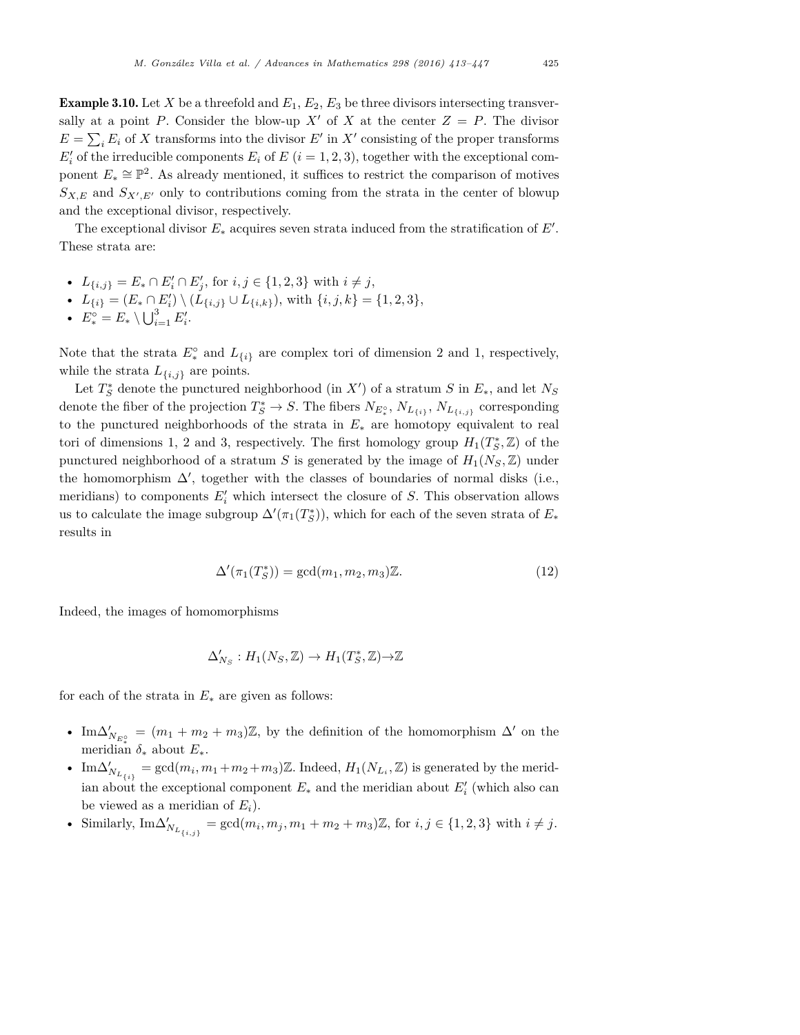**Example 3.10.** Let X be a threefold and  $E_1, E_2, E_3$  be three divisors intersecting transversally at a point *P*. Consider the blow-up  $X'$  of  $X$  at the center  $Z = P$ . The divisor  $E = \sum_i E_i$  of *X* transforms into the divisor *E'* in *X'* consisting of the proper transforms  $E'_{i}$  of the irreducible components  $E_{i}$  of  $E$  ( $i = 1, 2, 3$ ), together with the exceptional component  $E_* \cong \mathbb{P}^2$ . As already mentioned, it suffices to restrict the comparison of motives  $S_{X,E}$  and  $S_{X',E'}$  only to contributions coming from the strata in the center of blowup and the exceptional divisor, respectively.

The exceptional divisor  $E_*$  acquires seven strata induced from the stratification of  $E'$ . These strata are:

- $L_{\{i,j\}} = E_* \cap E'_i \cap E'_j$ , for  $i, j \in \{1, 2, 3\}$  with  $i \neq j$ ,
- $L_{\{i\}} = (E_* \cap E_i') \setminus (L_{\{i,j\}} \cup L_{\{i,k\}}),$  with  $\{i,j,k\} = \{1,2,3\},$
- $E_*^{\circ} = E_* \setminus \bigcup_{i=1}^3 E'_i$ .

Note that the strata  $E^{\circ}_*$  and  $L_{\{i\}}$  are complex tori of dimension 2 and 1, respectively, while the strata  $L_{\{i,j\}}$  are points.

Let  $T_S^*$  denote the punctured neighborhood (in  $X'$ ) of a stratum  $S$  in  $E_*,$  and let  $N_S$ denote the fiber of the projection  $T_S^* \to S$ . The fibers  $N_{E_*^{\circ}}$ ,  $N_{L_{\{i\}}}, N_{L_{\{i,j\}}}$  corresponding to the punctured neighborhoods of the strata in *E*<sup>∗</sup> are homotopy equivalent to real tori of dimensions 1, 2 and 3, respectively. The first homology group  $H_1(T^*_S, \mathbb{Z})$  of the punctured neighborhood of a stratum *S* is generated by the image of  $H_1(N_S, \mathbb{Z})$  under the homomorphism  $\Delta'$ , together with the classes of boundaries of normal disks (i.e., meridians) to components *E*′ *<sup>i</sup>* which intersect the closure of *S*. This observation allows us to calculate the image subgroup  $\Delta'(\pi_1(T^*_S))$ , which for each of the seven strata of  $E_*$ results in

$$
\Delta'(\pi_1(T_S^*)) = \gcd(m_1, m_2, m_3)\mathbb{Z}.
$$
\n(12)

Indeed, the images of homomorphisms

$$
\Delta'_{N_S}: H_1(N_S, \mathbb{Z}) \to H_1(T_S^*, \mathbb{Z}) \to \mathbb{Z}
$$

for each of the strata in  $E_*$  are given as follows:

- Im $\Delta'_{N_{E_*^{\circ}}} = (m_1 + m_2 + m_3) \mathbb{Z}$ , by the definition of the homomorphism  $\Delta'$  on the meridian  $\delta_*$  about  $E_*$ .
- Im∆ $'_{N_{L_{\{i\}}}}$  = gcd $(m_i, m_1 + m_2 + m_3)\mathbb{Z}$ . Indeed,  $H_1(N_{L_i}, \mathbb{Z})$  is generated by the meridian about the exceptional component  $E_*$  and the meridian about  $E'_i$  (which also can be viewed as a meridian of  $E_i$ ).
- Similarly,  ${\rm Im}\Delta'_{N_{L_{\{i,j\}}}} = \gcd(m_i, m_j, m_1 + m_2 + m_3)\mathbb{Z}$ , for  $i, j \in \{1, 2, 3\}$  with  $i \neq j$ .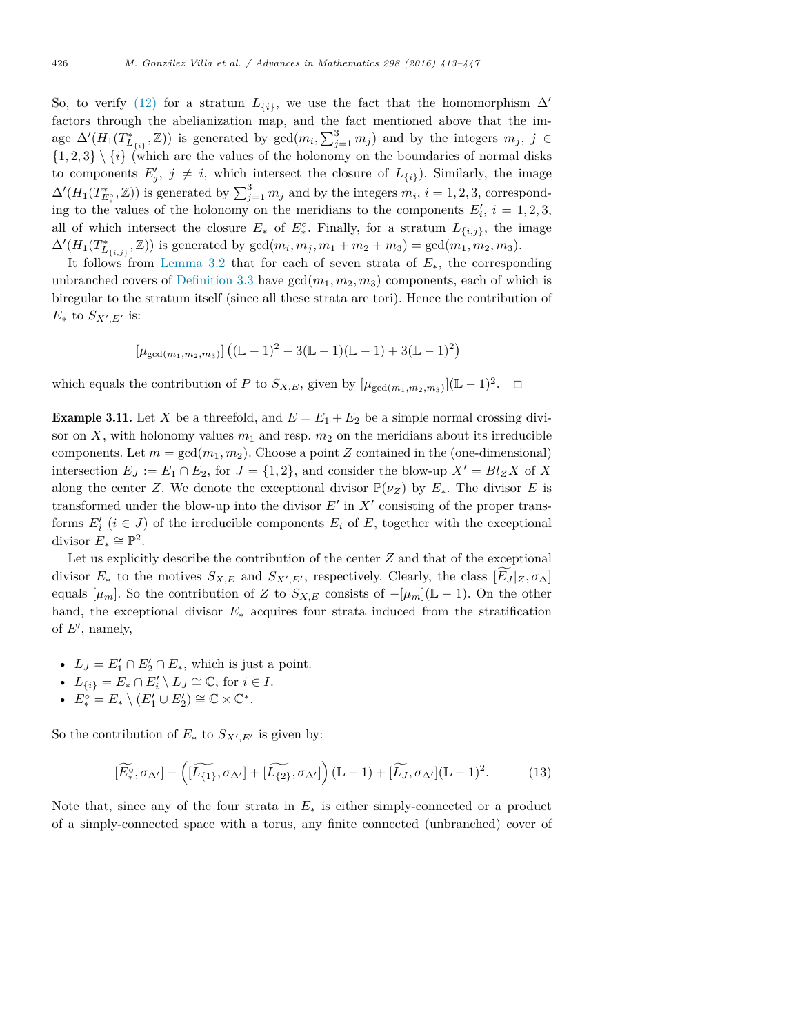So, to verify (12) for a stratum  $L_{\{i\}}$ , we use the fact that the homomorphism  $\Delta'$ factors through the abelianization map, and the fact mentioned above that the image  $\Delta'(H_1(T_{L_{\{i\}}^*}^*, \mathbb{Z}))$  is generated by  $gcd(m_i, \sum_{j=1}^3 m_j)$  and by the integers  $m_j$ ,  $j \in$  $\{1,2,3\} \setminus \{i\}$  (which are the values of the holonomy on the boundaries of normal disks to components  $E'_{j}$ ,  $j \neq i$ , which intersect the closure of  $L_{\{i\}}$ ). Similarly, the image  $\Delta'(H_1(T_{E_*^{\circ}}^*, \mathbb{Z}))$  is generated by  $\sum_{j=1}^3 m_j$  and by the integers  $m_i$ ,  $i = 1, 2, 3$ , corresponding to the values of the holonomy on the meridians to the components  $E'_{i}$ ,  $i = 1, 2, 3$ , all of which intersect the closure  $E_*$  of  $E_*^{\circ}$ . Finally, for a stratum  $L_{\{i,j\}}$ , the image  $\Delta'(H_1(T^*_{L_{\{i,j\}}},\mathbb{Z}))$  is generated by  $gcd(m_i,m_j,m_1+m_2+m_3) = gcd(m_1,m_2,m_3)$ .

It follows from Lemma 3.2 that for each of seven strata of *E*∗, the corresponding unbranched covers of Definition 3.3 have  $gcd(m_1, m_2, m_3)$  components, each of which is biregular to the stratum itself (since all these strata are tori). Hence the contribution of *E*<sup>∗</sup> to *SX*<sup>′</sup>,*E*<sup>′</sup> is:

$$
[\mu_{\gcd(m_1,m_2,m_3)}]\left((\mathbb{L}-1)^2-3(\mathbb{L}-1)(\mathbb{L}-1)+3(\mathbb{L}-1)^2\right)
$$

which equals the contribution of *P* to  $S_{X,E}$ , given by  $[\mu_{\gcd(m_1,m_2,m_3)}](\mathbb{L} - 1)^2$ . <del></del>□

**Example 3.11.** Let *X* be a threefold, and  $E = E_1 + E_2$  be a simple normal crossing divisor on *X*, with holonomy values  $m_1$  and resp.  $m_2$  on the meridians about its irreducible components. Let  $m = \gcd(m_1, m_2)$ . Choose a point *Z* contained in the (one-dimensional) intersection  $E_J := E_1 \cap E_2$ , for  $J = \{1, 2\}$ , and consider the blow-up  $X' = Bl_Z X$  of X along the center *Z*. We denote the exceptional divisor  $\mathbb{P}(\nu_Z)$  by  $E_*$ . The divisor *E* is transformed under the blow-up into the divisor  $E'$  in  $X'$  consisting of the proper transforms  $E'_{i}$  ( $i \in J$ ) of the irreducible components  $E_{i}$  of  $E$ , together with the exceptional divisor  $E_* \cong \mathbb{P}^2$ .

Let us explicitly describe the contribution of the center *Z* and that of the exceptional divisor  $E_*$  to the motives  $S_{X,E}$  and  $S_{X',E'}$ , respectively. Clearly, the class  $[E_J|_Z, \sigma_{\Delta}]$ equals  $[\mu_m]$ . So the contribution of *Z* to  $S_{X,E}$  consists of  $-[\mu_m](\mathbb{L} - 1)$ . On the other hand, the exceptional divisor *E*<sup>∗</sup> acquires four strata induced from the stratification of *E*′ , namely,

- $L_J = E'_1 \cap E'_2 \cap E_*$ , which is just a point.
- $L_{\{i\}} = E_* \cap E'_i \setminus L_J \cong \mathbb{C}$ , for  $i \in I$ .
- $E_*^{\circ} = E_* \setminus (E'_1 \cup E'_2) \cong \mathbb{C} \times \mathbb{C}^*.$

So the contribution of  $E_*$  to  $S_{X',E'}$  is given by:

$$
[\widetilde{E^{\circ}_{*}}, \sigma_{\Delta'}] - \left([\widetilde{L_{\{1\}}}, \sigma_{\Delta'}] + [\widetilde{L_{\{2\}}}, \sigma_{\Delta'}]\right)(\mathbb{L} - 1) + [\widetilde{L_{J}}, \sigma_{\Delta'}](\mathbb{L} - 1)^{2}.
$$
 (13)

Note that, since any of the four strata in  $E_*$  is either simply-connected or a product of a simply-connected space with a torus, any finite connected (unbranched) cover of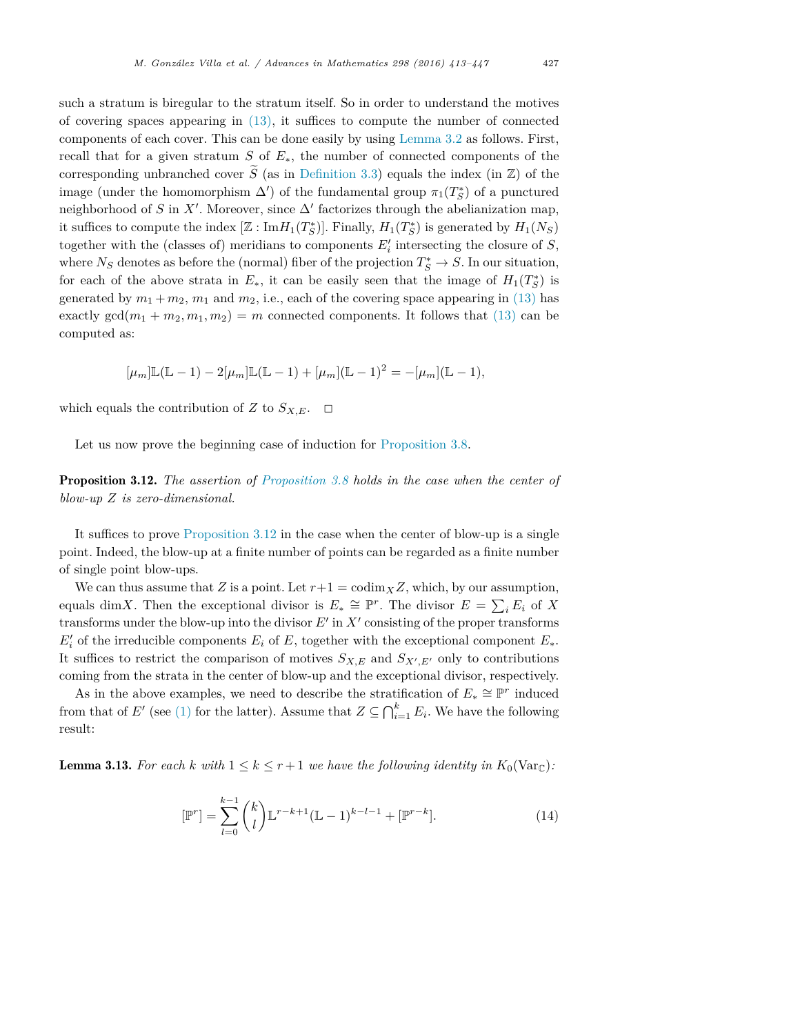such a stratum is biregular to the stratum itself. So in order to understand the motives of covering spaces appearing in (13), it suffices to compute the number of connected components of each cover. This can be done easily by using Lemma 3.2 as follows. First, recall that for a given stratum *S* of  $E_*$ , the number of connected components of the corresponding unbranched cover  $\widetilde{S}$  (as in Definition 3.3) equals the index (in  $\mathbb{Z}$ ) of the image (under the homomorphism  $\Delta'$ ) of the fundamental group  $\pi_1(T^*_S)$  of a punctured neighborhood of *S* in *X'*. Moreover, since  $\Delta'$  factorizes through the abelianization map, it suffices to compute the index  $[\mathbb{Z} : \text{Im}H_1(T_S^*)]$ . Finally,  $H_1(T_S^*)$  is generated by  $H_1(N_S)$ together with the (classes of) meridians to components  $E'_{i}$  intersecting the closure of  $S$ , where  $N_S$  denotes as before the (normal) fiber of the projection  $T_S^* \to S$ . In our situation, for each of the above strata in  $E_*$ , it can be easily seen that the image of  $H_1(T^*_S)$  is generated by  $m_1 + m_2$ ,  $m_1$  and  $m_2$ , i.e., each of the covering space appearing in (13) has exactly  $gcd(m_1 + m_2, m_1, m_2) = m$  connected components. It follows that (13) can be computed as:

$$
[\mu_m]\mathbb{L}(\mathbb{L}-1) - 2[\mu_m]\mathbb{L}(\mathbb{L}-1) + [\mu_m](\mathbb{L}-1)^2 = -[\mu_m](\mathbb{L}-1),
$$

which equals the contribution of *Z* to  $S_{X,E}$ .  $\Box$ 

Let us now prove the beginning case of induction for Proposition 3.8.

Proposition 3.12. *The assertion of Proposition 3.8 holds in the case when the center of blow-up Z is zero-dimensional.*

It suffices to prove Proposition 3.12 in the case when the center of blow-up is a single point. Indeed, the blow-up at a finite number of points can be regarded as a finite number of single point blow-ups.

We can thus assume that *Z* is a point. Let  $r+1 = \text{codim}_X Z$ , which, by our assumption, equals dim*X*. Then the exceptional divisor is  $E_* \cong \mathbb{P}^r$ . The divisor  $E = \sum_i E_i$  of X transforms under the blow-up into the divisor *E*′ in *X*′ consisting of the proper transforms  $E'_{i}$  of the irreducible components  $E_{i}$  of  $E$ , together with the exceptional component  $E_{*}$ . It suffices to restrict the comparison of motives  $S_{X,E}$  and  $S_{X',E'}$  only to contributions coming from the strata in the center of blow-up and the exceptional divisor, respectively.

As in the above examples, we need to describe the stratification of  $E_* \cong \mathbb{P}^r$  induced from that of *E'* (see (1) for the latter). Assume that  $Z \subseteq \bigcap_{i=1}^k E_i$ . We have the following result:

**Lemma 3.13.** For each k with  $1 \leq k \leq r+1$  we have the following identity in  $K_0(\text{Var}_{\mathbb{C}})$ :

$$
[\mathbb{P}^r] = \sum_{l=0}^{k-1} {k \choose l} \mathbb{L}^{r-k+1} (\mathbb{L} - 1)^{k-l-1} + [\mathbb{P}^{r-k}]. \tag{14}
$$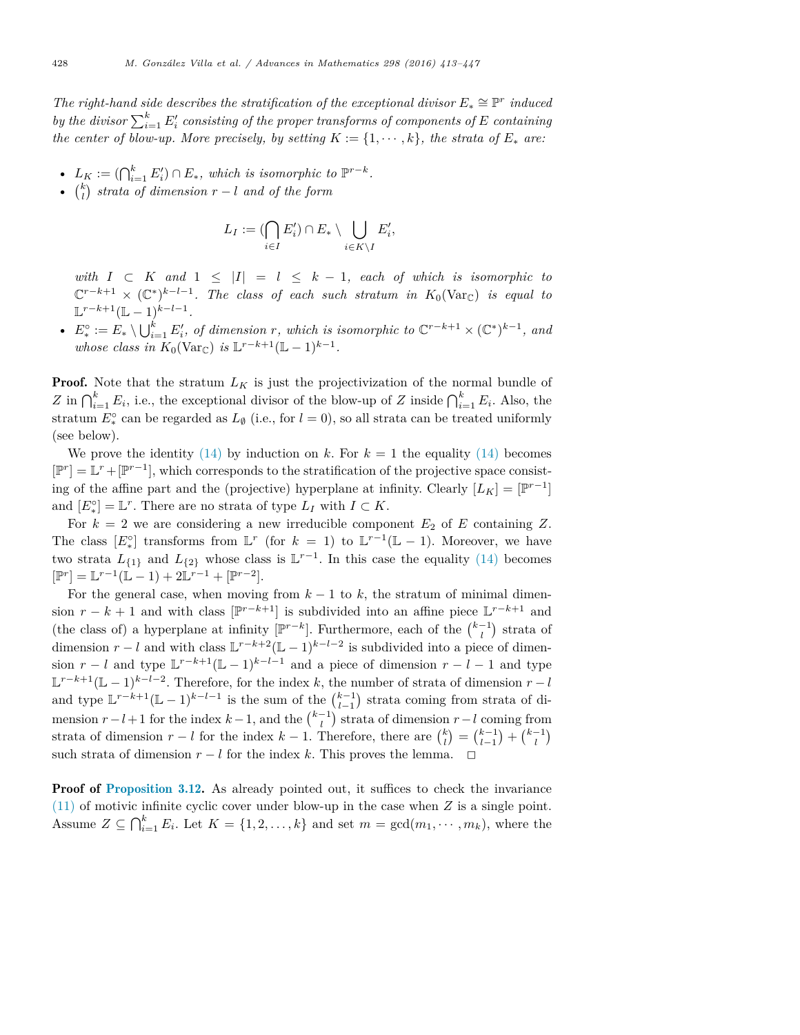*The right-hand side describes the stratification of the exceptional divisor*  $E_* \cong \mathbb{P}^r$  *induced*  $by$  *the divisor*  $\sum_{i=1}^{k} E'_i$  *consisting of the proper transforms of components of*  $E$  *containing* the center of blow-up. More precisely, by setting  $K := \{1, \dots, k\}$ , the strata of  $E_*$  are:

- $L_K := (\bigcap_{i=1}^k E'_i) \cap E_*$ , which is isomorphic to  $\mathbb{P}^{r-k}$ .
- $\binom{k}{l}$  *strata of dimension*  $r l$  *and of the form*

$$
L_I := (\bigcap_{i \in I} E'_i) \cap E_* \setminus \bigcup_{i \in K \setminus I} E'_i,
$$

*with*  $I \subset K$  *and*  $1 \leq |I| = l \leq k - 1$ *, each of which is isomorphic to*  $\mathbb{C}^{r-k+1} \times (\mathbb{C}^*)^{k-l-1}$ . The class of each such stratum in  $K_0(\text{Var}_{\mathbb{C}})$  is equal to  $\mathbb{L}^{r-k+1}(\mathbb{L} - 1)^{k-l-1}.$ 

•  $E_*^{\circ} := E_* \setminus \bigcup_{i=1}^k E'_i$ , of dimension r, which is isomorphic to  $\mathbb{C}^{r-k+1} \times (\mathbb{C}^*)^{k-1}$ , and *whose class in*  $K_0(\text{Var}_{\mathbb{C}})$  *is*  $\mathbb{L}^{r-k+1}(\mathbb{L} - 1)^{k-1}$ *.* 

**Proof.** Note that the stratum  $L_K$  is just the projectivization of the normal bundle of *Z* in  $\bigcap_{i=1}^k E_i$ , i.e., the exceptional divisor of the blow-up of *Z* inside  $\bigcap_{i=1}^k E_i$ . Also, the stratum  $E_*^{\circ}$  can be regarded as  $L_{\emptyset}$  (i.e., for  $l = 0$ ), so all strata can be treated uniformly (see below).

We prove the identity  $(14)$  by induction on k. For  $k = 1$  the equality  $(14)$  becomes  $[\mathbb{P}^r] = \mathbb{L}^r + [\mathbb{P}^{r-1}]$ , which corresponds to the stratification of the projective space consisting of the affine part and the (projective) hyperplane at infinity. Clearly  $[L_K] = [\mathbb{P}^{r-1}]$ and  $[E^{\circ}_{*}] = \mathbb{L}^{r}$ . There are no strata of type  $L_I$  with  $I \subset K$ .

For  $k = 2$  we are considering a new irreducible component  $E_2$  of  $E$  containing  $Z$ . The class  $[E^{\circ}]$  transforms from  $\mathbb{L}^r$  (for  $k = 1$ ) to  $\mathbb{L}^{r-1}(\mathbb{L} - 1)$ . Moreover, we have two strata  $L_{\{1\}}$  and  $L_{\{2\}}$  whose class is  $\mathbb{L}^{r-1}$ . In this case the equality (14) becomes  $[\mathbb{P}^r] = \mathbb{L}^{r-1}(\mathbb{L} - 1) + 2\mathbb{L}^{r-1} + [\mathbb{P}^{r-2}].$ 

For the general case, when moving from  $k-1$  to  $k$ , the stratum of minimal dimension  $r - k + 1$  and with class  $[\mathbb{P}^{r-k+1}]$  is subdivided into an affine piece  $\mathbb{L}^{r-k+1}$  and (the class of) a hyperplane at infinity  $[\mathbb{P}^{r-k}]$ . Furthermore, each of the  $\binom{k-1}{l}$  strata of dimension  $r - l$  and with class  $\mathbb{L}^{r-k+2}(\mathbb{L} - 1)^{k-l-2}$  is subdivided into a piece of dimension  $r - l$  and type  $\mathbb{L}^{r-k+1}(\mathbb{L} - 1)^{k-l-1}$  and a piece of dimension  $r - l - 1$  and type  $\mathbb{L}^{r-k+1}(\mathbb{L}-1)^{k-l-2}$ . Therefore, for the index *k*, the number of strata of dimension  $r-l$ and type  $\mathbb{L}^{r-k+1}(\mathbb{L}-1)^{k-l-1}$  is the sum of the  $\binom{k-1}{l-1}$  strata coming from strata of dimension  $r - l + 1$  for the index  $k - 1$ , and the  $\binom{k-1}{l}$  strata of dimension  $r - l$  coming from strata of dimension  $r - l$  for the index  $k - 1$ . Therefore, there are  $\binom{k}{l} = \binom{k-1}{l-1} + \binom{k-1}{l}$ such strata of dimension  $r - l$  for the index  $k$ . This proves the lemma.  $\Box$ 

**Proof of Proposition 3.12.** As already pointed out, it suffices to check the invariance (11) of motivic infinite cyclic cover under blow-up in the case when *Z* is a single point. Assume  $Z \subseteq \bigcap_{i=1}^k E_i$ . Let  $K = \{1, 2, \ldots, k\}$  and set  $m = \gcd(m_1, \cdots, m_k)$ , where the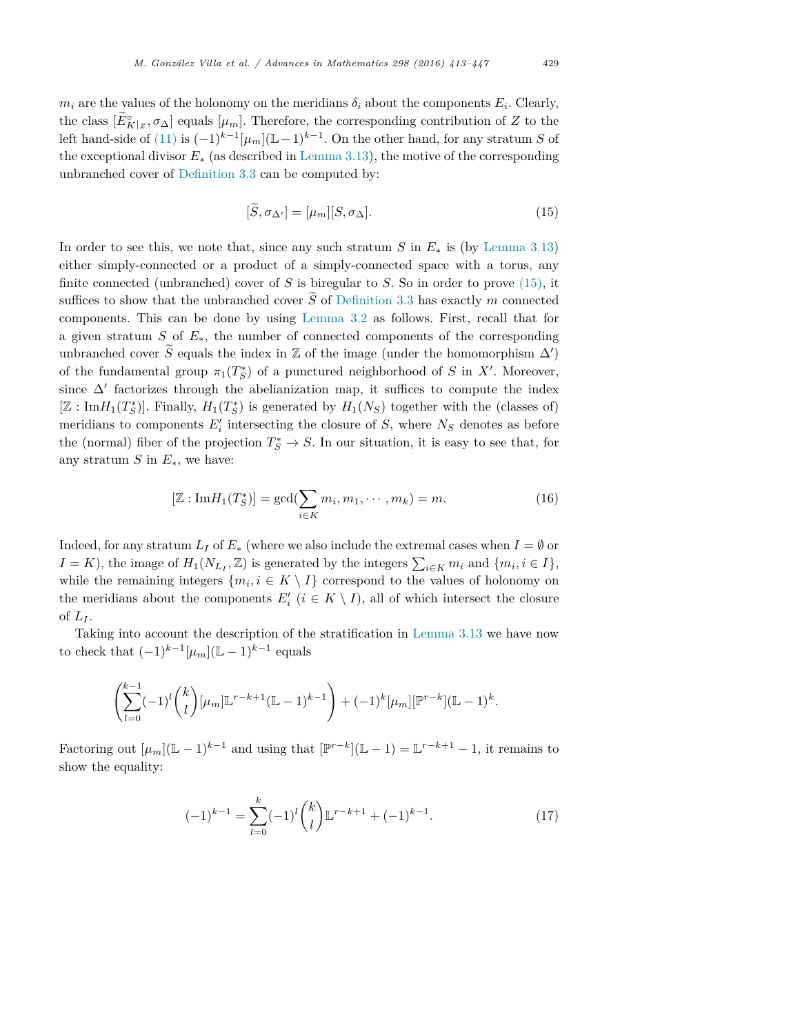$m_i$  are the values of the holonomy on the meridians  $\delta_i$  about the components  $E_i$ . Clearly, the class  $[E_{K|Z}^{\circ}, \sigma_{\Delta}]$  equals  $[\mu_m]$ . Therefore, the corresponding contribution of *Z* to the left hand-side of (11) is  $(-1)^{k-1}[\mu_m](\mathbb{L}-1)^{k-1}$ . On the other hand, for any stratum *S* of the exceptional divisor *E*<sup>∗</sup> (as described in Lemma 3.13), the motive of the corresponding unbranched cover of Definition 3.3 can be computed by:

$$
[\tilde{S}, \sigma_{\Delta'}] = [\mu_m][S, \sigma_{\Delta}]. \tag{15}
$$

In order to see this, we note that, since any such stratum *S* in  $E_*$  is (by Lemma 3.13) either simply-connected or a product of a simply-connected space with a torus, any finite connected (unbranched) cover of *S* is biregular to *S*. So in order to prove (15), it suffices to show that the unbranched cover  $\tilde{S}$  of Definition 3.3 has exactly *m* connected components. This can be done by using Lemma 3.2 as follows. First, recall that for a given stratum *S* of *E*∗, the number of connected components of the corresponding unbranched cover *S* equals the index in  $\mathbb{Z}$  of the image (under the homomorphism  $\Delta'$ ) of the fundamental group  $\pi_1(T^*_S)$  of a punctured neighborhood of *S* in *X'*. Moreover, since  $\Delta'$  factorizes through the abelianization map, it suffices to compute the index  $[\mathbb{Z}: \text{Im}H_1(T^*_S)]$ . Finally,  $H_1(T^*_S)$  is generated by  $H_1(N_S)$  together with the (classes of) meridians to components  $E'_{i}$  intersecting the closure of  $S$ , where  $N_{S}$  denotes as before the (normal) fiber of the projection  $T_S^* \to S$ . In our situation, it is easy to see that, for any stratum *S* in  $E_*$ , we have:

$$
[\mathbb{Z}: \text{Im}H_1(T_S^*)] = \gcd(\sum_{i \in K} m_i, m_1, \cdots, m_k) = m.
$$
 (16)

Indeed, for any stratum  $L_I$  of  $E_*$  (where we also include the extremal cases when  $I = \emptyset$  or  $I = K$ ), the image of  $H_1(N_{L_I}, \mathbb{Z})$  is generated by the integers  $\sum_{i \in K} m_i$  and  $\{m_i, i \in I\}$ , while the remaining integers  $\{m_i, i \in K \setminus I\}$  correspond to the values of holonomy on the meridians about the components  $E'_{i}$  ( $i \in K \setminus I$ ), all of which intersect the closure of  $L_I$ .

Taking into account the description of the stratification in Lemma 3.13 we have now to check that  $(-1)^{k-1}$ [ $\mu_m$ ](L – 1)<sup>k-1</sup> equals

$$
\left(\sum_{l=0}^{k-1}(-1)^l\binom{k}{l}[\mu_m]\mathbb{L}^{r-k+1}(\mathbb{L}-1)^{k-1}\right)+(-1)^k[\mu_m][\mathbb{P}^{r-k}](\mathbb{L}-1)^k.
$$

Factoring out  $[\mu_m](\mathbb{L} - 1)^{k-1}$  and using that  $[\mathbb{P}^{r-k}](\mathbb{L} - 1) = \mathbb{L}^{r-k+1} - 1$ , it remains to show the equality:

$$
(-1)^{k-1} = \sum_{l=0}^{k} (-1)^{l} {k \choose l} \mathbb{L}^{r-k+1} + (-1)^{k-1}.
$$
 (17)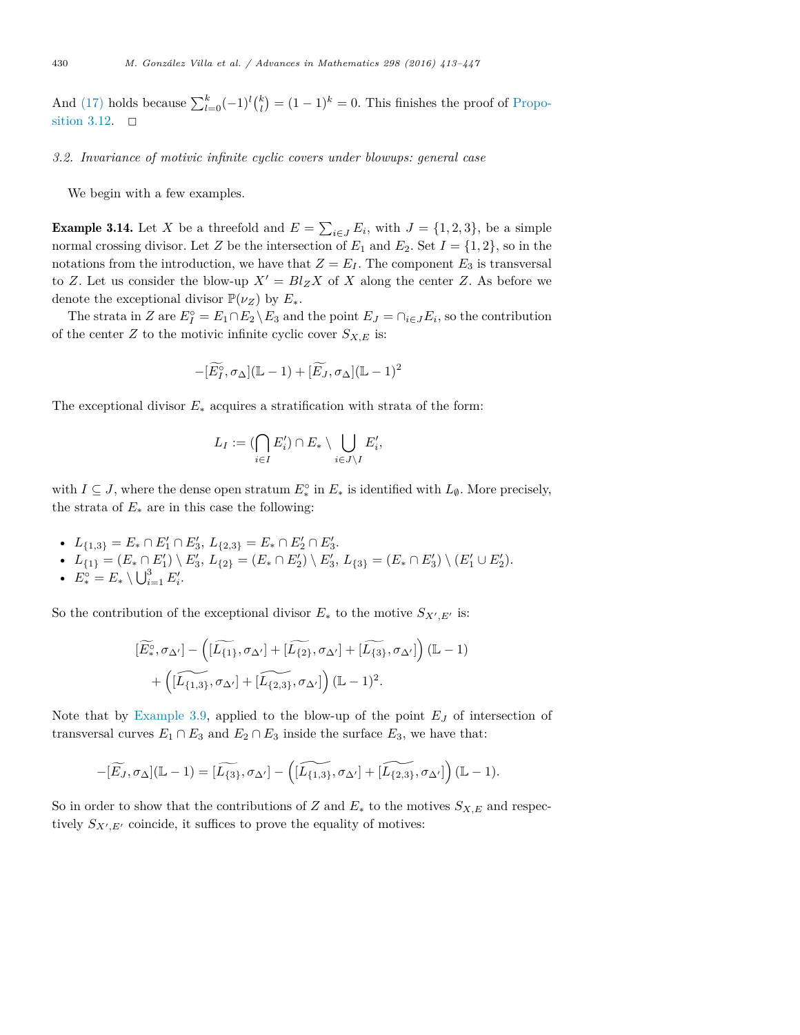And (17) holds because  $\sum_{l=0}^{k}(-1)^{l}\binom{k}{l}=(1-1)^{k}=0$ . This finishes the proof of Proposition 3.12.

#### *3.2. Invariance of motivic infinite cyclic covers under blowups: general case*

We begin with a few examples.

**Example 3.14.** Let *X* be a threefold and  $E = \sum_{i \in J} E_i$ , with  $J = \{1, 2, 3\}$ , be a simple normal crossing divisor. Let *Z* be the intersection of  $E_1$  and  $E_2$ . Set  $I = \{1, 2\}$ , so in the notations from the introduction, we have that  $Z = E_I$ . The component  $E_3$  is transversal to *Z*. Let us consider the blow-up  $X' = Bl_Z X$  of *X* along the center *Z*. As before we denote the exceptional divisor  $\mathbb{P}(\nu_Z)$  by  $E_*$ .

The strata in *Z* are  $E_I^{\circ} = E_1 \cap E_2 \setminus E_3$  and the point  $E_J = \cap_{i \in J} E_i$ , so the contribution of the center *Z* to the motivic infinite cyclic cover  $S_{X,E}$  is:

$$
-[\widetilde{E_I^{\circ}}, \sigma_{\Delta}](\mathbb{L} - 1) + [\widetilde{E_J}, \sigma_{\Delta}](\mathbb{L} - 1)^2
$$

The exceptional divisor  $E_*$  acquires a stratification with strata of the form:

$$
L_I := (\bigcap_{i \in I} E'_i) \cap E_* \setminus \bigcup_{i \in J \setminus I} E'_i,
$$

with  $I \subseteq J$ , where the dense open stratum  $E^{\circ}_*$  in  $E_*$  is identified with  $L_{\emptyset}$ . More precisely, the strata of  $E_*$  are in this case the following:

- $L_{\{1,3\}} = E_* \cap E'_1 \cap E'_3$ ,  $L_{\{2,3\}} = E_* \cap E'_2 \cap E'_3$ .
- $L_{\{1\}} = (E_* \cap E_1') \setminus E_3', L_{\{2\}} = (E_* \cap E_2') \setminus E_3', L_{\{3\}} = (E_* \cap E_3') \setminus (E_1' \cup E_2').$
- $E_*^{\circ} = E_* \setminus \bigcup_{i=1}^3 E'_i$ .

So the contribution of the exceptional divisor  $E_*$  to the motive  $S_{X',E'}$  is:

$$
\begin{aligned} [\widetilde{E^{\circ}_*},\sigma_{\Delta'}] - \left( [\widetilde{L_{\{1\}}},\sigma_{\Delta'}] + [\widetilde{L_{\{2\}}},\sigma_{\Delta'}] + [\widetilde{L_{\{3\}}},\sigma_{\Delta'}] \right)(\mathbb{L}-1) \\ + \left( [\widetilde{L_{\{1,3\}}},\sigma_{\Delta'}] + [\widetilde{L_{\{2,3\}}},\sigma_{\Delta'}] \right)(\mathbb{L}-1)^2. \end{aligned}
$$

Note that by Example 3.9, applied to the blow-up of the point *E<sup>J</sup>* of intersection of transversal curves  $E_1 \cap E_3$  and  $E_2 \cap E_3$  inside the surface  $E_3$ , we have that:

$$
-[\widetilde{E_J},\sigma_\Delta](\mathbb{L}-1)=[\widetilde{L_{\{3\}}},\sigma_{\Delta'}]-\left([\widetilde{L_{\{1,3\}}},\sigma_{\Delta'}]+\widetilde{L_{\{2,3\}}},\sigma_{\Delta'}]\right)(\mathbb{L}-1).
$$

So in order to show that the contributions of *Z* and  $E_*$  to the motives  $S_{X,E}$  and respectively  $S_{X',E'}$  coincide, it suffices to prove the equality of motives: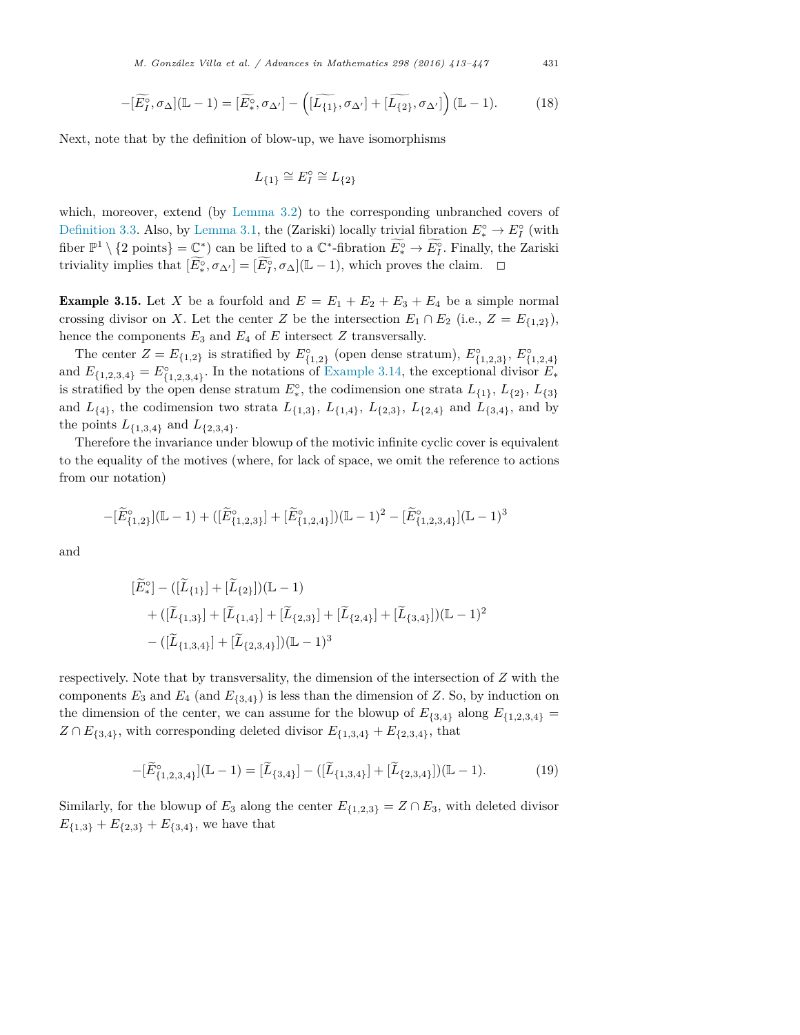$$
-[\widetilde{E_1^{\circ}}, \sigma_{\Delta}](\mathbb{L}-1) = [\widetilde{E_*^{\circ}}, \sigma_{\Delta'}] - \left([\widetilde{L_{\{1\}}}, \sigma_{\Delta'}] + [\widetilde{L_{\{2\}}}, \sigma_{\Delta'}]\right)(\mathbb{L}-1). \tag{18}
$$

Next, note that by the definition of blow-up, we have isomorphisms

$$
L_{\{1\}} \cong E_I^\circ \cong L_{\{2\}}
$$

which, moreover, extend (by Lemma 3.2) to the corresponding unbranched covers of Definition 3.3. Also, by Lemma 3.1, the (Zariski) locally trivial fibration  $E_*^{\circ} \to E_I^{\circ}$  (with fiber  $\mathbb{P}^1 \setminus \{2 \text{ points}\} = \mathbb{C}^*$ ) can be lifted to a  $\mathbb{C}^*$ -fibration  $E_*^{\circ} \to E_I^{\circ}$ . Finally, the Zariski triviality implies that  $[E^{\circ}_*, \sigma_{\Delta'}] = [E^{\circ}_I, \sigma_{\Delta}](\mathbb{L} - 1)$ , which proves the claim.  $\Box$ 

**Example 3.15.** Let *X* be a fourfold and  $E = E_1 + E_2 + E_3 + E_4$  be a simple normal crossing divisor on *X*. Let the center *Z* be the intersection  $E_1 \cap E_2$  (i.e.,  $Z = E_{\{1,2\}}$ ), hence the components  $E_3$  and  $E_4$  of  $E$  intersect  $Z$  transversally.

The center  $Z = E_{\{1,2\}}$  is stratified by  $E_{\{1,2\}}^{\circ}$  (open dense stratum),  $E_{\{1,2,3\}}^{\circ}, E_{\{1,2,4\}}^{\circ}$ and  $E_{\{1,2,3,4\}} = E_{\{1,2,3,4\}}^{\circ}$ . In the notations of Example 3.14, the exceptional divisor  $E_*$ is stratified by the open dense stratum  $E^{\circ}_*$ , the codimension one strata  $L_{\{1\}}$ ,  $L_{\{2\}}$ ,  $L_{\{3\}}$ and  $L_{\{4\}}$ , the codimension two strata  $L_{\{1,3\}}$ ,  $L_{\{1,4\}}$ ,  $L_{\{2,3\}}$ ,  $L_{\{2,4\}}$  and  $L_{\{3,4\}}$ , and by the points  $L_{\{1,3,4\}}$  and  $L_{\{2,3,4\}}$ .

Therefore the invariance under blowup of the motivic infinite cyclic cover is equivalent to the equality of the motives (where, for lack of space, we omit the reference to actions from our notation)

$$
-[\widetilde{E}_{\{1,2\}}^{\circ}](\mathbb{L}-1) + ([\widetilde{E}_{\{1,2,3\}}^{\circ}] + [\widetilde{E}_{\{1,2,4\}}^{\circ}])(\mathbb{L}-1)^{2} - [\widetilde{E}_{\{1,2,3,4\}}^{\circ}](\mathbb{L}-1)^{3}
$$

and

$$
\begin{aligned} [\widetilde{E}^{\circ}_{*}] - ([\widetilde{L}_{\{1\}}] + [\widetilde{L}_{\{2\}}])(\mathbb{L} - 1) \\ &+ ([\widetilde{L}_{\{1,3\}}] + [\widetilde{L}_{\{1,4\}}] + [\widetilde{L}_{\{2,3\}}] + [\widetilde{L}_{\{2,4\}}] + [\widetilde{L}_{\{3,4\}}])(\mathbb{L} - 1)^{2} \\ &- ([\widetilde{L}_{\{1,3,4\}}] + [\widetilde{L}_{\{2,3,4\}}])(\mathbb{L} - 1)^{3} \end{aligned}
$$

respectively. Note that by transversality, the dimension of the intersection of *Z* with the components  $E_3$  and  $E_4$  (and  $E_{\{3,4\}}$ ) is less than the dimension of *Z*. So, by induction on the dimension of the center, we can assume for the blowup of  $E_{\{3,4\}}$  along  $E_{\{1,2,3,4\}}$  =  $Z \cap E_{\{3,4\}}$ , with corresponding deleted divisor  $E_{\{1,3,4\}} + E_{\{2,3,4\}}$ , that

$$
-[\widetilde{E}_{\{1,2,3,4\}}^{\circ}](\mathbb{L}-1) = [\widetilde{L}_{\{3,4\}}] - ([\widetilde{L}_{\{1,3,4\}}] + [\widetilde{L}_{\{2,3,4\}}])(\mathbb{L}-1). \tag{19}
$$

Similarly, for the blowup of  $E_3$  along the center  $E_{\{1,2,3\}} = Z \cap E_3$ , with deleted divisor  $E_{\{1,3\}} + E_{\{2,3\}} + E_{\{3,4\}}$ , we have that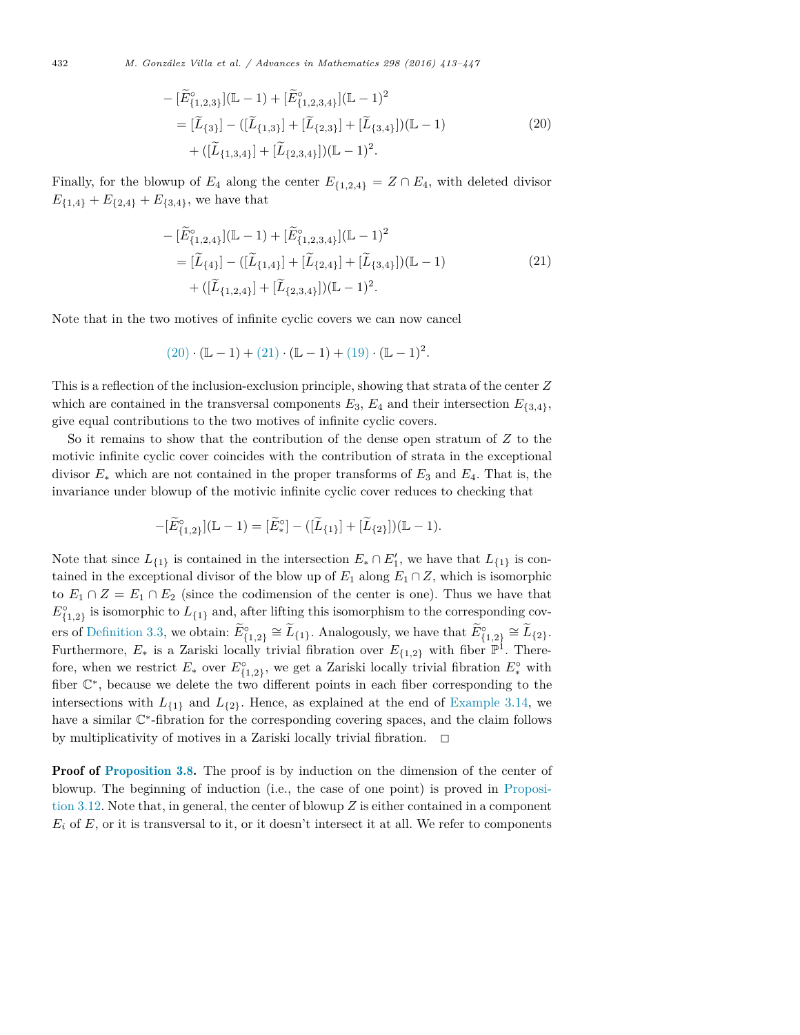432 *M. González Vil la et al. / Advances in Mathematics 298 (2016) 413–447*

$$
- [\widetilde{E}_{\{1,2,3\}}^{\circ}](\mathbb{L} - 1) + [\widetilde{E}_{\{1,2,3,4\}}^{\circ}](\mathbb{L} - 1)^{2}
$$
  
\n
$$
= [\widetilde{L}_{\{3\}}] - ([\widetilde{L}_{\{1,3\}}] + [\widetilde{L}_{\{2,3\}}] + [\widetilde{L}_{\{3,4\}}])(\mathbb{L} - 1)
$$
  
\n
$$
+ ([\widetilde{L}_{\{1,3,4\}}] + [\widetilde{L}_{\{2,3,4\}}])(\mathbb{L} - 1)^{2}.
$$
\n(20)

Finally, for the blowup of  $E_4$  along the center  $E_{\{1,2,4\}} = Z \cap E_4$ , with deleted divisor  $E_{\{1,4\}} + E_{\{2,4\}} + E_{\{3,4\}}$ , we have that

$$
- [\widetilde{E}_{\{1,2,4\}}^{\circ}](\mathbb{L} - 1) + [\widetilde{E}_{\{1,2,3,4\}}^{\circ}](\mathbb{L} - 1)^{2}
$$
  
\n
$$
= [\widetilde{L}_{\{4\}}] - ([\widetilde{L}_{\{1,4\}}] + [\widetilde{L}_{\{2,4\}}] + [\widetilde{L}_{\{3,4\}}])(\mathbb{L} - 1)
$$
  
\n
$$
+ ([\widetilde{L}_{\{1,2,4\}}] + [\widetilde{L}_{\{2,3,4\}}])(\mathbb{L} - 1)^{2}.
$$
\n(21)

Note that in the two motives of infinite cyclic covers we can now cancel

$$
(20)\cdot (\mathbb{L} - 1) + (21)\cdot (\mathbb{L} - 1) + (19)\cdot (\mathbb{L} - 1)^2.
$$

This is a reflection of the inclusion-exclusion principle, showing that strata of the center *Z* which are contained in the transversal components  $E_3$ ,  $E_4$  and their intersection  $E_{\{3,4\}}$ , give equal contributions to the two motives of infinite cyclic covers.

So it remains to show that the contribution of the dense open stratum of *Z* to the motivic infinite cyclic cover coincides with the contribution of strata in the exceptional divisor *E*<sup>∗</sup> which are not contained in the proper transforms of *E*<sup>3</sup> and *E*4. That is, the invariance under blowup of the motivic infinite cyclic cover reduces to checking that

$$
-[\widetilde{E}_{\{1,2\}}^{\circ}](\mathbb{L}-1) = [\widetilde{E}_{*}^{\circ}] - ([\widetilde{L}_{\{1\}}] + [\widetilde{L}_{\{2\}}])(\mathbb{L}-1).
$$

Note that since  $L_{\{1\}}$  is contained in the intersection  $E_* \cap E'_1$ , we have that  $L_{\{1\}}$  is contained in the exceptional divisor of the blow up of  $E_1$  along  $E_1 \cap Z$ , which is isomorphic to  $E_1 \cap Z = E_1 \cap E_2$  (since the codimension of the center is one). Thus we have that  $E_{\{1,2\}}^{\circ}$  is isomorphic to  $L_{\{1\}}$  and, after lifting this isomorphism to the corresponding cov- $E_{\{1,2\}}^{\circ} \cong L_{\{1\}}$ . Analogously, we have that  $E_{\{1,2\}}^{\circ} \cong L_{\{2\}}$ . Furthermore,  $E_*$  is a Zariski locally trivial fibration over  $E_{\{1,2\}}$  with fiber  $\mathbb{P}^1$ . Therefore, when we restrict  $E_*$  over  $E_{\{1,2\}}^{\circ}$ , we get a Zariski locally trivial fibration  $E_*^{\circ}$  with fiber C∗, because we delete the two different points in each fiber corresponding to the intersections with  $L_{\{1\}}$  and  $L_{\{2\}}$ . Hence, as explained at the end of Example 3.14, we have a similar C∗-fibration for the corresponding covering spaces, and the claim follows by multiplicativity of motives in a Zariski locally trivial fibration.  $\Box$ 

**Proof of Proposition 3.8.** The proof is by induction on the dimension of the center of blowup. The beginning of induction (i.e., the case of one point) is proved in Proposition 3.12. Note that, in general, the center of blowup *Z* is either contained in a component  $E_i$  of  $E$ , or it is transversal to it, or it doesn't intersect it at all. We refer to components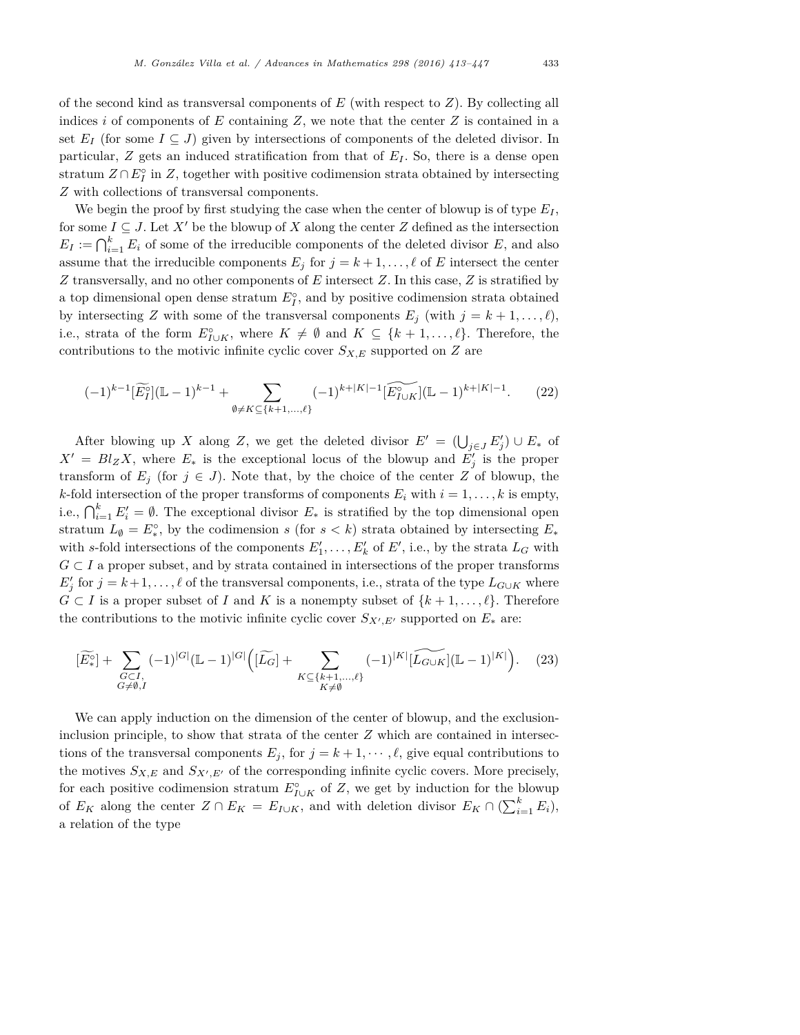of the second kind as transversal components of *E* (with respect to *Z*). By collecting all indices *i* of components of *E* containing *Z*, we note that the center *Z* is contained in a set  $E_I$  (for some  $I \subseteq J$ ) given by intersections of components of the deleted divisor. In particular, *Z* gets an induced stratification from that of *E<sup>I</sup>* . So, there is a dense open stratum  $Z \cap E_I^{\circ}$  in  $Z$ , together with positive codimension strata obtained by intersecting *Z* with collections of transversal components.

We begin the proof by first studying the case when the center of blowup is of type  $E_I$ , for some  $I \subseteq J$ . Let  $X'$  be the blowup of  $X$  along the center  $Z$  defined as the intersection  $E_I := \bigcap_{i=1}^k E_i$  of some of the irreducible components of the deleted divisor *E*, and also assume that the irreducible components  $E_j$  for  $j = k+1, \ldots, \ell$  of *E* intersect the center *Z* transversally, and no other components of *E* intersect *Z*. In this case, *Z* is stratified by a top dimensional open dense stratum  $E_I^{\circ}$ , and by positive codimension strata obtained by intersecting *Z* with some of the transversal components  $E_j$  (with  $j = k + 1, \ldots, \ell$ ), i.e., strata of the form  $E_{I\cup K}^{\circ}$ , where  $K \neq \emptyset$  and  $K \subseteq \{k+1,\ldots,\ell\}$ . Therefore, the contributions to the motivic infinite cyclic cover  $S_{X,E}$  supported on  $Z$  are

$$
(-1)^{k-1} \left[ \widetilde{E}_I^{\circ} \right] (\mathbb{L} - 1)^{k-1} + \sum_{\emptyset \neq K \subseteq \{k+1, \dots, \ell\}} (-1)^{k+|K|-1} \left[ \widetilde{E}_{I \cup K}^{\circ} \right] (\mathbb{L} - 1)^{k+|K|-1}.
$$
 (22)

After blowing up *X* along *Z*, we get the deleted divisor  $E' = (\bigcup_{j \in J} E'_j) \cup E_*$  of  $X' = Bl_Z X$ , where  $E_*$  is the exceptional locus of the blowup and  $E'_j$  is the proper transform of  $E_j$  (for  $j \in J$ ). Note that, by the choice of the center Z of blowup, the *k*-fold intersection of the proper transforms of components  $E_i$  with  $i = 1, \ldots, k$  is empty, i.e.,  $\bigcap_{i=1}^k E'_i = \emptyset$ . The exceptional divisor  $E_*$  is stratified by the top dimensional open stratum  $L_{\emptyset} = E^{\circ}_{*}$ , by the codimension *s* (for *s*  $\lt k$ ) strata obtained by intersecting  $E_{*}$ with *s*-fold intersections of the components  $E'_1, \ldots, E'_k$  of  $E'$ , i.e., by the strata  $L_G$  with  $G \subset I$  a proper subset, and by strata contained in intersections of the proper transforms  $E'_{j}$  for  $j = k+1, \ldots, \ell$  of the transversal components, i.e., strata of the type  $L_{G \cup K}$  where  $G \subset I$  is a proper subset of *I* and *K* is a nonempty subset of  $\{k+1,\ldots,\ell\}$ . Therefore the contributions to the motivic infinite cyclic cover  $S_{X',E'}$  supported on  $E_*$  are:

$$
[\widetilde{E}^{\circ}_{*}] + \sum_{\substack{G \subset I, \\ G \neq \emptyset, I}} (-1)^{|G|} (\mathbb{L} - 1)^{|G|} \Big( [\widetilde{L_{G}}] + \sum_{\substack{K \subseteq \{k+1, \dots, \ell\} \\ K \neq \emptyset}} (-1)^{|K|} [\widetilde{L_{G \cup K}}] (\mathbb{L} - 1)^{|K|} \Big). \tag{23}
$$

We can apply induction on the dimension of the center of blowup, and the exclusioninclusion principle, to show that strata of the center *Z* which are contained in intersections of the transversal components  $E_j$ , for  $j = k + 1, \dots, \ell$ , give equal contributions to the motives  $S_{X,E}$  and  $S_{X',E'}$  of the corresponding infinite cyclic covers. More precisely, for each positive codimension stratum  $E_{I \cup K}^{\circ}$  of *Z*, we get by induction for the blowup of  $E_K$  along the center  $Z \cap E_K = E_{I \cup K}$ , and with deletion divisor  $E_K \cap (\sum_{i=1}^k E_i)$ , a relation of the type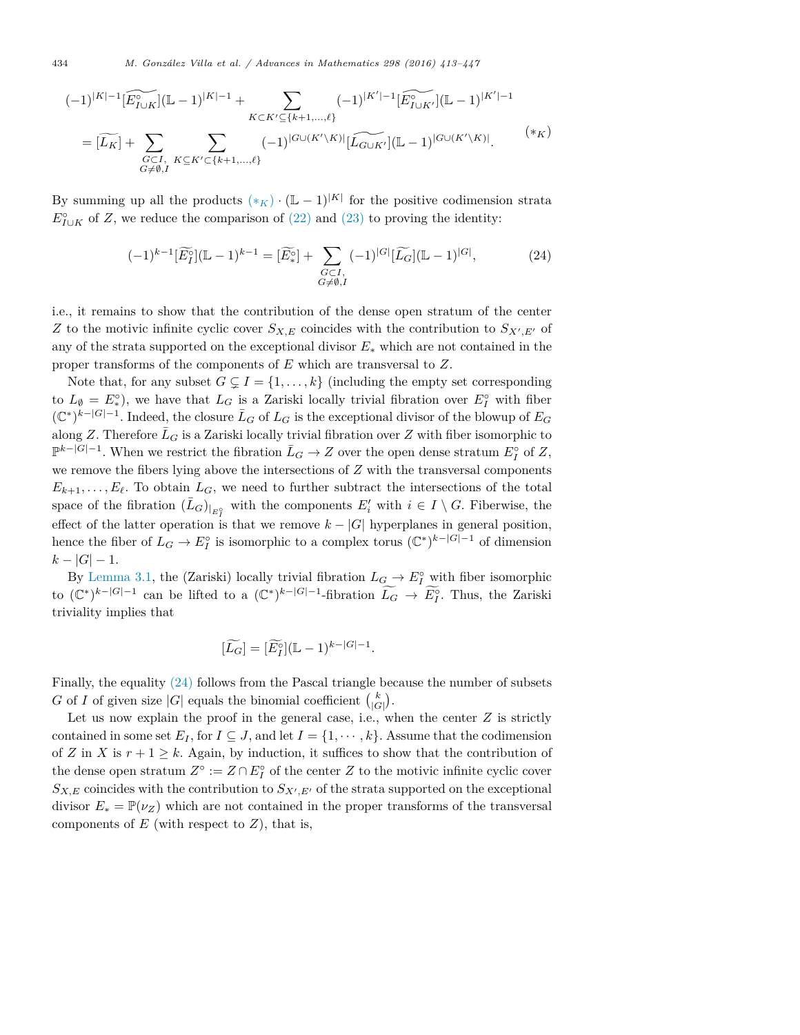434 *M. González Vil la et al. / Advances in Mathematics 298 (2016) 413–447*

$$
(-1)^{|K|-1} \widetilde{[E_{I\cup K}^{\circ}]}(\mathbb{L}-1)^{|K|-1} + \sum_{\substack{K\subset K'\subseteq \{k+1,\ldots,\ell\}\\G\subset I,\\G\neq\emptyset,I}} (-1)^{|K'|-1} \widetilde{[E_{I\cup K'}^{\circ}]}(\mathbb{L}-1)^{|K'|-1}
$$

$$
= [\widetilde{L_{K}}] + \sum_{\substack{G\subset I,\\G\neq\emptyset,I}} \sum_{K\subseteq K'\subset \{k+1,\ldots,\ell\}} (-1)^{|G\cup (K'\backslash K)|} [\widetilde{L_{G\cup K'}}](\mathbb{L}-1)^{|G\cup (K'\backslash K)|}.
$$

$$
(*)K
$$

By summing up all the products  $(*_K) \cdot (\mathbb{L} - 1)^{|K|}$  for the positive codimension strata  $E_{I\cup K}^{\circ}$  of *Z*, we reduce the comparison of (22) and (23) to proving the identity:

$$
(-1)^{k-1} [\widetilde{E}_I^{\circ}](\mathbb{L}-1)^{k-1} = [\widetilde{E}_*^{\circ}] + \sum_{\substack{G \subset I, \\ G \neq \emptyset, I}} (-1)^{|G|} [\widetilde{L}_G](\mathbb{L}-1)^{|G|}, \tag{24}
$$

i.e., it remains to show that the contribution of the dense open stratum of the center *Z* to the motivic infinite cyclic cover  $S_{X,E}$  coincides with the contribution to  $S_{X',E'}$  of any of the strata supported on the exceptional divisor *E*<sup>∗</sup> which are not contained in the proper transforms of the components of *E* which are transversal to *Z*.

Note that, for any subset  $G \subsetneq I = \{1, \ldots, k\}$  (including the empty set corresponding to  $L_{\emptyset} = E^{\circ}_{*}$ , we have that  $L_{G}$  is a Zariski locally trivial fibration over  $E^{\circ}_{I}$  with fiber  $(\mathbb{C}^*)^{k-|G|-1}$ . Indeed, the closure  $\overline{L}_G$  of  $L_G$  is the exceptional divisor of the blowup of  $E_G$ along *Z*. Therefore  $\bar{L}_G$  is a Zariski locally trivial fibration over *Z* with fiber isomorphic to  $\mathbb{P}^{k-|G|-1}$ . When we restrict the fibration  $\overline{L}_G \to Z$  over the open dense stratum  $E_I^{\circ}$  of  $Z$ , we remove the fibers lying above the intersections of *Z* with the transversal components  $E_{k+1}, \ldots, E_{\ell}$ . To obtain  $L_G$ , we need to further subtract the intersections of the total space of the fibration  $(\bar{L}_G)_{|_{E^o_{\tau}}}$  with the components  $E'_i$  with  $i \in I \setminus G$ . Fiberwise, the *I*<sup>*I*</sup></sup> effect of the latter operation is that we remove  $k - |G|$  hyperplanes in general position, hence the fiber of  $L_G \to E_I^{\circ}$  is isomorphic to a complex torus  $(\mathbb{C}^*)^{k-|G|-1}$  of dimension  $k - |G| - 1.$ 

By Lemma 3.1, the (Zariski) locally trivial fibration  $L_G \to E_I^{\circ}$  with fiber isomorphic to  $(\mathbb{C}^*)^{k-|G|-1}$  can be lifted to a  $(\mathbb{C}^*)^{k-|G|-1}$ -fibration  $L_G \to E_I^{\circ}$ . Thus, the Zariski triviality implies that

$$
[\widetilde{L_G}] = [\widetilde{E_I^{\circ}}] (\mathbb{L} - 1)^{k - |G| - 1}.
$$

Finally, the equality (24) follows from the Pascal triangle because the number of subsets *G* of *I* of given size  $|G|$  equals the binomial coefficient  $\binom{k}{|G|}$ .

Let us now explain the proof in the general case, i.e., when the center *Z* is strictly contained in some set  $E_I$ , for  $I \subseteq J$ , and let  $I = \{1, \dots, k\}$ . Assume that the codimension of *Z* in *X* is  $r + 1 \geq k$ . Again, by induction, it suffices to show that the contribution of the dense open stratum  $Z^{\circ} := Z \cap E_I^{\circ}$  of the center *Z* to the motivic infinite cyclic cover  $S_{X,E}$  coincides with the contribution to  $S_{X',E'}$  of the strata supported on the exceptional divisor  $E_* = \mathbb{P}(\nu_Z)$  which are not contained in the proper transforms of the transversal components of  $E$  (with respect to  $Z$ ), that is,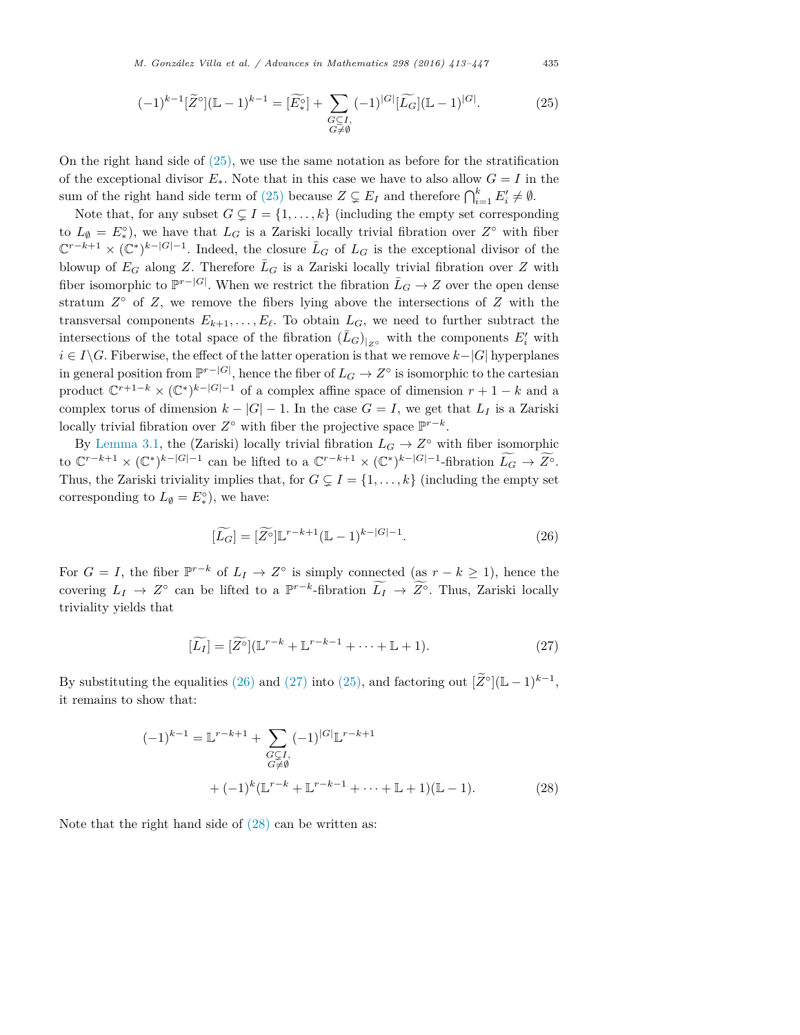*M. González Vil la et al. / Advances in Mathematics 298 (2016) 413–447* 435

$$
(-1)^{k-1} [\widetilde{Z}^{\circ}](\mathbb{L} - 1)^{k-1} = [\widetilde{E}^{\circ}_{*}] + \sum_{\substack{G \subseteq I, \\ G \neq \emptyset}} (-1)^{|G|} [\widetilde{L}_{G}](\mathbb{L} - 1)^{|G|}.
$$
 (25)

On the right hand side of (25), we use the same notation as before for the stratification of the exceptional divisor  $E_{*}$ . Note that in this case we have to also allow  $G = I$  in the sum of the right hand side term of (25) because  $Z \subsetneq E_I$  and therefore  $\bigcap_{i=1}^k E'_i \neq \emptyset$ .

Note that, for any subset  $G \subsetneq I = \{1, \ldots, k\}$  (including the empty set corresponding to  $L_{\emptyset} = E^{\circ}_{*}$ , we have that  $L_G$  is a Zariski locally trivial fibration over  $Z^{\circ}$  with fiber  $\mathbb{C}^{r-k+1} \times (\mathbb{C}^*)^{k-|G|-1}$ . Indeed, the closure  $\bar{L}_G$  of  $L_G$  is the exceptional divisor of the blowup of  $E_G$  along *Z*. Therefore  $\overline{L}_G$  is a Zariski locally trivial fibration over *Z* with fiber isomorphic to  $\mathbb{P}^{r-|G|}$ . When we restrict the fibration  $\bar{L}_G \to Z$  over the open dense stratum  $Z^{\circ}$  of  $Z$ , we remove the fibers lying above the intersections of  $Z$  with the transversal components  $E_{k+1}, \ldots, E_{\ell}$ . To obtain  $L_G$ , we need to further subtract the intersections of the total space of the fibration  $(\bar{L}_G)_{|_{Z^{\circ}}}$  with the components  $E'_i$  with *i* ∈ *I* $\setminus$ *G*. Fiberwise, the effect of the latter operation is that we remove *k*−*|G|* hyperplanes in general position from  $\mathbb{P}^{r-|G|}$ , hence the fiber of  $L_G \to Z^{\circ}$  is isomorphic to the cartesian product  $\mathbb{C}^{r+1-k} \times (\mathbb{C}^*)^{k-|G|-1}$  of a complex affine space of dimension  $r+1-k$  and a complex torus of dimension  $k - |G| - 1$ . In the case  $G = I$ , we get that  $L_I$  is a Zariski locally trivial fibration over  $Z^\circ$  with fiber the projective space  $\mathbb{P}^{r-k}$ .

By Lemma 3.1, the (Zariski) locally trivial fibration  $L_G \to Z^{\circ}$  with fiber isomorphic to  $\mathbb{C}^{r-k+1} \times (\mathbb{C}^*)^{k-|G|-1}$  can be lifted to a  $\mathbb{C}^{r-k+1} \times (\mathbb{C}^*)^{k-|G|-1}$ -fibration  $L_G \to \overline{Z}^{\circ}$ . Thus, the Zariski triviality implies that, for  $G \subsetneq I = \{1, \ldots, k\}$  (including the empty set corresponding to  $L_{\emptyset} = E^{\circ}_{*}$ ), we have:

$$
[\widetilde{L_G}] = [\widetilde{Z^{\circ}}] \mathbb{L}^{r-k+1} (\mathbb{L} - 1)^{k - |G| - 1}.
$$
\n(26)

For  $G = I$ , the fiber  $\mathbb{P}^{r-k}$  of  $L_I \to Z^{\circ}$  is simply connected (as  $r - k \geq 1$ ), hence the covering  $L_I \to Z^{\circ}$  can be lifted to a  $\mathbb{P}^{r-k}$ -fibration  $L_I \to Z^{\circ}$ . Thus, Zariski locally triviality yields that

$$
[\widetilde{L_I}] = [\widetilde{Z}^{\circ}](\mathbb{L}^{r-k} + \mathbb{L}^{r-k-1} + \dots + \mathbb{L} + 1). \tag{27}
$$

By substituting the equalities (26) and (27) into (25), and factoring out  $[\widetilde{Z}^{\circ}](\mathbb{L} - 1)^{k-1}$ , it remains to show that:

$$
(-1)^{k-1} = \mathbb{L}^{r-k+1} + \sum_{\substack{G \subset I, \\ G \neq \emptyset}} (-1)^{|G|} \mathbb{L}^{r-k+1}
$$
  
+ 
$$
(-1)^{k} (\mathbb{L}^{r-k} + \mathbb{L}^{r-k-1} + \dots + \mathbb{L} + 1)(\mathbb{L} - 1).
$$
 (28)

Note that the right hand side of (28) can be written as: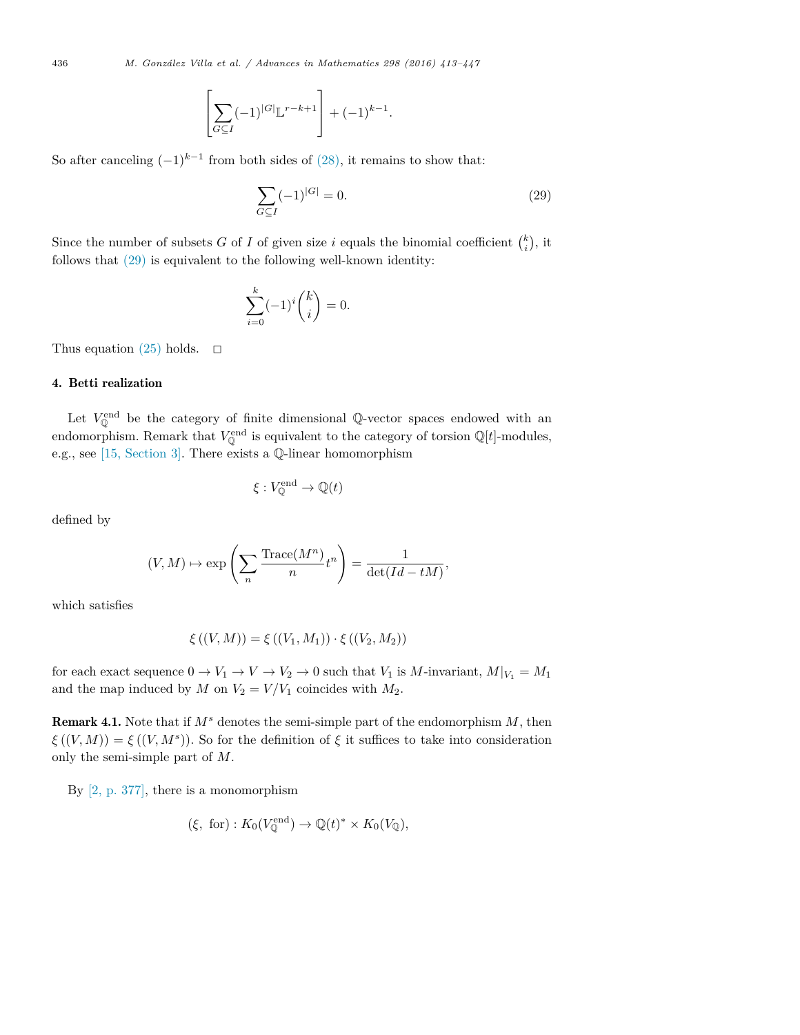$$
\left[\sum_{G \subseteq I} (-1)^{|G|} \mathbb{L}^{r-k+1}\right] + (-1)^{k-1}.
$$

So after canceling  $(-1)^{k-1}$  from both sides of (28), it remains to show that:

$$
\sum_{G \subseteq I} (-1)^{|G|} = 0.
$$
\n(29)

Since the number of subsets *G* of *I* of given size *i* equals the binomial coefficient  $\binom{k}{i}$ , it follows that (29) is equivalent to the following well-known identity:

$$
\sum_{i=0}^{k} (-1)^{i} \binom{k}{i} = 0.
$$

Thus equation (25) holds.  $\Box$ 

#### 4. Betti realization

Let  $V_{\mathbb{Q}}^{\text{end}}$  be the category of finite dimensional  $\mathbb{Q}\text{-vector spaces}$  endowed with an endomorphism. Remark that  $V^{\text{end}}_{\mathbb{Q}}$  is equivalent to the category of torsion  $\mathbb{Q}[t]$ -modules, e.g., see [15, Section 3]. There exists a Q-linear homomorphism

$$
\xi: V_{\mathbb{Q}}^{\text{end}} \to \mathbb{Q}(t)
$$

defined by

$$
(V, M) \mapsto \exp\left(\sum_{n} \frac{\text{Trace}(M^n)}{n} t^n\right) = \frac{1}{\det(Id - tM)},
$$

which satisfies

$$
\xi ((V, M)) = \xi ((V_1, M_1)) \cdot \xi ((V_2, M_2))
$$

for each exact sequence  $0 \to V_1 \to V \to V_2 \to 0$  such that  $V_1$  is  $M$ -invariant,  $M|_{V_1} = M_1$ and the map induced by *M* on  $V_2 = V/V_1$  coincides with  $M_2$ .

Remark 4.1. Note that if *M<sup>s</sup>* denotes the semi-simple part of the endomorphism *M*, then  $\xi((V, M)) = \xi((V, M^s))$ . So for the definition of  $\xi$  it suffices to take into consideration only the semi-simple part of *M*.

By [2, p. 377], there is a monomorphism

$$
(\xi, for): K_0(V_{\mathbb{Q}}^{\text{end}}) \to \mathbb{Q}(t)^* \times K_0(V_{\mathbb{Q}}),
$$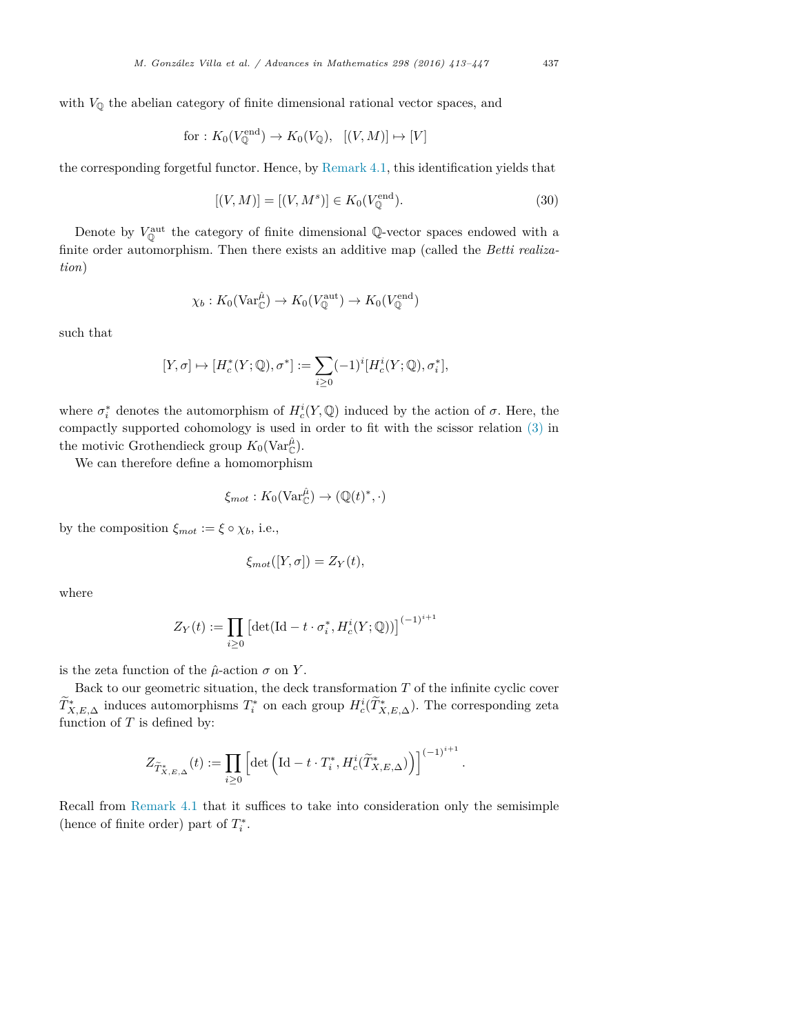for: 
$$
K_0(V_{\mathbb{Q}}^{\text{end}}) \to K_0(V_{\mathbb{Q}}), \quad [(V, M)] \mapsto [V]
$$

the corresponding forgetful functor. Hence, by Remark 4.1, this identification yields that

$$
[(V, M)] = [(V, M^s)] \in K_0(V^{\text{end}}_{\mathbb{Q}}).
$$
\n(30)

Denote by  $V^{\text{aut}}_{\mathbb{Q}}$  the category of finite dimensional  $\mathbb{Q}\text{-vector spaces}$  endowed with a finite order automorphism. Then there exists an additive map (called the *Betti realization*)

$$
\chi_b: K_0(\text{Var}_{\mathbb{C}}^{\hat{\mu}}) \to K_0(V_{\mathbb{Q}}^{\text{aut}}) \to K_0(V_{\mathbb{Q}}^{\text{end}})
$$

such that

$$
[Y,\sigma]\mapsto [H^*_c(Y;\mathbb{Q}),\sigma^*]:=\sum_{i\geq 0}(-1)^i[H^i_c(Y;\mathbb{Q}),\sigma_i^*],
$$

where  $\sigma_i^*$  denotes the automorphism of  $H_c^i(Y, \mathbb{Q})$  induced by the action of  $\sigma$ . Here, the compactly supported cohomology is used in order to fit with the scissor relation (3) in the motivic Grothendieck group  $K_0(\text{Var}_{\mathbb{C}}^{\hat{\mu}})$ .

We can therefore define a homomorphism

$$
\xi_{mot}: K_0(\text{Var}_{\mathbb{C}}^{\hat{\mu}}) \to (\mathbb{Q}(t)^*, \cdot)
$$

by the composition  $\xi_{mot} := \xi \circ \chi_b$ , i.e.,

$$
\xi_{mot}([Y,\sigma]) = Z_Y(t),
$$

where

$$
Z_Y(t) := \prod_{i \ge 0} \left[ \det(\mathrm{Id} - t \cdot \sigma_i^*, H_c^i(Y; \mathbb{Q})) \right]^{(-1)^{i+1}}
$$

is the zeta function of the  $\hat{\mu}$ -action  $\sigma$  on *Y*.

Back to our geometric situation, the deck transformation  $T$  of the infinite cyclic cover *T*<sup>\*</sup><sub>*X,E,*∆</sub> induces automorphisms *T*<sup>\*</sup> on each group  $H_c^i(T^*_{X,E,\Delta})$ . The corresponding zeta function of *T* is defined by:

$$
Z_{\widetilde{T}_{X,E,\Delta}^*}(t) := \prod_{i \geq 0} \left[ \det \left( \mathrm{Id} - t \cdot T_i^*, H_c^i(\widetilde{T}_{X,E,\Delta}^*) \right) \right]^{(-1)^{i+1}}.
$$

Recall from Remark 4.1 that it suffices to take into consideration only the semisimple (hence of finite order) part of  $T_i^*$ .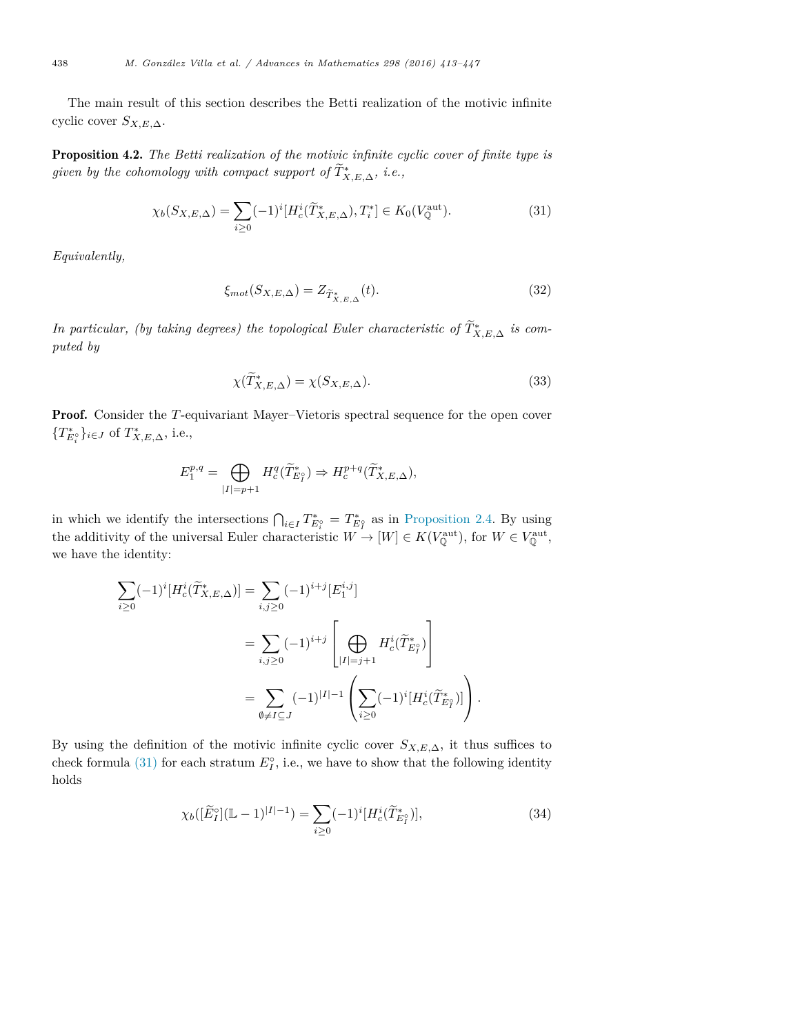The main result of this section describes the Betti realization of the motivic infinite cyclic cover *SX,E,*<sup>∆</sup>.

Proposition 4.2. *The Betti realization of the motivic infinite cyclic cover of finite type is given by the cohomology with compact support of*  $T^*_{X,E,\Delta}$ *, i.e.,* 

$$
\chi_b(S_{X,E,\Delta}) = \sum_{i\geq 0} (-1)^i [H_c^i(\widetilde{T}_{X,E,\Delta}^*), T_i^*] \in K_0(V_{\mathbb{Q}}^{\text{aut}}). \tag{31}
$$

*Equivalently,*

$$
\xi_{mot}(S_{X,E,\Delta}) = Z_{\widetilde{T}^*_{X,E,\Delta}}(t). \tag{32}
$$

*In particular, (by taking degrees) the topological Euler characteristic of*  $T^*_{X,E,\Delta}$  *is computed by*

$$
\chi(\widetilde{T}_{X,E,\Delta}^*) = \chi(S_{X,E,\Delta}).\tag{33}
$$

Proof. Consider the *T*-equivariant Mayer–Vietoris spectral sequence for the open cover  ${T_{E_i^{\circ}}^*}$ *i*<sup>*i*</sup>€*J* of  $T_{X,E,\Delta}^*$ *, i.e.,* 

$$
E_1^{p,q}=\bigoplus_{|I|=p+1}H^q_c(\widetilde T^*_{E_I^o})\Rightarrow H^{p+q}_c(\widetilde T^*_{X,E,\Delta}),
$$

in which we identify the intersections  $\bigcap_{i\in I} T^*_{E_i^{\circ}} = T^*_{E_I^{\circ}}$  as in Proposition 2.4. By using the additivity of the universal Euler characteristic  $W \to [W] \in K(V_{{\mathbb{Q}}}^{\text{aut}})$ , for  $W \in V_{{\mathbb{Q}}}^{\text{aut}}$ , we have the identity:

$$
\sum_{i\geq 0} (-1)^{i} [H_c^i(\widetilde{T}_{X,E,\Delta}^*)] = \sum_{i,j\geq 0} (-1)^{i+j} [E_1^{i,j}]
$$
  

$$
= \sum_{i,j\geq 0} (-1)^{i+j} \left[ \bigoplus_{|I|=j+1} H_c^i(\widetilde{T}_{E_I^o}^*) \right]
$$
  

$$
= \sum_{\emptyset \neq I \subseteq J} (-1)^{|I|-1} \left( \sum_{i\geq 0} (-1)^{i} [H_c^i(\widetilde{T}_{E_I^o}^*)] \right).
$$

By using the definition of the motivic infinite cyclic cover  $S_{X,E,\Delta}$ , it thus suffices to check formula (31) for each stratum  $E_I^{\circ}$ , i.e., we have to show that the following identity holds

$$
\chi_b([\widetilde{E}_I^{\circ}](\mathbb{L}-1)^{|I|-1}) = \sum_{i\geq 0} (-1)^i [H_c^i(\widetilde{T}_{E_I^{\circ}}^*)],\tag{34}
$$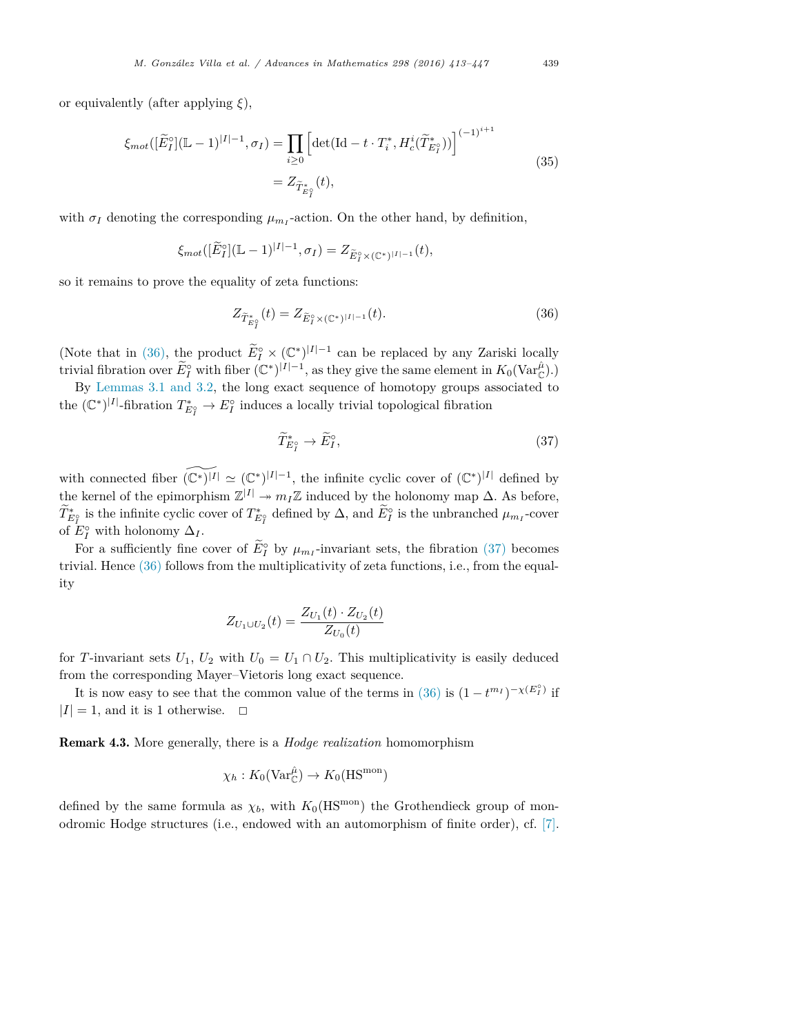or equivalently (after applying *ξ*),

$$
\xi_{mot}([\widetilde{E}_{I}^{\circ}](\mathbb{L}-1)^{|I|-1}, \sigma_{I}) = \prod_{i \geq 0} \left[ \det(\mathrm{Id} - t \cdot T_{i}^{*}, H_{c}^{i}(\widetilde{T}_{E_{I}^{\circ}}^{*})) \right]^{(-1)^{i+1}}
$$
  

$$
= Z_{\widetilde{T}_{E_{I}^{\circ}}^{*}}(t), \tag{35}
$$

with  $\sigma_I$  denoting the corresponding  $\mu_{m_I}$ -action. On the other hand, by definition,

$$
\xi_{mot}([\widetilde{E}_I^{\circ}](\mathbb{L}-1)^{|I|-1}, \sigma_I) = Z_{\widetilde{E}_I^{\circ} \times (\mathbb{C}^*)^{|I|-1}}(t),
$$

so it remains to prove the equality of zeta functions:

$$
Z_{\tilde{T}_{E_{I}^{\circ}}^{*}}(t) = Z_{\tilde{E}_{I}^{\circ} \times (\mathbb{C}^{*})^{|I|-1}}(t).
$$
\n(36)

(Note that in (36), the product  $\widetilde{E}_I^{\circ} \times (\mathbb{C}^*)^{|I|-1}$  can be replaced by any Zariski locally trivial fibration over  $\widetilde{E}_I^{\circ}$  with fiber  $(\mathbb{C}^*)^{|I|-1}$ , as they give the same element in  $K_0(\text{Var}_{\mathbb{C}}^{\hat{\mu}})$ .)

By Lemmas 3.1 and 3.2, the long exact sequence of homotopy groups associated to the  $(\mathbb{C}^*)^{|I|}$ -fibration  $T^*_{E_I^{\circ}} \to E_I^{\circ}$  induces a locally trivial topological fibration

$$
\widetilde{T}^*_{E_I^{\circ}} \to \widetilde{E}_I^{\circ},\tag{37}
$$

with connected fiber  $(\mathbb{C}^*)^{|I|} \simeq (\mathbb{C}^*)^{|I|-1}$ , the infinite cyclic cover of  $(\mathbb{C}^*)^{|I|}$  defined by the kernel of the epimorphism  $\mathbb{Z}^{|I|} \to m_I \mathbb{Z}$  induced by the holonomy map  $\Delta$ . As before,  $T_{E_I^*}^*$  is the infinite cyclic cover of  $T_{E_I^*}^*$  defined by  $\Delta$ , and  $E_I^{\circ}$  is the unbranched  $\mu_{m_I}$ -cover of  $E_I^{\circ}$  with holonomy  $\Delta_I$ .

For a sufficiently fine cover of  $E_I^{\circ}$  by  $\mu_{m_I}$ -invariant sets, the fibration (37) becomes trivial. Hence (36) follows from the multiplicativity of zeta functions, i.e., from the equality

$$
Z_{U_1 \cup U_2}(t) = \frac{Z_{U_1}(t) \cdot Z_{U_2}(t)}{Z_{U_0}(t)}
$$

for *T*-invariant sets  $U_1$ ,  $U_2$  with  $U_0 = U_1 \cap U_2$ . This multiplicativity is easily deduced from the corresponding Mayer–Vietoris long exact sequence.

It is now easy to see that the common value of the terms in (36) is  $(1 - t^{m_I})^{-\chi(E_I^o)}$  if  $|I| = 1$ , and it is 1 otherwise.  $\Box$ 

Remark 4.3. More generally, there is a *Hodge realization* homomorphism

$$
\chi_h: K_0(\text{Var}_{\mathbb{C}}^{\hat{\mu}}) \to K_0(\text{HS}^{\text{mon}})
$$

defined by the same formula as  $\chi_b$ , with  $K_0(\text{HS}^{\text{mon}})$  the Grothendieck group of monodromic Hodge structures (i.e., endowed with an automorphism of finite order), cf. [7].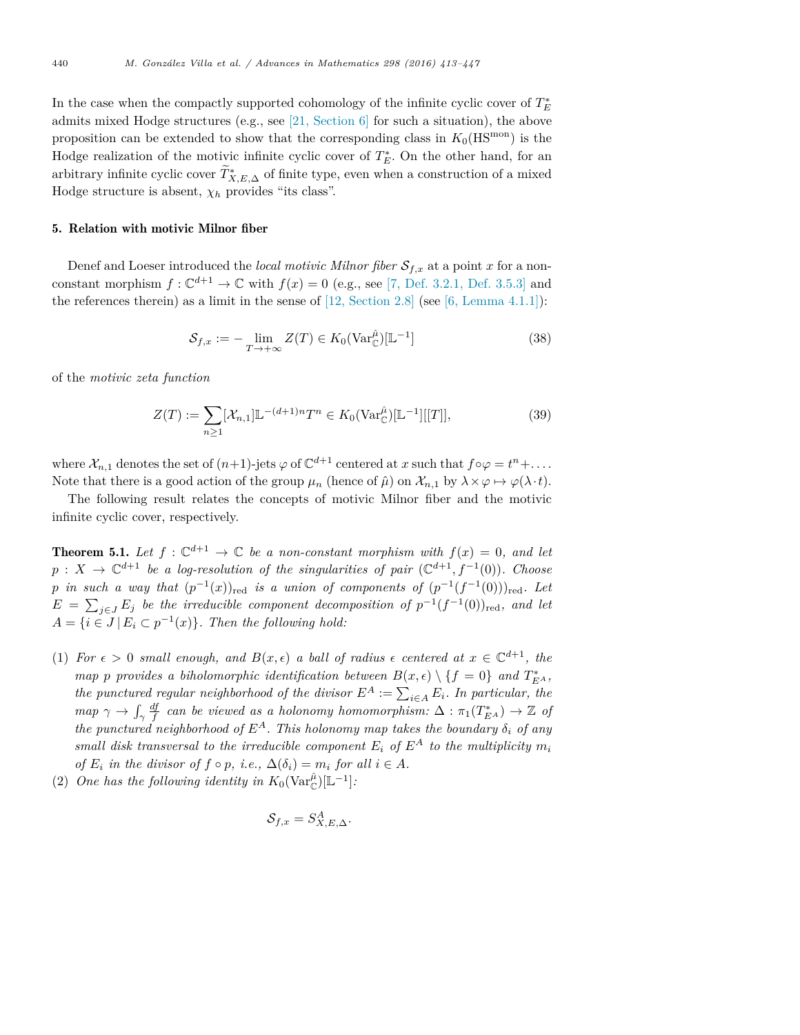In the case when the compactly supported cohomology of the infinite cyclic cover of  $T_E^*$ admits mixed Hodge structures (e.g., see  $[21, \text{Section 6}]$  for such a situation), the above proposition can be extended to show that the corresponding class in  $K_0(HS^{mon})$  is the Hodge realization of the motivic infinite cyclic cover of  $T_E^*$ . On the other hand, for an arbitrary infinite cyclic cover  $T^*_{X,E,\Delta}$  of finite type, even when a construction of a mixed Hodge structure is absent,  $\chi_h$  provides "its class".

### 5. Relation with motivic Milnor fiber

Denef and Loeser introduced the *local motivic Milnor fiber*  $S_{f,x}$  at a point *x* for a nonconstant morphism  $f: \mathbb{C}^{d+1} \to \mathbb{C}$  with  $f(x) = 0$  (e.g., see [7, Def. 3.2.1, Def. 3.5.3] and the references therein) as a limit in the sense of  $[12, Section 2.8]$  (see  $[6, Lemma 4.1.1]$ ):

$$
S_{f,x} := -\lim_{T \to +\infty} Z(T) \in K_0(\text{Var}_{\mathbb{C}}^{\hat{\mu}})[\mathbb{L}^{-1}]
$$
\n(38)

of the *motivic zeta function*

$$
Z(T) := \sum_{n\geq 1} [\mathcal{X}_{n,1}] \mathbb{L}^{-(d+1)n} T^n \in K_0(\text{Var}_{\mathbb{C}}^{\hat{\mu}}) [\mathbb{L}^{-1}][[T]],
$$
\n(39)

where  $\mathcal{X}_{n,1}$  denotes the set of  $(n+1)$ -jets  $\varphi$  of  $\mathbb{C}^{d+1}$  centered at *x* such that  $f \circ \varphi = t^n + \dots$ Note that there is a good action of the group  $\mu_n$  (hence of  $\hat{\mu}$ ) on  $\mathcal{X}_{n,1}$  by  $\lambda \times \varphi \mapsto \varphi(\lambda \cdot t)$ .

The following result relates the concepts of motivic Milnor fiber and the motivic infinite cyclic cover, respectively.

**Theorem 5.1.** Let  $f: \mathbb{C}^{d+1} \to \mathbb{C}$  be a non-constant morphism with  $f(x) = 0$ , and let  $p: X \to \mathbb{C}^{d+1}$  *be a log-resolution of the singularities of pair*  $(\mathbb{C}^{d+1}, f^{-1}(0))$ *. Choose p in* such a way that  $(p^{-1}(x))_{\text{red}}$  *is a union of components of*  $(p^{-1}(f^{-1}(0)))_{\text{red}}$ *. Let*  $E = \sum_{j \in J} E_j$  *be the irreducible component decomposition of*  $p^{-1}(f^{-1}(0))_{\text{red}}$ *, and let*  $A = \{i \in J \mid E_i \subset p^{-1}(x)\}.$  *Then the following hold:* 

- (1) For  $\epsilon > 0$  small enough, and  $B(x, \epsilon)$  a ball of radius  $\epsilon$  centered at  $x \in \mathbb{C}^{d+1}$ , the *map p provides a biholomorphic identification between*  $B(x, \epsilon) \setminus \{f = 0\}$  *and*  $T_{E^A}^*$ , *the* punctured regular neighborhood of the divisor  $E^A := \sum_{i \in A} E_i$ . In particular, the *map*  $\gamma \to \int_{\gamma}$  $\frac{df}{f}$  *can be viewed as a holonomy homomorphism:*  $\Delta : \pi_1(T_{EA}^*) \to \mathbb{Z}$  *of the* punctured neighborhood of  $E^A$ . This holonomy map takes the boundary  $\delta_i$  of any *small disk transversal to the irreducible component*  $E_i$  *of*  $E^A$  *to the multiplicity*  $m_i$ *of*  $E_i$  *in the divisor of*  $f \circ p$ *, i.e.,*  $\Delta(\delta_i) = m_i$  *for all*  $i \in A$ *.*
- (2) *One* has the following identity in  $K_0(\text{Var}_{\mathbb{C}}^{\hat{\mu}})[\mathbb{L}^{-1}]$ :

$$
\mathcal{S}_{f,x} = S_{X,E,\Delta}^A.
$$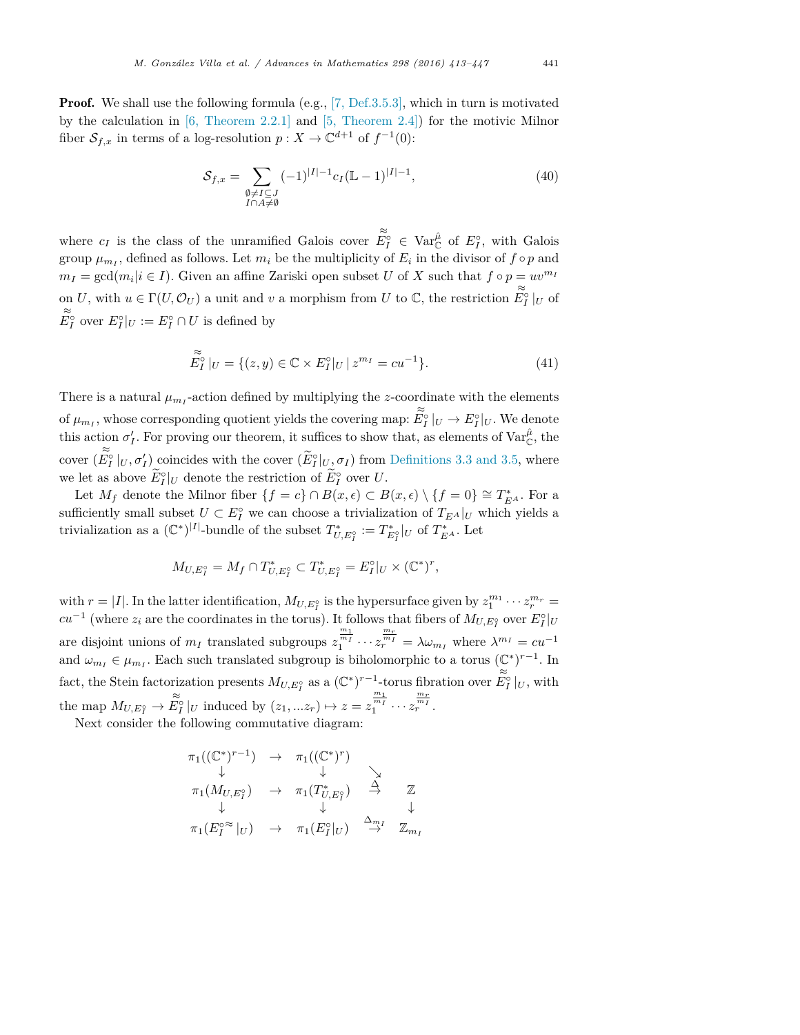**Proof.** We shall use the following formula (e.g.,  $[7,$  Def.3.5.3], which in turn is motivated by the calculation in [6, Theorem 2.2.1] and [5, Theorem 2.4]) for the motivic Milnor fiber  $S_{f,x}$  in terms of a log-resolution  $p: X \to \mathbb{C}^{d+1}$  of  $f^{-1}(0)$ :

$$
S_{f,x} = \sum_{\substack{\emptyset \neq I \subseteq J \\ I \cap A \neq \emptyset}} (-1)^{|I|-1} c_I (\mathbb{L} - 1)^{|I|-1},\tag{40}
$$

where  $c_I$  is the class of the unramified Galois cover  $\tilde{E}_I^{\circ} \in \text{Var}_{\mathbb{C}}^{\hat{\rho}}$  of  $E_I^{\circ}$ , with Galois group  $\mu_{m_I}$ , defined as follows. Let  $m_i$  be the multiplicity of  $E_i$  in the divisor of  $f \circ p$  and  $m_I = \gcd(m_i | i \in I)$ . Given an affine Zariski open subset *U* of *X* such that  $f \circ p = uv^{m_I}$ on *U*, with  $u \in \Gamma(U, \mathcal{O}_U)$  a unit and *v* a morphism from *U* to  $\mathbb{C}$ , the restriction  $\widetilde{E}_I^{\circ}|_U$  of  $\widetilde{E}_I^{\circ}|_U$  $E_I^{\circ}$  over  $E_I^{\circ}|_U := E_I^{\circ} \cap U$  is defined by

$$
\widetilde{E}_I^{\circ}|_U = \{ (z, y) \in \mathbb{C} \times E_I^{\circ}|_U \, | \, z^{m_I} = cu^{-1} \}. \tag{41}
$$

There is a natural  $\mu_{m_I}$ -action defined by multiplying the *z*-coordinate with the elements of  $\mu_{m_I}$ , whose corresponding quotient yields the covering map:  $\widetilde{E}^{\circ}_I|_U \to E^{\circ}_I|_U$ . We denote this action  $\sigma'_I$ . For proving our theorem, it suffices to show that, as elements of  $\text{Var}_{\mathbb{C}}^{\hat{\mu}}$ , the cover  $(\widetilde{E}_I^{\circ}|_U, \sigma'_I)$  coincides with the cover  $(\widetilde{E}_I^{\circ}|_{U_{\mathcal{I}}}\sigma_I)$  from Definitions 3.3 and 3.5, where we let as above  $E_I^{\circ}|_U$  denote the restriction of  $E_I^{\circ}$  over  $U$ .

Let  $M_f$  denote the Milnor fiber  $\{f = c\} \cap B(x, \epsilon) \subset B(x, \epsilon) \setminus \{f = 0\} \cong T_{E^A}^*$ . For a sufficiently small subset  $U \subset E_I^{\circ}$  we can choose a trivialization of  $T_{E^A}|_U$  which yields a trivialization as a  $(\mathbb{C}^*)^{|I|}$ -bundle of the subset  $T^*_{U,E_I^{\circ}} := T^*_{E_I^{\circ}}|_U$  of  $T^*_{EA}$ . Let

$$
M_{U,E_I^{\circ}} = M_f \cap T_{U,E_I^{\circ}}^* \subset T_{U,E_I^{\circ}}^* = E_I^{\circ}|_U \times (\mathbb{C}^*)^r,
$$

with  $r = |I|$ . In the latter identification,  $M_{U,E_I^{\circ}}$  is the hypersurface given by  $z_1^{m_1} \cdots z_r^{m_r} =$  $cu^{-1}$  (where  $z_i$  are the coordinates in the torus). It follows that fibers of  $M_{U,E_I^{\circ}}$  over  $E_I^{\circ}|_U$ are disjoint unions of  $m_I$  translated subgroups  $z_1^{\frac{m_I}{m_I}} \cdots z_r^{\frac{m_r}{m_I}} = \lambda \omega_{m_I}$  where  $\lambda^{m_I} = cu^{-1}$ and  $\omega_{m_I} \in \mu_{m_I}$ . Each such translated subgroup is biholomorphic to a torus  $(\mathbb{C}^*)^{r-1}$ . In fact, the Stein factorization presents  $M_{U,E_I^c}$  as a  $(\mathbb{C}^*)^{r-1}$ -torus fibration over  $\widetilde{E_I^c}|_U$ , with the map  $M_{U,E_I^{\circ}} \to \widetilde{E_I^{\circ}}|_U$  induced by  $(z_1,...z_r) \mapsto z = z_1^{\frac{m_1}{m_1}} \cdots z_r^{\frac{m_r}{m_r}}$ .

Next consider the following commutative diagram:

$$
\begin{array}{ccc}\n\pi_1((\mathbb{C}^*)^{r-1}) & \to & \pi_1((\mathbb{C}^*)^r) \\
\downarrow & & \downarrow & \searrow \\
\pi_1(M_{U,E_I^c}) & \to & \pi_1(T_{U,E_I^c}^*) & \stackrel{\Delta}{\to} & \mathbb{Z} \\
\downarrow & & \downarrow & \downarrow & \downarrow \\
\pi_1(E_I^{o} \approx |_U) & \to & \pi_1(E_I^o|_U) & \stackrel{\Delta_{m_I}}{\to} & \mathbb{Z}_{m_I}\n\end{array}
$$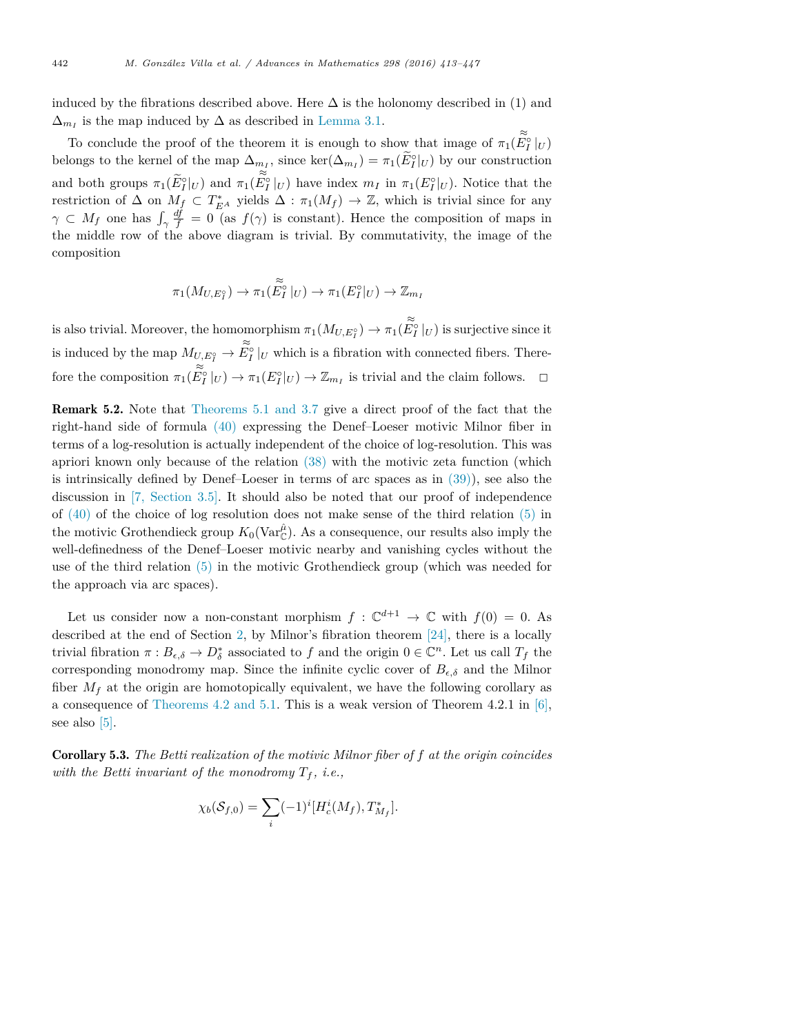induced by the fibrations described above. Here  $\Delta$  is the holonomy described in (1) and  $\Delta_{m_I}$  is the map induced by  $\Delta$  as described in Lemma 3.1.

To conclude the proof of the theorem it is enough to show that image of  $\pi_1(\widetilde{E}_I^{\circ}|_U)$ belongs to the kernel of the map  $\Delta_{m_I}$ , since  $\ker(\Delta_{m_I}) = \pi_1(E_I^{\circ}|_U)$  by our construction and both groups  $\pi_1(\widetilde{E}_I^{\circ}|_U)$  and  $\pi_1(\widetilde{E}_I^{\circ}|_U)$  have index  $m_I$  in  $\pi_1(E_I^{\circ}|_U)$ . Notice that the restriction of  $\Delta$  on  $M_f \subset T_{E^A}^*$  yields  $\Delta : \pi_1(M_f) \to \mathbb{Z}$ , which is trivial since for any  $\gamma \subset M_f$  one has  $\int_{\gamma}$  $\frac{df}{f} = 0$  (as  $f(\gamma)$  is constant). Hence the composition of maps in the middle row of the above diagram is trivial. By commutativity, the image of the composition

$$
\pi_1(M_{U,E_I^{\circ}}) \to \pi_1(\widetilde{E_I^{\circ}}|_U) \to \pi_1(E_I^{\circ}|_U) \to \mathbb{Z}_{m_I}
$$

is also trivial. Moreover, the homomorphism  $\pi_1(M_{U,E_I^o}) \to \pi_1(\widetilde{E_I^o}|_U)$  is surjective since it is induced by the map  $M_{U,E_I^o} \to \tilde{E_I^o}|_U$  which is a fibration with connected fibers. Therefore the composition  $\pi_1(\widetilde{E}_I^{\circ}|_U) \to \pi_1(E_I^{\circ}|_U) \to \mathbb{Z}_{m_I}$  is trivial and the claim follows.  $\Box$ 

Remark 5.2. Note that Theorems 5.1 and 3.7 give a direct proof of the fact that the right-hand side of formula (40) expressing the Denef–Loeser motivic Milnor fiber in terms of a log-resolution is actually independent of the choice of log-resolution. This was apriori known only because of the relation (38) with the motivic zeta function (which is intrinsically defined by Denef–Loeser in terms of arc spaces as in  $(39)$ ), see also the discussion in [7, Section 3.5]. It should also be noted that our proof of independence of  $(40)$  of the choice of log resolution does not make sense of the third relation  $(5)$  in the motivic Grothendieck group  $K_0(\text{Var}_{\mathbb{C}}^{\hat{\mu}})$ . As a consequence, our results also imply the well-definedness of the Denef–Loeser motivic nearby and vanishing cycles without the use of the third relation (5) in the motivic Grothendieck group (which was needed for the approach via arc spaces).

Let us consider now a non-constant morphism  $f: \mathbb{C}^{d+1} \to \mathbb{C}$  with  $f(0) = 0$ . As described at the end of Section 2, by Milnor's fibration theorem  $[24]$ , there is a locally trivial fibration  $\pi : B_{\epsilon,\delta} \to D_{\delta}^*$  associated to  $f$  and the origin  $0 \in \mathbb{C}^n$ . Let us call  $T_f$  the corresponding monodromy map. Since the infinite cyclic cover of  $B_{\epsilon,\delta}$  and the Milnor fiber  $M_f$  at the origin are homotopically equivalent, we have the following corollary as a consequence of Theorems 4.2 and 5.1. This is a weak version of Theorem 4.2.1 in  $[6]$ , see also [5].

Corollary 5.3. *The Betti realization of the motivic Milnor fiber of f at the origin coincides with the Betti invariant of the monodromy*  $T_f$ , *i.e.*,

$$
\chi_b(\mathcal{S}_{f,0}) = \sum_i (-1)^i [H_c^i(M_f), T^*_{M_f}].
$$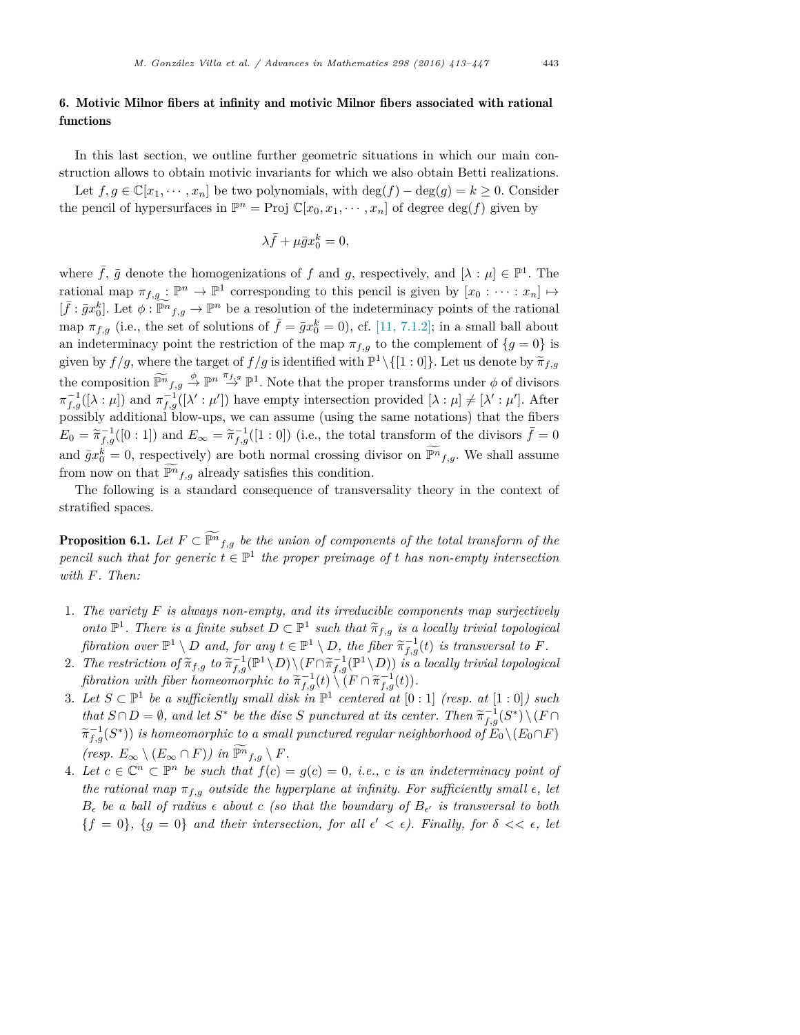## 6. Motivic Milnor fibers at infinity and motivic Milnor fibers associated with rational functions

In this last section, we outline further geometric situations in which our main construction allows to obtain motivic invariants for which we also obtain Betti realizations.

Let  $f, g \in \mathbb{C}[x_1, \dots, x_n]$  be two polynomials, with deg( $f$ ) – deg( $g$ ) =  $k \geq 0$ . Consider the pencil of hypersurfaces in  $\mathbb{P}^n = \text{Proj } \mathbb{C}[x_0, x_1, \dots, x_n]$  of degree  $\deg(f)$  given by

$$
\lambda \bar{f} + \mu \bar{g} x_0^k = 0,
$$

where  $\bar{f}$ ,  $\bar{g}$  denote the homogenizations of  $f$  and  $g$ , respectively, and  $[\lambda : \mu] \in \mathbb{P}^1$ . The rational map  $\pi_{f,g}: \mathbb{P}^n \to \mathbb{P}^1$  corresponding to this pencil is given by  $[x_0: \cdots : x_n] \mapsto$  $[\bar{f} : \bar{g}x_0^k]$ . Let  $\phi : \widetilde{\mathbb{P}^n}_{f,g} \to \mathbb{P}^n$  be a resolution of the indeterminacy points of the rational map  $\pi_{f,g}$  (i.e., the set of solutions of  $\bar{f} = \bar{g}x_0^k = 0$ ), cf. [11, 7.1.2]; in a small ball about an indeterminacy point the restriction of the map  $\pi_{f,g}$  to the complement of  ${g = 0}$  is given by  $f/g$ , where the target of  $f/g$  is identified with  $\mathbb{P}^1 \setminus \{[1:0]\}$ . Let us denote by  $\tilde{\pi}_{f,g}$ the composition  $\widetilde{\mathbb{P}^n}_{f,g} \stackrel{\phi}{\to} \mathbb{P}^n \stackrel{\pi_{f,g}}{\to} \mathbb{P}^1$ . Note that the proper transforms under  $\phi$  of divisors  $\pi_{f,g}^{-1}([\lambda:\mu])$  and  $\pi_{f,g}^{-1}([\lambda':\mu'])$  have empty intersection provided  $[\lambda:\mu] \neq [\lambda':\mu']$ . After possibly additional blow-ups, we can assume (using the same notations) that the fibers  $E_0 = \tilde{\pi}_{f,g}^{-1}([0:1])$  and  $E_{\infty} = \tilde{\pi}_{f,g}^{-1}([1:0])$  (i.e., the total transform of the divisors  $\bar{f} = 0$ and  $\bar{g}x_0^k = 0$ , respectively) are both normal crossing divisor on  $\mathbb{P}^n_{f,g}$ . We shall assume from now on that  $\mathbb{P}^n_{f,g}$  already satisfies this condition.

The following is a standard consequence of transversality theory in the context of stratified spaces.

**Proposition 6.1.** Let  $F \subset \mathbb{P}^n_{f,g}$  be the union of components of the total transform of the *pencil such that for generic*  $t \in \mathbb{P}^1$  *the proper preimage of t has non-empty intersection with F. Then:*

- 1. *The variety F is always non-empty, and its irreducible components map surjectively onto*  $\mathbb{P}^1$ *. There is a finite subset*  $D \subset \mathbb{P}^1$  *such that*  $\tilde{\pi}_{f,g}$  *is a locally trivial topological* fibration over  $\mathbb{P}^1 \setminus D$  and, for any  $t \in \mathbb{P}^1 \setminus D$ , the fiber  $\widetilde{\pi}_{f,g}^{-1}(t)$  is transversal to F.
- 2. The restriction of  $\widetilde{\pi}_{f,g}$  to  $\widetilde{\pi}_{f,g}^{-1}(\mathbb{P}^1 \setminus D) \setminus (F \cap \widetilde{\pi}_{f,g}^{-1}(\mathbb{P}^1 \setminus D))$  is a locally trivial topological *fibration with fiber homeomorphic to*  $\widetilde{\pi}_{f,g}^{-1}(t) \setminus (F \cap \widetilde{\pi}_{f,g}^{-1}(t)).$
- 3. Let  $S \subset \mathbb{P}^1$  be a sufficiently small disk in  $\mathbb{P}^1$  centered at  $[0:1]$  (resp. at  $[1:0]$ ) such that  $S \cap D = \emptyset$ , and let  $S^*$  be the disc S punctured at its center. Then  $\widetilde{\pi}_{f,g}^{-1}(S^*) \setminus (F \cap \widetilde{\pi}_{f,g}^{-1}(S^*))$  $\widetilde{\pi}_{f,g}^{-1}(S^*))$  *is homeomorphic to a small punctured regular neighborhood of*  $\widetilde{E}_0 \setminus (E_0 \cap F)$  $(r \exp \left( E_{\infty} \cap F \right) \mid \text{in } \mathbb{P}^n_{f,g} \setminus F.$
- 4. Let  $c \in \mathbb{C}^n \subset \mathbb{P}^n$  be such that  $f(c) = g(c) = 0$ , *i.e.*, *c* is an indeterminacy point of *the rational map*  $\pi_{f,g}$  *outside the hyperplane at infinity.* For *sufficiently small*  $\epsilon$ *, let*  $B_{\epsilon}$  be a ball of radius  $\epsilon$  about c (so that the boundary of  $B_{\epsilon'}$  is transversal to both  $\{f=0\}$ ,  $\{g=0\}$  and their intersection, for all  $\epsilon' < \epsilon$ ). Finally, for  $\delta < \epsilon$ , let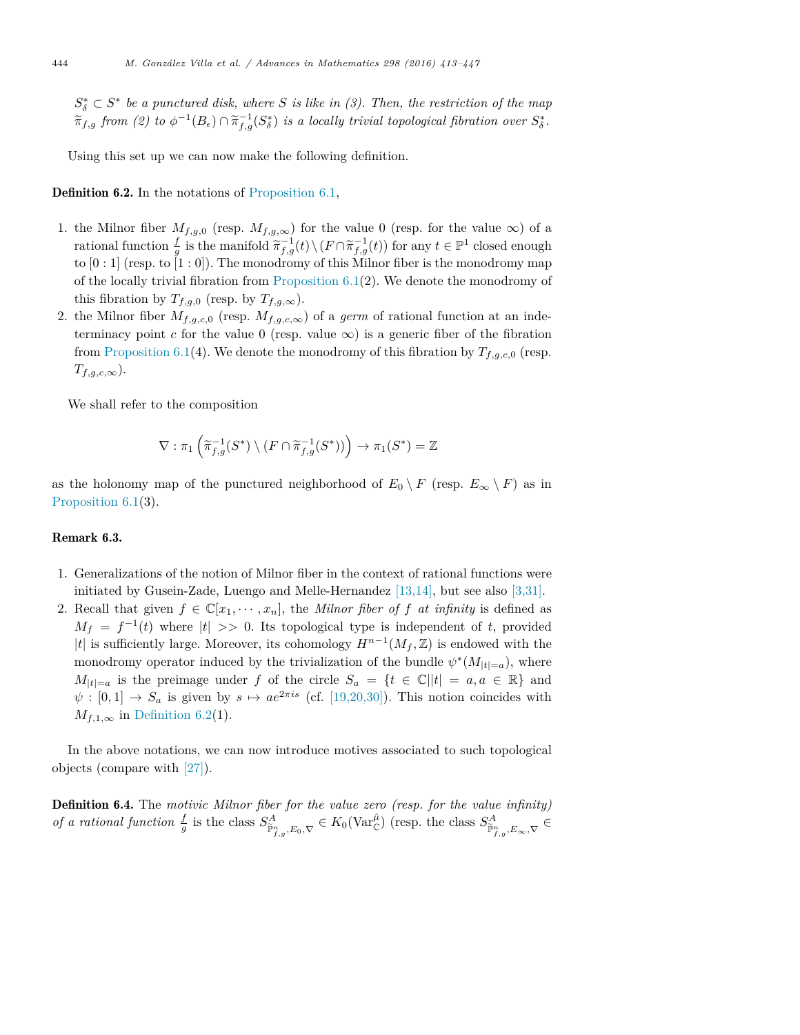$S_{\delta}^{*} \subset S^{*}$  *be a* punctured disk, where *S* is like in (3). Then, the restriction of the map  $\widetilde{\pi}_{f,g}$  from (2) to  $\phi^{-1}(B_{\epsilon}) \cap \widetilde{\pi}_{f,g}^{-1}(S_{\delta}^{*})$  is a locally trivial topological fibration over  $S_{\delta}^{*}$ .

Using this set up we can now make the following definition.

Definition 6.2. In the notations of Proposition 6.1,

- 1. the Milnor fiber  $M_{f,g,0}$  (resp.  $M_{f,g,\infty}$ ) for the value 0 (resp. for the value  $\infty$ ) of a rational function  $\frac{f}{g}$  is the manifold  $\widetilde{\pi}_{f,g}^{-1}(t) \setminus (F \cap \widetilde{\pi}_{f,g}^{-1}(t))$  for any  $t \in \mathbb{P}^1$  closed enough to  $[0:1]$  (resp. to  $[1:0]$ ). The monodromy of this Milnor fiber is the monodromy map of the locally trivial fibration from Proposition  $6.1(2)$ . We denote the monodromy of this fibration by  $T_{f,g,0}$  (resp. by  $T_{f,g,\infty}$ ).
- 2. the Milnor fiber  $M_{f,g,c,0}$  (resp.  $M_{f,g,c,\infty}$ ) of a *germ* of rational function at an indeterminacy point *c* for the value 0 (resp. value  $\infty$ ) is a generic fiber of the fibration from Proposition 6.1(4). We denote the monodromy of this fibration by  $T_{f,q,c,0}$  (resp. *Tf,g,c,*∞).

We shall refer to the composition

$$
\nabla : \pi_1 \left( \widetilde{\pi}_{f,g}^{-1}(S^*) \setminus (F \cap \widetilde{\pi}_{f,g}^{-1}(S^*)) \right) \to \pi_1(S^*) = \mathbb{Z}
$$

as the holonomy map of the punctured neighborhood of  $E_0 \setminus F$  (resp.  $E_{\infty} \setminus F$ ) as in Proposition 6.1(3).

#### Remark 6.3.

- 1. Generalizations of the notion of Milnor fiber in the context of rational functions were initiated by Gusein-Zade, Luengo and Melle-Hernandez [13,14], but see also [3,31].
- 2. Recall that given  $f \in \mathbb{C}[x_1, \dots, x_n]$ , the *Milnor fiber of*  $f$  *at infinity* is defined as  $M_f = f^{-1}(t)$  where  $|t| >> 0$ . Its topological type is independent of *t*, provided *|t*| is sufficiently large. Moreover, its cohomology  $H^{n-1}(M_f, \mathbb{Z})$  is endowed with the monodromy operator induced by the trivialization of the bundle  $\psi^*(M_{|t|=a})$ , where *M*<sub>|</sub>*t*<sub>|=</sub>*a* is the preimage under *f* of the circle  $S_a = \{t \in \mathbb{C} | |t| = a, a \in \mathbb{R} \}$  and  $\psi : [0,1] \to S_a$  is given by  $s \mapsto ae^{2\pi i s}$  (cf. [19,20,30]). This notion coincides with  $M_{f,1,\infty}$  in Definition 6.2(1).

In the above notations, we can now introduce motives associated to such topological objects (compare with [27]).

Definition 6.4. The *motivic Milnor fiber for the value zero (resp. for the value infinity)* of a rational function  $\frac{f}{g}$  is the class  $S^A_{\tilde{\mathbb{P}}^n_{f,g},E_0,\nabla} \in K_0(\text{Var}_{\mathbb{C}}^{\hat{\mu}})$  (resp. the class  $S^A_{\tilde{\mathbb{P}}^n_{f,g},E_{\infty},\nabla} \in$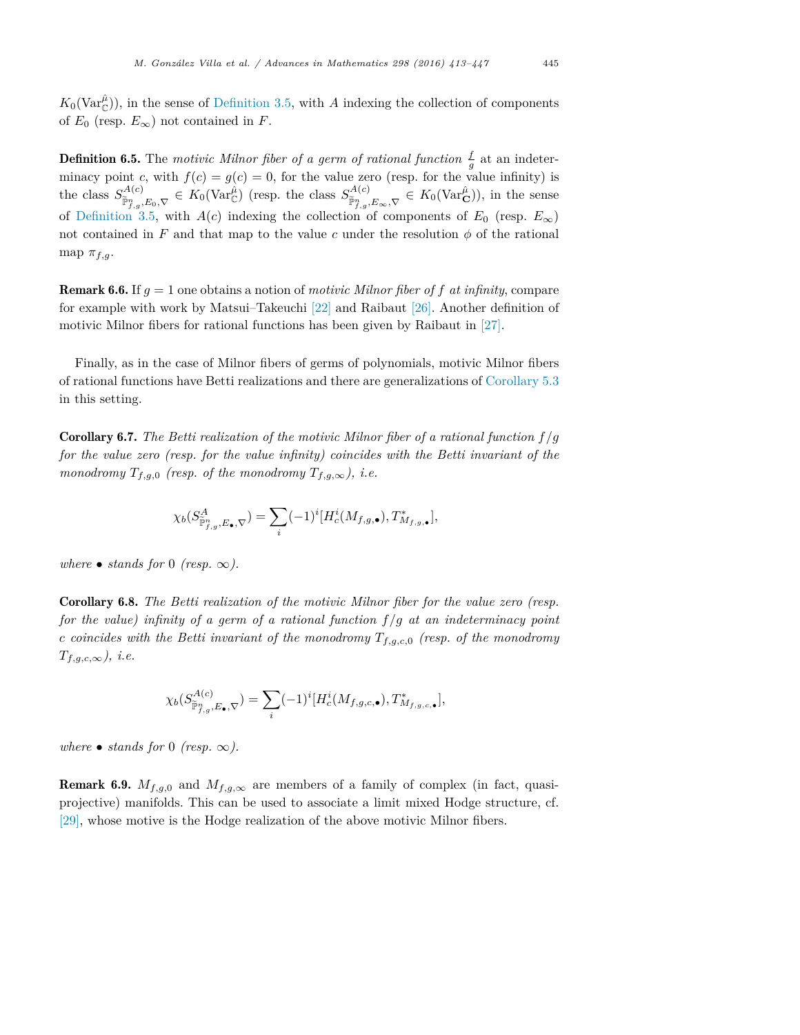$K_0(\text{Var}_{\mathbb{C}}^{\hat{\mu}})$ , in the sense of Definition 3.5, with *A* indexing the collection of components of  $E_0$  (resp.  $E_{\infty}$ ) not contained in *F*.

**Definition 6.5.** The *motivic Milnor fiber of a germ of rational function*  $\frac{f}{g}$  at an indeterminacy point *c*, with  $f(c) = g(c) = 0$ , for the value zero (resp. for the value infinity) is the class  $S^{A(c)}_{\tilde{\mathbb{P}}^n_{f,g},E_0,\nabla} \in K_0(\text{Var}^{\hat{\mu}}_{\mathbb{C}})$  (resp. the class  $S^{A(c)}_{\tilde{\mathbb{P}}^n_{f,g},E_{\infty},\nabla} \in K_0(\text{Var}^{\hat{\mu}}_{\mathbb{C}})$ ), in the sense of Definition 3.5, with *A*(*c*) indexing the collection of components of  $E_0$  (resp.  $E_{\infty}$ ) not contained in F and that map to the value c under the resolution  $\phi$  of the rational map  $\pi_{f,q}$ .

Remark 6.6. If *g* = 1 one obtains a notion of *motivic Milnor fiber of f at infinity*, compare for example with work by Matsui–Takeuchi [22] and Raibaut [26]. Another definition of motivic Milnor fibers for rational functions has been given by Raibaut in [27].

Finally, as in the case of Milnor fibers of germs of polynomials, motivic Milnor fibers of rational functions have Betti realizations and there are generalizations of Corollary 5.3 in this setting.

Corollary 6.7. *The Betti realization of the motivic Milnor fiber of a rational function f /g for the value zero (resp. for the value infinity) coincides with the Betti invariant of the monodromy*  $T_{f,g,0}$  *(resp. of the monodromy*  $T_{f,g,\infty}$ *), i.e.* 

$$
\chi_b(S^A_{\widetilde{\mathbb{P}}^n_{f,g},E_\bullet,\nabla})=\sum_i (-1)^i [H^i_c(M_{f,g,\bullet}),T^*_{M_{f,g,\bullet}}],
$$

*where* • *stands for* 0 *(resp.*  $\infty$ ).

Corollary 6.8. *The Betti realization of the motivic Milnor fiber for the value zero (resp. for the value) infinity of a germ of a rational function f /g at an indeterminacy point c coincides with the Betti invariant of the monodromy Tf,g,c,*<sup>0</sup> *(resp. of the monodromy Tf,g,c,*∞*), i.e.*

$$
\chi_b(S^{A(c)}_{\widetilde{\mathbb{P}}^n_{f,g},E_\bullet,\nabla})=\sum_i (-1)^i [H^i_c(M_{f,g,c,\bullet}),T^*_{M_{f,g,c,\bullet}}],
$$

*where*  $\bullet$  *stands for* 0 *(resp.*  $\infty$ *).* 

**Remark 6.9.**  $M_{f,q,0}$  and  $M_{f,q,\infty}$  are members of a family of complex (in fact, quasiprojective) manifolds. This can be used to associate a limit mixed Hodge structure, cf. [29], whose motive is the Hodge realization of the above motivic Milnor fibers.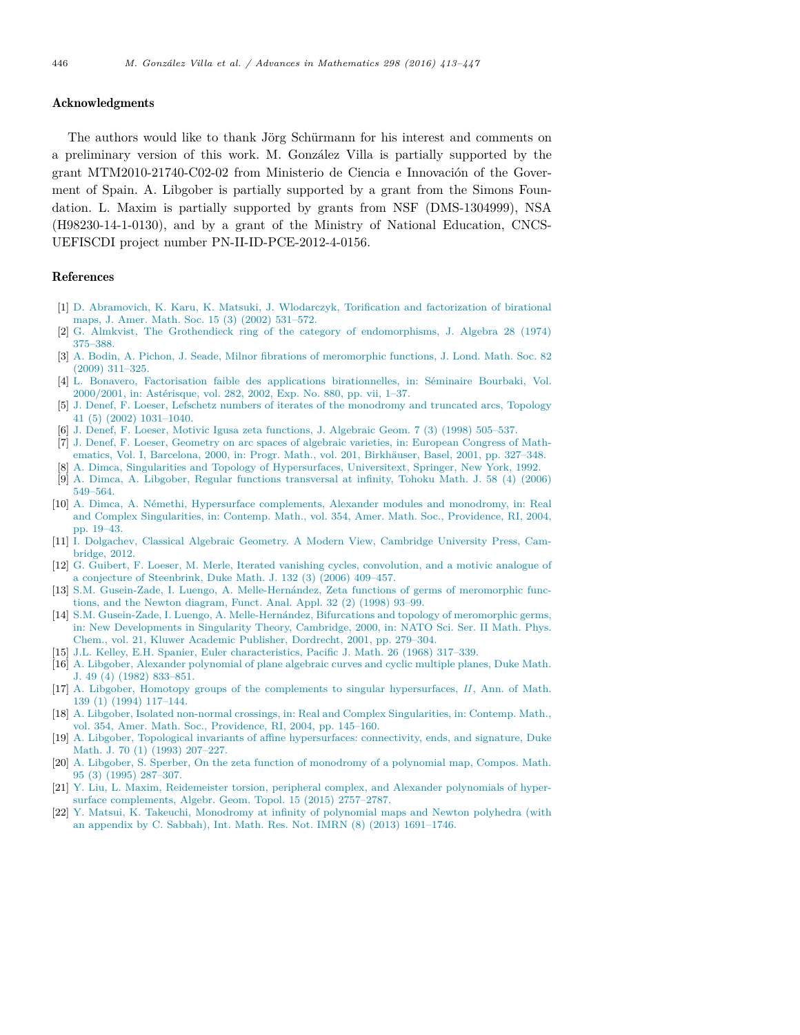#### Acknowledgments

The authors would like to thank Jörg Schürmann for his interest and comments on a preliminary version of this work. M. González Villa is partially supported by the grant MTM2010-21740-C02-02 from Ministerio de Ciencia e Innovación of the Goverment of Spain. A. Libgober is partially supported by a grant from the Simons Foundation. L. Maxim is partially supported by grants from NSF (DMS-1304999), NSA (H98230-14-1-0130), and by a grant of the Ministry of National Education, CNCS-UEFISCDI project number PN-II-ID-PCE-2012-4-0156.

#### References

- [1] D. Abramovich, K. Karu, K. Matsuki, J. Wlodarczyk, Torification and factorization of birational maps, J. Amer. Math. Soc. 15 (3) (2002) 531–572.
- [2] G. Almkvist, The Grothendieck ring of the category of endomorphisms, J. Algebra 28 (1974) 375–388.
- [3] A. Bodin, A. Pichon, J. Seade, Milnor fibrations of meromorphic functions, J. Lond. Math. Soc. 82 (2009) 311–325.
- [4] L. Bonavero, Factorisation faible des applications birationnelles, in: Séminaire Bourbaki, Vol. 2000/2001, in: Astérisque, vol. 282, 2002, Exp. No. 880, pp. vii, 1–37.
- [5] J. Denef, F. Loeser, Lefschetz numbers of iterates of the monodromy and truncated arcs, Topology 41 (5) (2002) 1031–1040.
- [6] J. Denef, F. Loeser, Motivic Igusa zeta functions, J. Algebraic Geom. 7 (3) (1998) 505–537.
- [7] J. Denef, F. Loeser, Geometry on arc spaces of algebraic varieties, in: European Congress of Mathematics, Vol. I, Barcelona, 2000, in: Progr. Math., vol. 201, Birkhäuser, Basel, 2001, pp. 327–348. [8] A. Dimca, Singularities and Topology of Hypersurfaces, Universitext, Springer, New York, 1992.
- [9] A. Dimca, A. Libgober, Regular functions transversal at infinity, Tohoku Math. J. 58 (4) (2006) 549–564.
- [10] A. Dimca, A. Némethi, Hypersurface complements, Alexander modules and monodromy, in: Real and Complex Singularities, in: Contemp. Math., vol. 354, Amer. Math. Soc., Providence, RI, 2004, pp. 19–43.
- [11] I. Dolgachev, Classical Algebraic Geometry. A Modern View, Cambridge University Press, Cambridge, 2012.
- [12] G. Guibert, F. Loeser, M. Merle, Iterated vanishing cycles, convolution, and a motivic analogue of a conjecture of Steenbrink, Duke Math. J. 132 (3) (2006) 409–457.
- [13] S.M. Gusein-Zade, I. Luengo, A. Melle-Hernández, Zeta functions of germs of meromorphic functions, and the Newton diagram, Funct. Anal. Appl. 32 (2) (1998) 93–99.
- [14] S.M. Gusein-Zade, I. Luengo, A. Melle-Hernández, Bifurcations and topology of meromorphic germs, in: New Developments in Singularity Theory, Cambridge, 2000, in: NATO Sci. Ser. II Math. Phys. Chem., vol. 21, Kluwer Academic Publisher, Dordrecht, 2001, pp. 279–304.
- [15] J.L. Kelley, E.H. Spanier, Euler characteristics, Pacific J. Math. 26 (1968) 317–339.
- [16] A. Libgober, Alexander polynomial of plane algebraic curves and cyclic multiple planes, Duke Math. J. 49 (4) (1982) 833–851.
- [17] A. Libgober, Homotopy groups of the complements to singular hypersurfaces, *II* , Ann. of Math. 139 (1) (1994) 117–144.
- [18] A. Libgober, Isolated non-normal crossings, in: Real and Complex Singularities, in: Contemp. Math., vol. 354, Amer. Math. Soc., Providence, RI, 2004, pp. 145–160.
- [19] A. Libgober, Topological invariants of affine hypersurfaces: connectivity, ends, and signature, Duke Math. J. 70 (1) (1993) 207–227.
- [20] A. Libgober, S. Sperber, On the zeta function of monodromy of a polynomial map, Compos. Math. 95 (3) (1995) 287–307.
- [21] Y. Liu, L. Maxim, Reidemeister torsion, peripheral complex, and Alexander polynomials of hypersurface complements, Algebr. Geom. Topol. 15 (2015) 2757–2787.
- [22] Y. Matsui, K. Takeuchi, Monodromy at infinity of polynomial maps and Newton polyhedra (with an appendix by C. Sabbah), Int. Math. Res. Not. IMRN (8) (2013) 1691–1746.